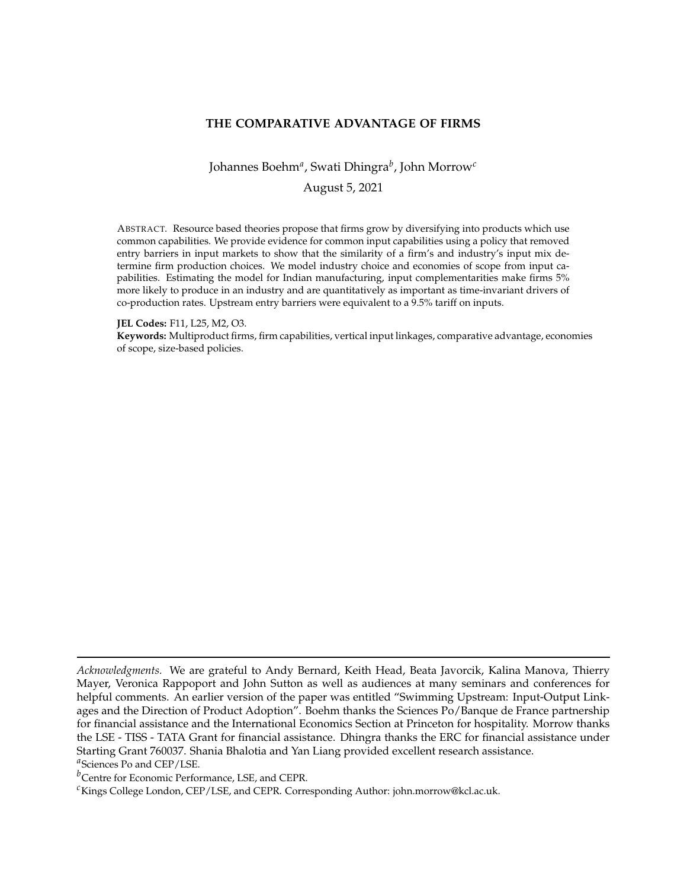### <span id="page-0-0"></span>**THE COMPARATIVE ADVANTAGE OF FIRMS**

Johannes Boehm*<sup>a</sup>* , Swati Dhingra*<sup>b</sup>* , John Morrow*<sup>c</sup>* August 5, 2021

ABSTRACT. Resource based theories propose that firms grow by diversifying into products which use common capabilities. We provide evidence for common input capabilities using a policy that removed entry barriers in input markets to show that the similarity of a firm's and industry's input mix determine firm production choices. We model industry choice and economies of scope from input capabilities. Estimating the model for Indian manufacturing, input complementarities make firms 5% more likely to produce in an industry and are quantitatively as important as time-invariant drivers of co-production rates. Upstream entry barriers were equivalent to a 9.5% tariff on inputs.

#### **JEL Codes:** F11, L25, M2, O3.

**Keywords:** Multiproduct firms, firm capabilities, vertical input linkages, comparative advantage, economies of scope, size-based policies.

*Acknowledgments.* We are grateful to Andy Bernard, Keith Head, Beata Javorcik, Kalina Manova, Thierry Mayer, Veronica Rappoport and John Sutton as well as audiences at many seminars and conferences for helpful comments. An earlier version of the paper was entitled "Swimming Upstream: Input-Output Linkages and the Direction of Product Adoption". Boehm thanks the Sciences Po/Banque de France partnership for financial assistance and the International Economics Section at Princeton for hospitality. Morrow thanks the LSE - TISS - TATA Grant for financial assistance. Dhingra thanks the ERC for financial assistance under Starting Grant 760037. Shania Bhalotia and Yan Liang provided excellent research assistance. *a* Sciences Po and CEP/LSE.

*b*Centre for Economic Performance, LSE, and CEPR.

*<sup>c</sup>*Kings College London, CEP/LSE, and CEPR*.* Corresponding Author: john.morrow@kcl.ac.uk.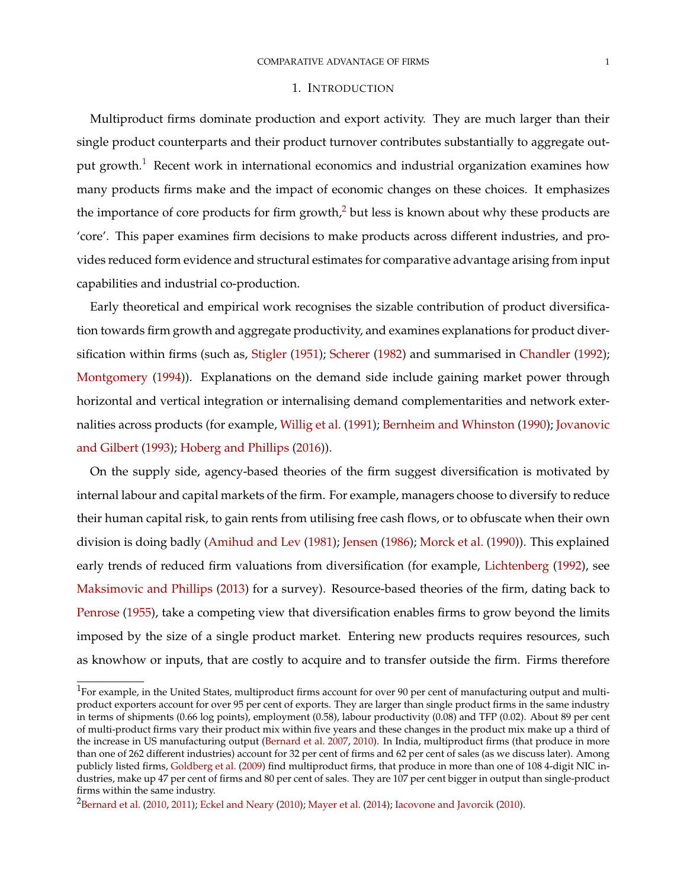#### 1. INTRODUCTION

Multiproduct firms dominate production and export activity. They are much larger than their single product counterparts and their product turnover contributes substantially to aggregate out-put growth.<sup>[1](#page-0-0)</sup> Recent work in international economics and industrial organization examines how many products firms make and the impact of economic changes on these choices. It emphasizes the importance of core products for firm growth, $^2$  $^2$  but less is known about why these products are 'core'. This paper examines firm decisions to make products across different industries, and provides reduced form evidence and structural estimates for comparative advantage arising from input capabilities and industrial co-production.

Early theoretical and empirical work recognises the sizable contribution of product diversification towards firm growth and aggregate productivity, and examines explanations for product diversification within firms (such as, [Stigler](#page-52-0) [\(1951\)](#page-52-0); [Scherer](#page-52-1) [\(1982\)](#page-52-1) and summarised in [Chandler](#page-48-0) [\(1992\)](#page-48-0); [Montgomery](#page-51-0) [\(1994\)](#page-51-0)). Explanations on the demand side include gaining market power through horizontal and vertical integration or internalising demand complementarities and network externalities across products (for example, [Willig et al.](#page-52-2) [\(1991\)](#page-52-2); [Bernheim and Whinston](#page-47-0) [\(1990\)](#page-47-0); [Jovanovic](#page-50-0) [and Gilbert](#page-50-0) [\(1993\)](#page-50-0); [Hoberg and Phillips](#page-50-1) [\(2016\)](#page-50-1)).

On the supply side, agency-based theories of the firm suggest diversification is motivated by internal labour and capital markets of the firm. For example, managers choose to diversify to reduce their human capital risk, to gain rents from utilising free cash flows, or to obfuscate when their own division is doing badly [\(Amihud and Lev](#page-46-0) [\(1981\)](#page-46-0); [Jensen](#page-50-2) [\(1986\)](#page-50-2); [Morck et al.](#page-51-1) [\(1990\)](#page-51-1)). This explained early trends of reduced firm valuations from diversification (for example, [Lichtenberg](#page-51-2) [\(1992\)](#page-51-2), see [Maksimovic and Phillips](#page-51-3) [\(2013\)](#page-51-3) for a survey). Resource-based theories of the firm, dating back to [Penrose](#page-51-4) [\(1955\)](#page-51-4), take a competing view that diversification enables firms to grow beyond the limits imposed by the size of a single product market. Entering new products requires resources, such as knowhow or inputs, that are costly to acquire and to transfer outside the firm. Firms therefore

 $^1$ For example, in the United States, multiproduct firms account for over 90 per cent of manufacturing output and multiproduct exporters account for over 95 per cent of exports. They are larger than single product firms in the same industry in terms of shipments (0.66 log points), employment (0.58), labour productivity (0.08) and TFP (0.02). About 89 per cent of multi-product firms vary their product mix within five years and these changes in the product mix make up a third of the increase in US manufacturing output [\(Bernard et al.](#page-47-1) [2007,](#page-47-1) [2010\)](#page-47-2). In India, multiproduct firms (that produce in more than one of 262 different industries) account for 32 per cent of firms and 62 per cent of sales (as we discuss later). Among publicly listed firms, [Goldberg et al.](#page-49-0) [\(2009\)](#page-49-0) find multiproduct firms, that produce in more than one of 108 4-digit NIC industries, make up 47 per cent of firms and 80 per cent of sales. They are 107 per cent bigger in output than single-product firms within the same industry.

<sup>&</sup>lt;sup>2</sup>[Bernard et al.](#page-47-2) [\(2010,](#page-47-2) [2011\)](#page-47-3); [Eckel and Neary](#page-49-1) [\(2010\)](#page-50-3); [Mayer et al.](#page-51-5) [\(2014\)](#page-51-5); [Iacovone and Javorcik](#page-50-3) (2010).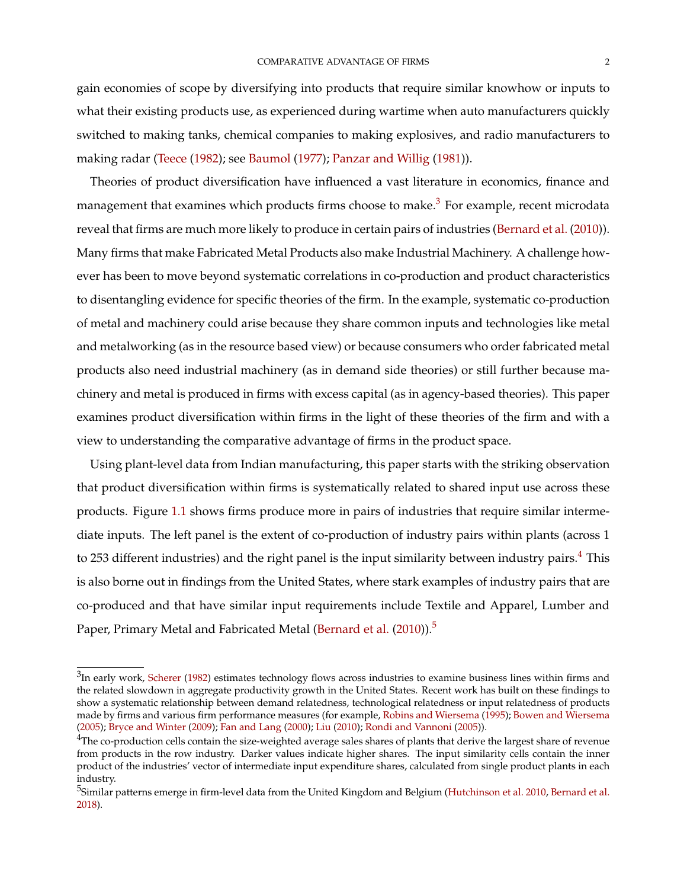gain economies of scope by diversifying into products that require similar knowhow or inputs to what their existing products use, as experienced during wartime when auto manufacturers quickly switched to making tanks, chemical companies to making explosives, and radio manufacturers to making radar [\(Teece](#page-52-3) [\(1982\)](#page-52-3); see [Baumol](#page-47-4) [\(1977\)](#page-47-4); [Panzar and Willig](#page-51-6) [\(1981\)](#page-51-6)).

Theories of product diversification have influenced a vast literature in economics, finance and management that examines which products firms choose to make. $^3$  $^3$  For example, recent microdata reveal that firms are much more likely to produce in certain pairs of industries [\(Bernard et al.](#page-47-2) [\(2010\)](#page-47-2)). Many firms that make Fabricated Metal Products also make Industrial Machinery. A challenge however has been to move beyond systematic correlations in co-production and product characteristics to disentangling evidence for specific theories of the firm. In the example, systematic co-production of metal and machinery could arise because they share common inputs and technologies like metal and metalworking (as in the resource based view) or because consumers who order fabricated metal products also need industrial machinery (as in demand side theories) or still further because machinery and metal is produced in firms with excess capital (as in agency-based theories). This paper examines product diversification within firms in the light of these theories of the firm and with a view to understanding the comparative advantage of firms in the product space.

Using plant-level data from Indian manufacturing, this paper starts with the striking observation that product diversification within firms is systematically related to shared input use across these products. Figure [1.1](#page-3-0) shows firms produce more in pairs of industries that require similar intermediate inputs. The left panel is the extent of co-production of industry pairs within plants (across 1 to 253 different industries) and the right panel is the input similarity between industry pairs.<sup>[4](#page-0-0)</sup> This is also borne out in findings from the United States, where stark examples of industry pairs that are co-produced and that have similar input requirements include Textile and Apparel, Lumber and Paper, Primary Metal and Fabricated Metal [\(Bernard et al.](#page-47-2) [\(2010\)](#page-47-2)).<sup>[5](#page-0-0)</sup>

 $3$ In early work, [Scherer](#page-52-1) [\(1982\)](#page-52-1) estimates technology flows across industries to examine business lines within firms and the related slowdown in aggregate productivity growth in the United States. Recent work has built on these findings to show a systematic relationship between demand relatedness, technological relatedness or input relatedness of products made by firms and various firm performance measures (for example, [Robins and Wiersema](#page-52-4) [\(1995\)](#page-52-4); [Bowen and Wiersema](#page-48-1) [\(2005\)](#page-48-1); [Bryce and Winter](#page-48-2) [\(2009\)](#page-48-2); [Fan and Lang](#page-49-2) [\(2000\)](#page-49-2); [Liu](#page-51-7) [\(2010\)](#page-51-7); [Rondi and Vannoni](#page-52-5) [\(2005\)](#page-52-5)).

<sup>&</sup>lt;sup>4</sup>The co-production cells contain the size-weighted average sales shares of plants that derive the largest share of revenue from products in the row industry. Darker values indicate higher shares. The input similarity cells contain the inner product of the industries' vector of intermediate input expenditure shares, calculated from single product plants in each industry.

 $^5$ Similar patterns emerge in firm-level data from the United Kingdom and Belgium [\(Hutchinson et al.](#page-50-4) [2010,](#page-50-4) [Bernard et al.](#page-47-5) [2018\)](#page-47-5).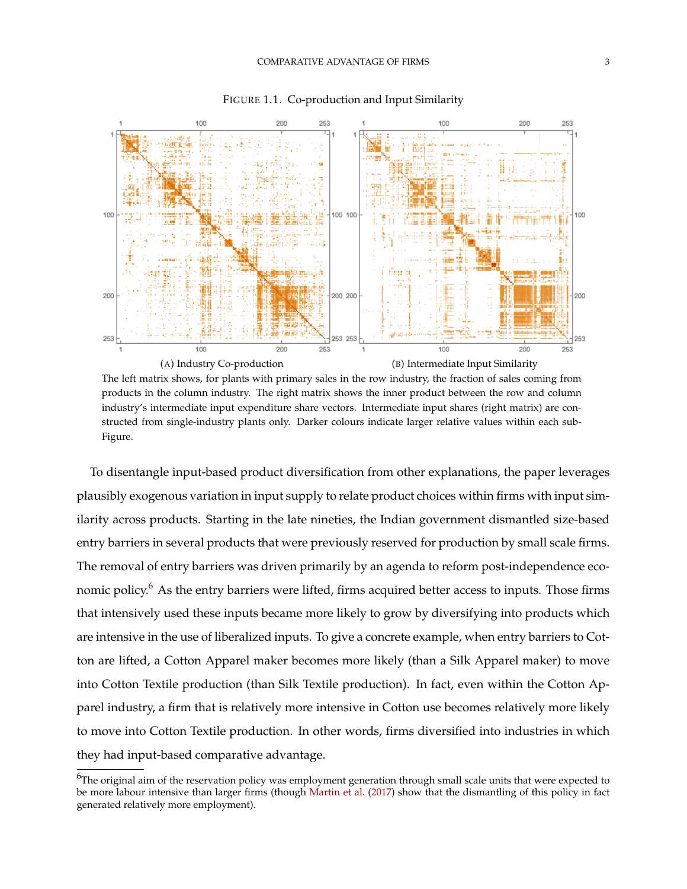<span id="page-3-1"></span><span id="page-3-0"></span>

FIGURE 1.1. Co-production and Input Similarity

<span id="page-3-2"></span>The left matrix shows, for plants with primary sales in the row industry, the fraction of sales coming from products in the column industry. The right matrix shows the inner product between the row and column industry's intermediate input expenditure share vectors. Intermediate input shares (right matrix) are constructed from single-industry plants only. Darker colours indicate larger relative values within each sub-Figure.

To disentangle input-based product diversification from other explanations, the paper leverages plausibly exogenous variation in input supply to relate product choices within firms with input similarity across products. Starting in the late nineties, the Indian government dismantled size-based entry barriers in several products that were previously reserved for production by small scale firms. The removal of entry barriers was driven primarily by an agenda to reform post-independence eco-nomic policy.<sup>[6](#page-0-0)</sup> As the entry barriers were lifted, firms acquired better access to inputs. Those firms that intensively used these inputs became more likely to grow by diversifying into products which are intensive in the use of liberalized inputs. To give a concrete example, when entry barriers to Cotton are lifted, a Cotton Apparel maker becomes more likely (than a Silk Apparel maker) to move into Cotton Textile production (than Silk Textile production). In fact, even within the Cotton Apparel industry, a firm that is relatively more intensive in Cotton use becomes relatively more likely to move into Cotton Textile production. In other words, firms diversified into industries in which they had input-based comparative advantage.

<sup>&</sup>lt;sup>6</sup>The original aim of the reservation policy was employment generation through small scale units that were expected to be more labour intensive than larger firms (though [Martin et al.](#page-51-8) [\(2017\)](#page-51-8) show that the dismantling of this policy in fact generated relatively more employment).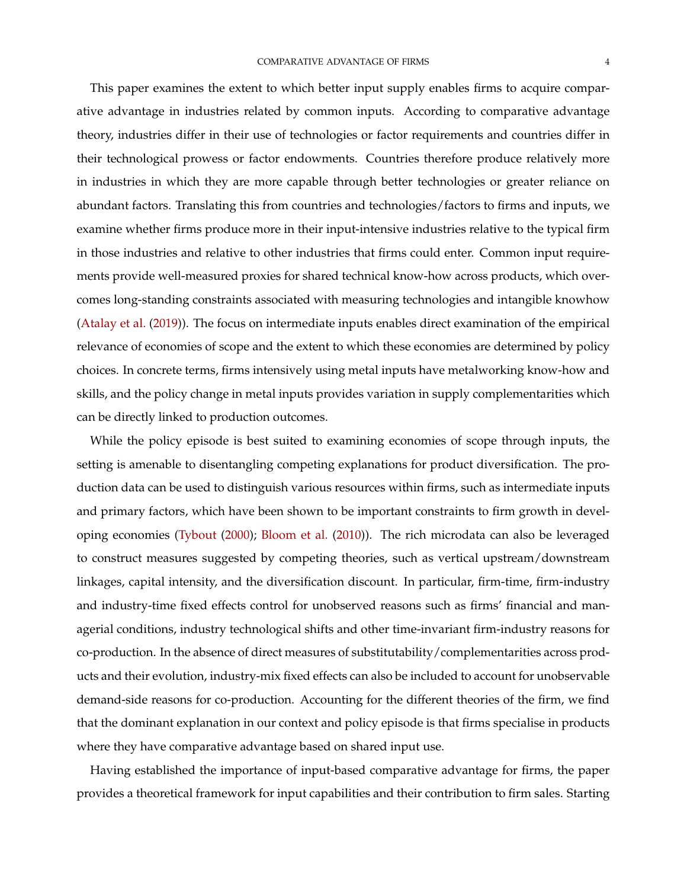This paper examines the extent to which better input supply enables firms to acquire comparative advantage in industries related by common inputs. According to comparative advantage theory, industries differ in their use of technologies or factor requirements and countries differ in their technological prowess or factor endowments. Countries therefore produce relatively more in industries in which they are more capable through better technologies or greater reliance on abundant factors. Translating this from countries and technologies/factors to firms and inputs, we examine whether firms produce more in their input-intensive industries relative to the typical firm in those industries and relative to other industries that firms could enter. Common input requirements provide well-measured proxies for shared technical know-how across products, which overcomes long-standing constraints associated with measuring technologies and intangible knowhow [\(Atalay et al.](#page-47-6) [\(2019\)](#page-47-6)). The focus on intermediate inputs enables direct examination of the empirical relevance of economies of scope and the extent to which these economies are determined by policy choices. In concrete terms, firms intensively using metal inputs have metalworking know-how and skills, and the policy change in metal inputs provides variation in supply complementarities which can be directly linked to production outcomes.

While the policy episode is best suited to examining economies of scope through inputs, the setting is amenable to disentangling competing explanations for product diversification. The production data can be used to distinguish various resources within firms, such as intermediate inputs and primary factors, which have been shown to be important constraints to firm growth in developing economies [\(Tybout](#page-52-6) [\(2000\)](#page-52-6); [Bloom et al.](#page-47-7) [\(2010\)](#page-47-7)). The rich microdata can also be leveraged to construct measures suggested by competing theories, such as vertical upstream/downstream linkages, capital intensity, and the diversification discount. In particular, firm-time, firm-industry and industry-time fixed effects control for unobserved reasons such as firms' financial and managerial conditions, industry technological shifts and other time-invariant firm-industry reasons for co-production. In the absence of direct measures of substitutability/complementarities across products and their evolution, industry-mix fixed effects can also be included to account for unobservable demand-side reasons for co-production. Accounting for the different theories of the firm, we find that the dominant explanation in our context and policy episode is that firms specialise in products where they have comparative advantage based on shared input use.

Having established the importance of input-based comparative advantage for firms, the paper provides a theoretical framework for input capabilities and their contribution to firm sales. Starting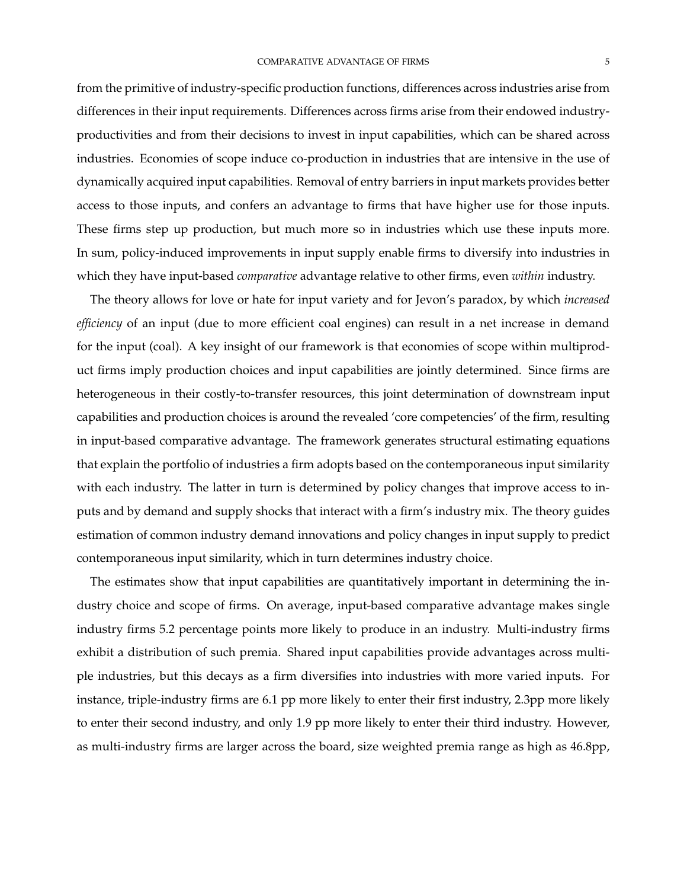from the primitive of industry-specific production functions, differences across industries arise from differences in their input requirements. Differences across firms arise from their endowed industryproductivities and from their decisions to invest in input capabilities, which can be shared across industries. Economies of scope induce co-production in industries that are intensive in the use of dynamically acquired input capabilities. Removal of entry barriers in input markets provides better access to those inputs, and confers an advantage to firms that have higher use for those inputs. These firms step up production, but much more so in industries which use these inputs more. In sum, policy-induced improvements in input supply enable firms to diversify into industries in which they have input-based *comparative* advantage relative to other firms, even *within* industry.

The theory allows for love or hate for input variety and for Jevon's paradox, by which *increased efficiency* of an input (due to more efficient coal engines) can result in a net increase in demand for the input (coal). A key insight of our framework is that economies of scope within multiproduct firms imply production choices and input capabilities are jointly determined. Since firms are heterogeneous in their costly-to-transfer resources, this joint determination of downstream input capabilities and production choices is around the revealed 'core competencies' of the firm, resulting in input-based comparative advantage. The framework generates structural estimating equations that explain the portfolio of industries a firm adopts based on the contemporaneous input similarity with each industry. The latter in turn is determined by policy changes that improve access to inputs and by demand and supply shocks that interact with a firm's industry mix. The theory guides estimation of common industry demand innovations and policy changes in input supply to predict contemporaneous input similarity, which in turn determines industry choice.

The estimates show that input capabilities are quantitatively important in determining the industry choice and scope of firms. On average, input-based comparative advantage makes single industry firms 5.2 percentage points more likely to produce in an industry. Multi-industry firms exhibit a distribution of such premia. Shared input capabilities provide advantages across multiple industries, but this decays as a firm diversifies into industries with more varied inputs. For instance, triple-industry firms are 6.1 pp more likely to enter their first industry, 2.3pp more likely to enter their second industry, and only 1.9 pp more likely to enter their third industry. However, as multi-industry firms are larger across the board, size weighted premia range as high as 46.8pp,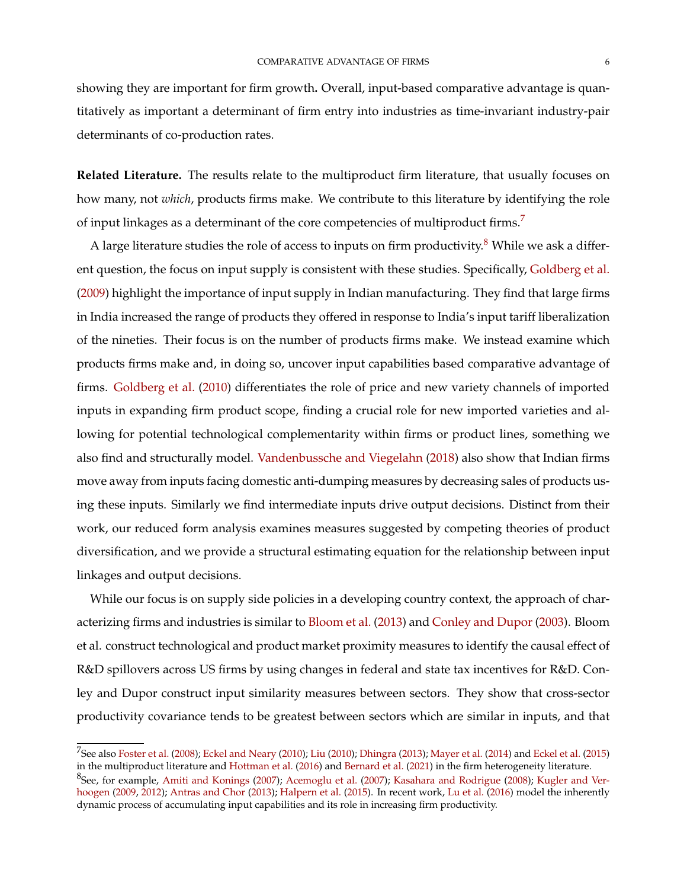showing they are important for firm growth**.** Overall, input-based comparative advantage is quantitatively as important a determinant of firm entry into industries as time-invariant industry-pair determinants of co-production rates.

**Related Literature.** The results relate to the multiproduct firm literature, that usually focuses on how many, not *which*, products firms make. We contribute to this literature by identifying the role of input linkages as a determinant of the core competencies of multiproduct firms.<sup>[7](#page-0-0)</sup>

A large literature studies the role of access to inputs on firm productivity.<sup>[8](#page-0-0)</sup> While we ask a different question, the focus on input supply is consistent with these studies. Specifically, [Goldberg et al.](#page-49-0) [\(2009\)](#page-49-0) highlight the importance of input supply in Indian manufacturing. They find that large firms in India increased the range of products they offered in response to India's input tariff liberalization of the nineties. Their focus is on the number of products firms make. We instead examine which products firms make and, in doing so, uncover input capabilities based comparative advantage of firms. [Goldberg et al.](#page-49-3) [\(2010\)](#page-49-3) differentiates the role of price and new variety channels of imported inputs in expanding firm product scope, finding a crucial role for new imported varieties and allowing for potential technological complementarity within firms or product lines, something we also find and structurally model. [Vandenbussche and Viegelahn](#page-52-7) [\(2018\)](#page-52-7) also show that Indian firms move away from inputs facing domestic anti-dumping measures by decreasing sales of products using these inputs. Similarly we find intermediate inputs drive output decisions. Distinct from their work, our reduced form analysis examines measures suggested by competing theories of product diversification, and we provide a structural estimating equation for the relationship between input linkages and output decisions.

While our focus is on supply side policies in a developing country context, the approach of characterizing firms and industries is similar to [Bloom et al.](#page-47-8) [\(2013\)](#page-47-8) and [Conley and Dupor](#page-48-3) [\(2003\)](#page-48-3). Bloom et al. construct technological and product market proximity measures to identify the causal effect of R&D spillovers across US firms by using changes in federal and state tax incentives for R&D. Conley and Dupor construct input similarity measures between sectors. They show that cross-sector productivity covariance tends to be greatest between sectors which are similar in inputs, and that

 $^{7}$ See also [Foster et al.](#page-49-4) [\(2008\)](#page-49-4); [Eckel and Neary](#page-49-1) [\(2010\)](#page-51-7); [Liu](#page-51-7) (2010); [Dhingra](#page-48-4) [\(2013\)](#page-48-4); [Mayer et al.](#page-51-5) [\(2014\)](#page-51-5) and [Eckel et al.](#page-49-5) [\(2015\)](#page-49-5) in the multiproduct literature and [Hottman et al.](#page-50-5) [\(2016\)](#page-50-5) and [Bernard et al.](#page-47-9) [\(2021\)](#page-47-9) in the firm heterogeneity literature.  $^8$ See, for example, [Amiti and Konings](#page-47-10) [\(2007\)](#page-46-1); [Acemoglu et al.](#page-46-1) (2007); [Kasahara and Rodrigue](#page-50-6) [\(2008\)](#page-50-6); [Kugler and Ver](#page-51-9)[hoogen](#page-51-9) [\(2009,](#page-51-9) [2012\)](#page-51-10); [Antras and Chor](#page-47-11) [\(2013\)](#page-47-11); [Halpern et al.](#page-50-7) [\(2015\)](#page-50-7). In recent work, [Lu et al.](#page-51-11) [\(2016\)](#page-51-11) model the inherently dynamic process of accumulating input capabilities and its role in increasing firm productivity.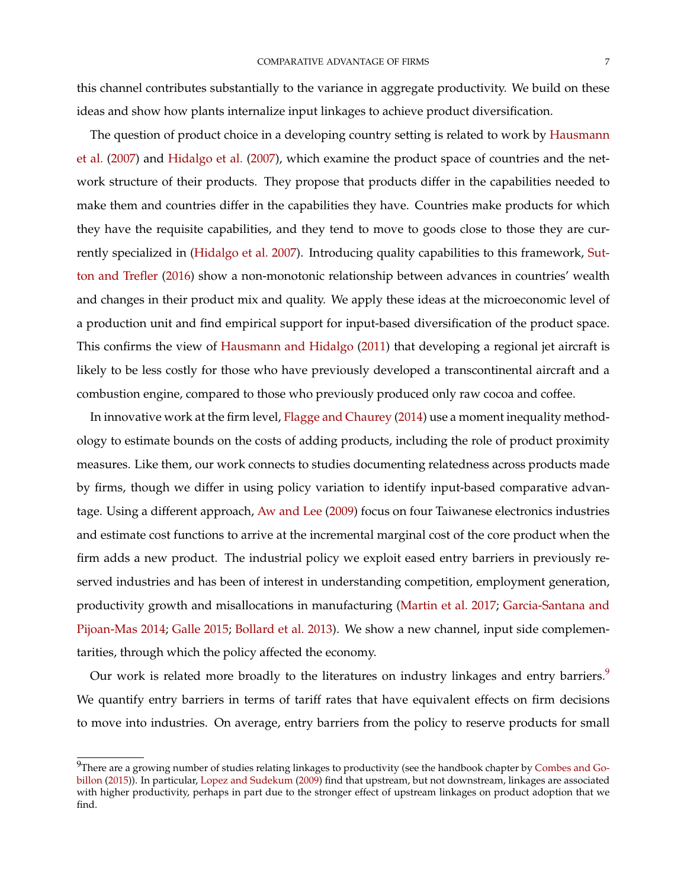this channel contributes substantially to the variance in aggregate productivity. We build on these ideas and show how plants internalize input linkages to achieve product diversification.

The question of product choice in a developing country setting is related to work by [Hausmann](#page-50-8) [et al.](#page-50-8) [\(2007\)](#page-50-8) and [Hidalgo et al.](#page-50-9) [\(2007\)](#page-50-9), which examine the product space of countries and the network structure of their products. They propose that products differ in the capabilities needed to make them and countries differ in the capabilities they have. Countries make products for which they have the requisite capabilities, and they tend to move to goods close to those they are currently specialized in [\(Hidalgo et al.](#page-50-9) [2007\)](#page-50-9). Introducing quality capabilities to this framework, [Sut](#page-52-8)[ton and Trefler](#page-52-8) [\(2016\)](#page-52-8) show a non-monotonic relationship between advances in countries' wealth and changes in their product mix and quality. We apply these ideas at the microeconomic level of a production unit and find empirical support for input-based diversification of the product space. This confirms the view of [Hausmann and Hidalgo](#page-50-10) [\(2011\)](#page-50-10) that developing a regional jet aircraft is likely to be less costly for those who have previously developed a transcontinental aircraft and a combustion engine, compared to those who previously produced only raw cocoa and coffee.

In innovative work at the firm level, [Flagge and Chaurey](#page-49-6) [\(2014\)](#page-49-6) use a moment inequality methodology to estimate bounds on the costs of adding products, including the role of product proximity measures. Like them, our work connects to studies documenting relatedness across products made by firms, though we differ in using policy variation to identify input-based comparative advantage. Using a different approach, [Aw and Lee](#page-47-12) [\(2009\)](#page-47-12) focus on four Taiwanese electronics industries and estimate cost functions to arrive at the incremental marginal cost of the core product when the firm adds a new product. The industrial policy we exploit eased entry barriers in previously reserved industries and has been of interest in understanding competition, employment generation, productivity growth and misallocations in manufacturing [\(Martin et al.](#page-51-8) [2017;](#page-51-8) [Garcia-Santana and](#page-49-7) [Pijoan-Mas](#page-49-7) [2014;](#page-49-7) [Galle](#page-49-8) [2015;](#page-49-8) [Bollard et al.](#page-48-5) [2013\)](#page-48-5). We show a new channel, input side complementarities, through which the policy affected the economy.

Our work is related more broadly to the literatures on industry linkages and entry barriers.<sup>[9](#page-0-0)</sup> We quantify entry barriers in terms of tariff rates that have equivalent effects on firm decisions to move into industries. On average, entry barriers from the policy to reserve products for small

<sup>&</sup>lt;sup>9</sup>There are a growing number of studies relating linkages to productivity (see the handbook chapter by [Combes and Go](#page-48-6)[billon](#page-48-6) [\(2015\)](#page-48-6)). In particular, [Lopez and Sudekum](#page-51-12) [\(2009\)](#page-51-12) find that upstream, but not downstream, linkages are associated with higher productivity, perhaps in part due to the stronger effect of upstream linkages on product adoption that we find.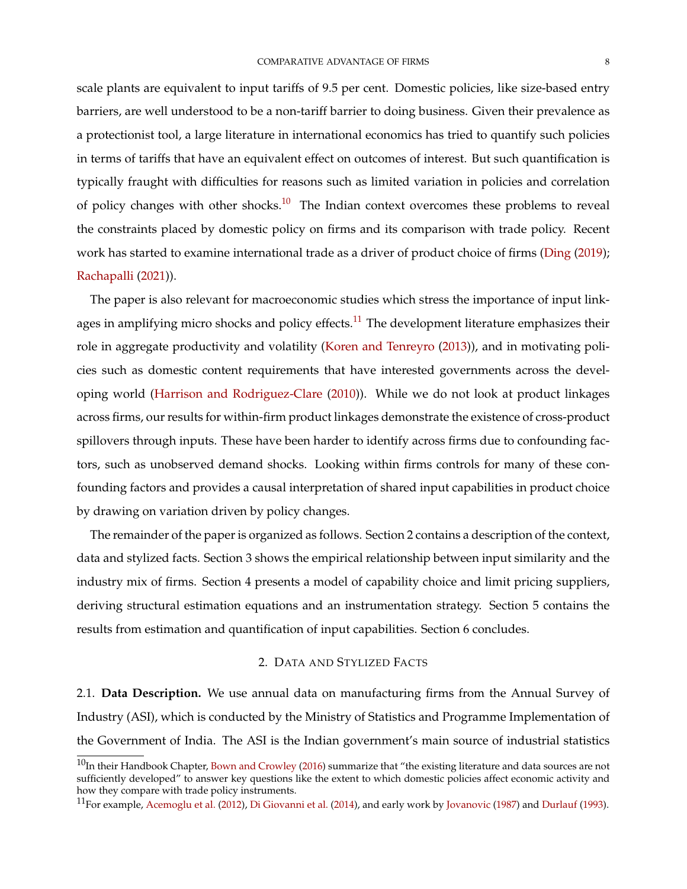scale plants are equivalent to input tariffs of 9.5 per cent. Domestic policies, like size-based entry barriers, are well understood to be a non-tariff barrier to doing business. Given their prevalence as a protectionist tool, a large literature in international economics has tried to quantify such policies in terms of tariffs that have an equivalent effect on outcomes of interest. But such quantification is typically fraught with difficulties for reasons such as limited variation in policies and correlation of policy changes with other shocks.<sup>[10](#page-0-0)</sup> The Indian context overcomes these problems to reveal the constraints placed by domestic policy on firms and its comparison with trade policy. Recent work has started to examine international trade as a driver of product choice of firms [\(Ding](#page-49-9) [\(2019\)](#page-49-9); [Rachapalli](#page-51-13) [\(2021\)](#page-51-13)).

The paper is also relevant for macroeconomic studies which stress the importance of input link-ages in amplifying micro shocks and policy effects.<sup>[11](#page-0-0)</sup> The development literature emphasizes their role in aggregate productivity and volatility [\(Koren and Tenreyro](#page-51-14) [\(2013\)](#page-51-14)), and in motivating policies such as domestic content requirements that have interested governments across the developing world [\(Harrison and Rodriguez-Clare](#page-50-11) [\(2010\)](#page-50-11)). While we do not look at product linkages across firms, our results for within-firm product linkages demonstrate the existence of cross-product spillovers through inputs. These have been harder to identify across firms due to confounding factors, such as unobserved demand shocks. Looking within firms controls for many of these confounding factors and provides a causal interpretation of shared input capabilities in product choice by drawing on variation driven by policy changes.

The remainder of the paper is organized as follows. Section 2 contains a description of the context, data and stylized facts. Section 3 shows the empirical relationship between input similarity and the industry mix of firms. Section 4 presents a model of capability choice and limit pricing suppliers, deriving structural estimation equations and an instrumentation strategy. Section 5 contains the results from estimation and quantification of input capabilities. Section 6 concludes.

### 2. DATA AND STYLIZED FACTS

2.1. **Data Description.** We use annual data on manufacturing firms from the Annual Survey of Industry (ASI), which is conducted by the Ministry of Statistics and Programme Implementation of the Government of India. The ASI is the Indian government's main source of industrial statistics

 $10$ In their Handbook Chapter, [Bown and Crowley](#page-48-7) [\(2016\)](#page-48-7) summarize that "the existing literature and data sources are not sufficiently developed" to answer key questions like the extent to which domestic policies affect economic activity and how they compare with trade policy instruments.

<sup>&</sup>lt;sup>11</sup>For example, [Acemoglu et al.](#page-46-2) [\(2012\)](#page-46-2), [Di Giovanni et al.](#page-49-10) [\(2014\)](#page-49-10), and early work by [Jovanovic](#page-50-12) [\(1987\)](#page-50-12) and [Durlauf](#page-49-11) [\(1993\)](#page-49-11).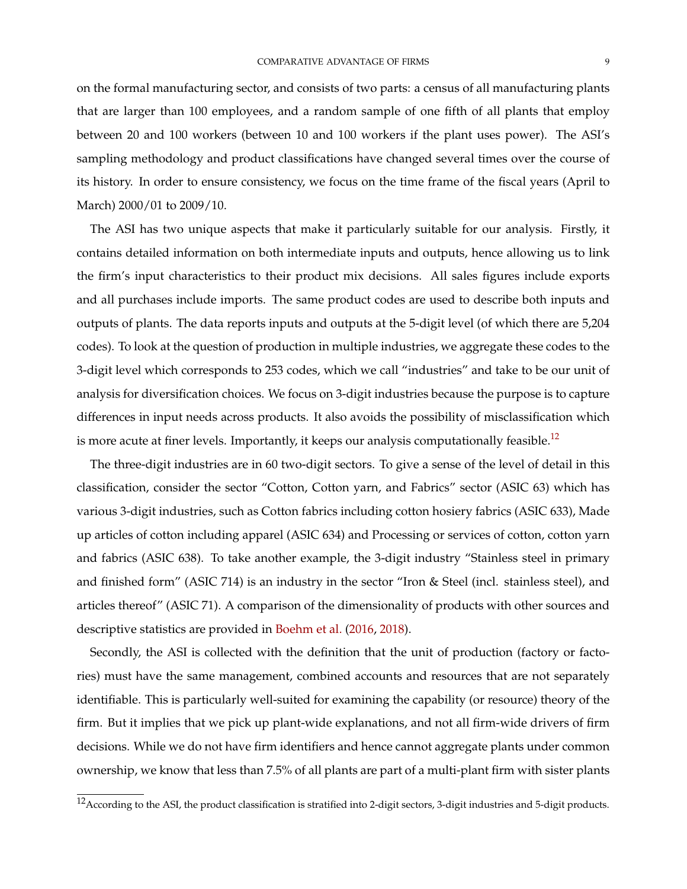on the formal manufacturing sector, and consists of two parts: a census of all manufacturing plants that are larger than 100 employees, and a random sample of one fifth of all plants that employ between 20 and 100 workers (between 10 and 100 workers if the plant uses power). The ASI's sampling methodology and product classifications have changed several times over the course of its history. In order to ensure consistency, we focus on the time frame of the fiscal years (April to March) 2000/01 to 2009/10.

The ASI has two unique aspects that make it particularly suitable for our analysis. Firstly, it contains detailed information on both intermediate inputs and outputs, hence allowing us to link the firm's input characteristics to their product mix decisions. All sales figures include exports and all purchases include imports. The same product codes are used to describe both inputs and outputs of plants. The data reports inputs and outputs at the 5-digit level (of which there are 5,204 codes). To look at the question of production in multiple industries, we aggregate these codes to the 3-digit level which corresponds to 253 codes, which we call "industries" and take to be our unit of analysis for diversification choices. We focus on 3-digit industries because the purpose is to capture differences in input needs across products. It also avoids the possibility of misclassification which is more acute at finer levels. Importantly, it keeps our analysis computationally feasible.<sup>[12](#page-0-0)</sup>

The three-digit industries are in 60 two-digit sectors. To give a sense of the level of detail in this classification, consider the sector "Cotton, Cotton yarn, and Fabrics" sector (ASIC 63) which has various 3-digit industries, such as Cotton fabrics including cotton hosiery fabrics (ASIC 633), Made up articles of cotton including apparel (ASIC 634) and Processing or services of cotton, cotton yarn and fabrics (ASIC 638). To take another example, the 3-digit industry "Stainless steel in primary and finished form" (ASIC 714) is an industry in the sector "Iron & Steel (incl. stainless steel), and articles thereof" (ASIC 71). A comparison of the dimensionality of products with other sources and descriptive statistics are provided in [Boehm et al.](#page-47-13) [\(2016,](#page-47-13) [2018\)](#page-48-8).

Secondly, the ASI is collected with the definition that the unit of production (factory or factories) must have the same management, combined accounts and resources that are not separately identifiable. This is particularly well-suited for examining the capability (or resource) theory of the firm. But it implies that we pick up plant-wide explanations, and not all firm-wide drivers of firm decisions. While we do not have firm identifiers and hence cannot aggregate plants under common ownership, we know that less than 7.5% of all plants are part of a multi-plant firm with sister plants

<sup>12</sup>According to the ASI, the product classification is stratified into 2-digit sectors, 3-digit industries and 5-digit products.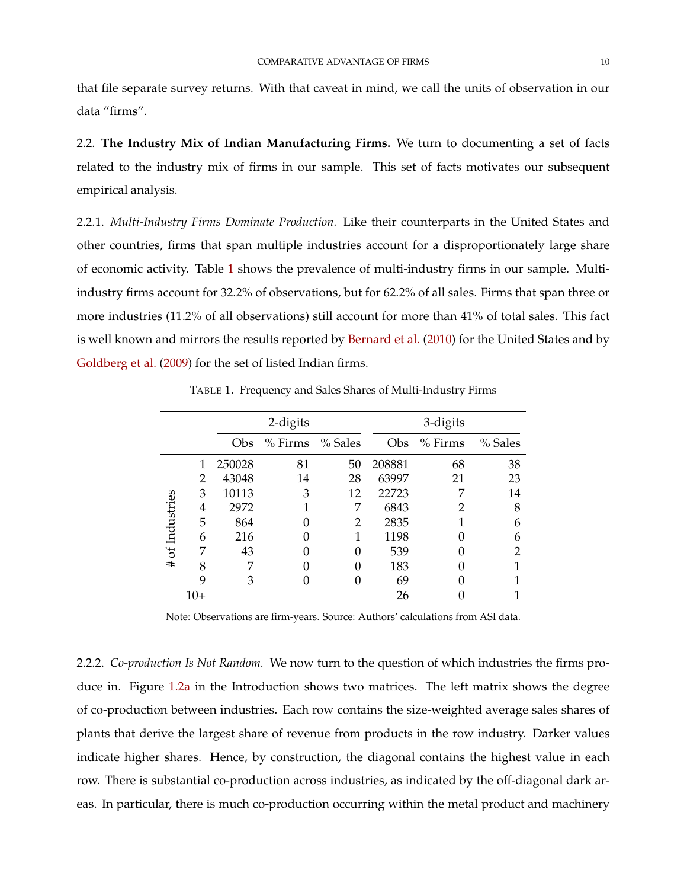that file separate survey returns. With that caveat in mind, we call the units of observation in our data "firms".

2.2. **The Industry Mix of Indian Manufacturing Firms.** We turn to documenting a set of facts related to the industry mix of firms in our sample. This set of facts motivates our subsequent empirical analysis.

2.2.1. *Multi-Industry Firms Dominate Production.* Like their counterparts in the United States and other countries, firms that span multiple industries account for a disproportionately large share of economic activity. Table [1](#page-10-0) shows the prevalence of multi-industry firms in our sample. Multiindustry firms account for 32.2% of observations, but for 62.2% of all sales. Firms that span three or more industries (11.2% of all observations) still account for more than 41% of total sales. This fact is well known and mirrors the results reported by [Bernard et al.](#page-47-2) [\(2010\)](#page-47-2) for the United States and by [Goldberg et al.](#page-49-0) [\(2009\)](#page-49-0) for the set of listed Indian firms.

<span id="page-10-0"></span>

|                 |     |        | 2-digits  |         | 3-digits |           |         |  |
|-----------------|-----|--------|-----------|---------|----------|-----------|---------|--|
|                 |     | Obs    | $%$ Firms | % Sales | Obs      | $%$ Firms | % Sales |  |
|                 |     | 250028 | 81        | 50      | 208881   | 68        | 38      |  |
|                 | 2   | 43048  | 14        | 28      | 63997    | 21        | 23      |  |
|                 | 3   | 10113  | 3         | 12      | 22723    | 7         | 14      |  |
| # of Industries | 4   | 2972   |           | 7       | 6843     |           | 8       |  |
|                 | 5   | 864    |           | 2       | 2835     |           | 6       |  |
|                 | 6   | 216    |           | 1       | 1198     |           | 6       |  |
|                 | 7   | 43     |           | 0       | 539      |           | າ       |  |
|                 | 8   |        |           | 0       | 183      |           |         |  |
|                 | 9   | 3      |           | 0       | 69       |           |         |  |
|                 | 10+ |        |           |         | 26       |           |         |  |

TABLE 1. Frequency and Sales Shares of Multi-Industry Firms

Note: Observations are firm-years. Source: Authors' calculations from ASI data.

<span id="page-10-1"></span>2.2.2. *Co-production Is Not Random.* We now turn to the question of which industries the firms produce in. Figure [1.2a](#page-3-1) in the Introduction shows two matrices. The left matrix shows the degree of co-production between industries. Each row contains the size-weighted average sales shares of plants that derive the largest share of revenue from products in the row industry. Darker values indicate higher shares. Hence, by construction, the diagonal contains the highest value in each row. There is substantial co-production across industries, as indicated by the off-diagonal dark areas. In particular, there is much co-production occurring within the metal product and machinery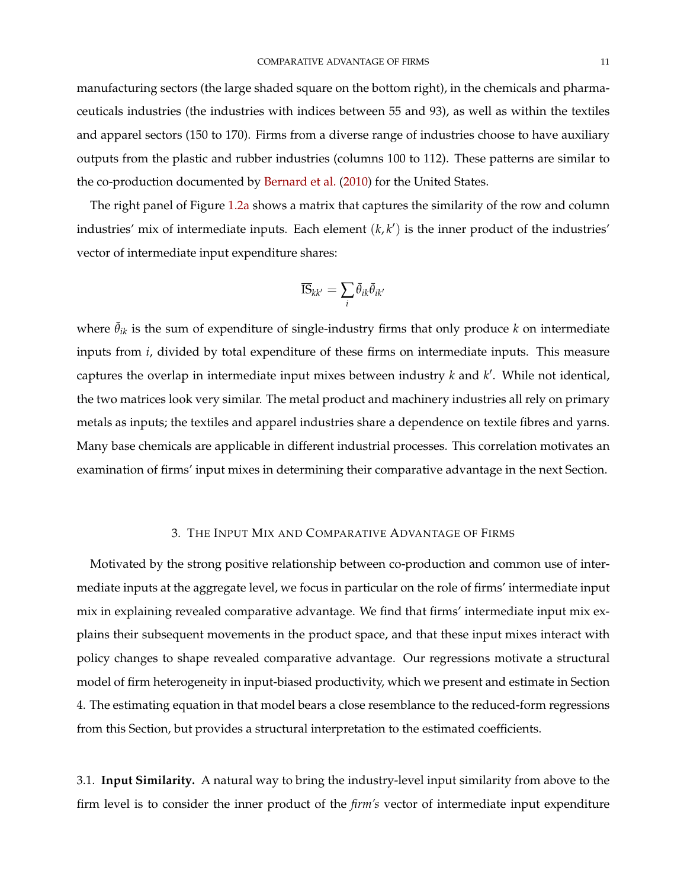manufacturing sectors (the large shaded square on the bottom right), in the chemicals and pharmaceuticals industries (the industries with indices between 55 and 93), as well as within the textiles and apparel sectors (150 to 170). Firms from a diverse range of industries choose to have auxiliary outputs from the plastic and rubber industries (columns 100 to 112). These patterns are similar to the co-production documented by [Bernard et al.](#page-47-2) [\(2010\)](#page-47-2) for the United States.

The right panel of Figure [1.2a](#page-3-1) shows a matrix that captures the similarity of the row and column industries' mix of intermediate inputs. Each element  $(k, k')$  is the inner product of the industries' vector of intermediate input expenditure shares:

$$
\overline{\text{IS}}_{kk'} = \sum_i \bar{\theta}_{ik} \bar{\theta}_{ik'}
$$

where  $\bar{\theta}_{ik}$  is the sum of expenditure of single-industry firms that only produce *k* on intermediate inputs from *i*, divided by total expenditure of these firms on intermediate inputs. This measure captures the overlap in intermediate input mixes between industry  $k$  and  $k'$ . While not identical, the two matrices look very similar. The metal product and machinery industries all rely on primary metals as inputs; the textiles and apparel industries share a dependence on textile fibres and yarns. Many base chemicals are applicable in different industrial processes. This correlation motivates an examination of firms' input mixes in determining their comparative advantage in the next Section.

#### 3. THE INPUT MIX AND COMPARATIVE ADVANTAGE OF FIRMS

Motivated by the strong positive relationship between co-production and common use of intermediate inputs at the aggregate level, we focus in particular on the role of firms' intermediate input mix in explaining revealed comparative advantage. We find that firms' intermediate input mix explains their subsequent movements in the product space, and that these input mixes interact with policy changes to shape revealed comparative advantage. Our regressions motivate a structural model of firm heterogeneity in input-biased productivity, which we present and estimate in Section 4. The estimating equation in that model bears a close resemblance to the reduced-form regressions from this Section, but provides a structural interpretation to the estimated coefficients.

3.1. **Input Similarity.** A natural way to bring the industry-level input similarity from above to the firm level is to consider the inner product of the *firm's* vector of intermediate input expenditure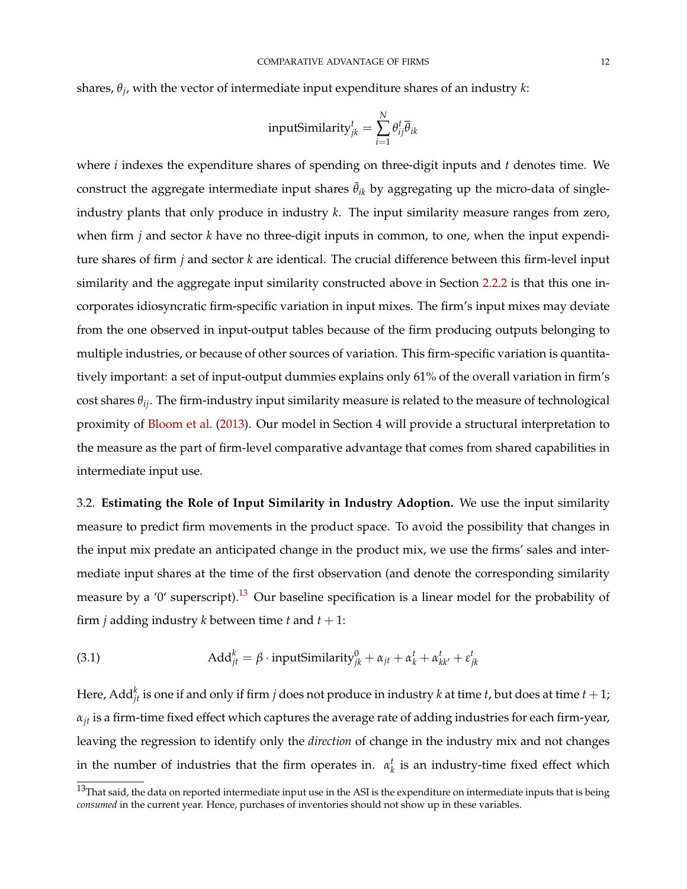shares, *θ<sup>j</sup>* , with the vector of intermediate input expenditure shares of an industry *k*:

$$
inputSimilarly_{jk}^{t} = \sum_{i=1}^{N} \theta_{ij}^{t} \overline{\theta}_{ik}
$$

where *i* indexes the expenditure shares of spending on three-digit inputs and *t* denotes time. We construct the aggregate intermediate input shares  $\bar{\theta}_{ik}$  by aggregating up the micro-data of singleindustry plants that only produce in industry *k*. The input similarity measure ranges from zero, when firm *j* and sector *k* have no three-digit inputs in common, to one, when the input expenditure shares of firm *j* and sector *k* are identical. The crucial difference between this firm-level input similarity and the aggregate input similarity constructed above in Section [2.2.2](#page-10-1) is that this one incorporates idiosyncratic firm-specific variation in input mixes. The firm's input mixes may deviate from the one observed in input-output tables because of the firm producing outputs belonging to multiple industries, or because of other sources of variation. This firm-specific variation is quantitatively important: a set of input-output dummies explains only 61% of the overall variation in firm's cost shares *θij*. The firm-industry input similarity measure is related to the measure of technological proximity of [Bloom et al.](#page-47-8) [\(2013\)](#page-47-8). Our model in Section 4 will provide a structural interpretation to the measure as the part of firm-level comparative advantage that comes from shared capabilities in intermediate input use.

3.2. **Estimating the Role of Input Similarity in Industry Adoption.** We use the input similarity measure to predict firm movements in the product space. To avoid the possibility that changes in the input mix predate an anticipated change in the product mix, we use the firms' sales and intermediate input shares at the time of the first observation (and denote the corresponding similarity measure by a '0' superscript).<sup>[13](#page-0-0)</sup> Our baseline specification is a linear model for the probability of firm *j* adding industry *k* between time *t* and  $t + 1$ :

<span id="page-12-0"></span>(3.1) 
$$
\text{Add}_{jt}^k = \beta \cdot \text{inputSimilarly}_{jk}^0 + \alpha_{jt} + \alpha_k^t + \alpha_{kk'}^t + \varepsilon_{jk}^t
$$

Here,  $\text{Add}_{jt}^k$  is one if and only if firm  $j$  does not produce in industry  $k$  at time  $t$  , but does at time  $t+1$ ; *αjt* is a firm-time fixed effect which captures the average rate of adding industries for each firm-year, leaving the regression to identify only the *direction* of change in the industry mix and not changes in the number of industries that the firm operates in.  $\alpha_k^t$  is an industry-time fixed effect which

 $13$ That said, the data on reported intermediate input use in the ASI is the expenditure on intermediate inputs that is being *consumed* in the current year. Hence, purchases of inventories should not show up in these variables.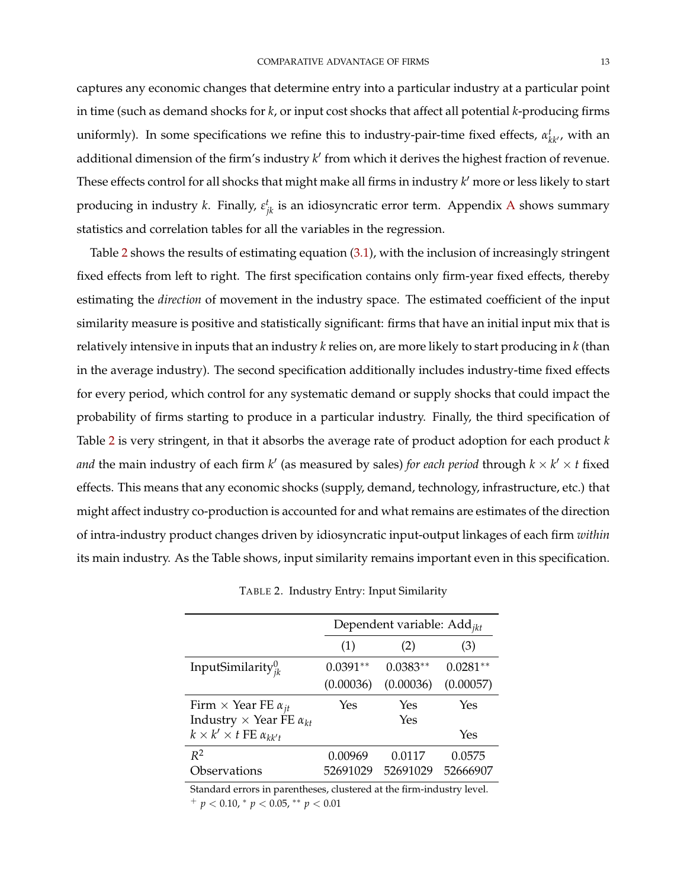captures any economic changes that determine entry into a particular industry at a particular point in time (such as demand shocks for *k*, or input cost shocks that affect all potential *k*-producing firms uniformly). In some specifications we refine this to industry-pair-time fixed effects,  $\alpha_{kk'}^t$ , with an additional dimension of the firm's industry k' from which it derives the highest fraction of revenue. These effects control for all shocks that might make all firms in industry *k'* more or less likely to start producing in industry *k*. Finally,  $\varepsilon_{jk}^t$  is an idiosyncratic error term. [A](#page-53-0)ppendix A shows summary statistics and correlation tables for all the variables in the regression.

Table [2](#page-13-0) shows the results of estimating equation [\(3.1\)](#page-12-0), with the inclusion of increasingly stringent fixed effects from left to right. The first specification contains only firm-year fixed effects, thereby estimating the *direction* of movement in the industry space. The estimated coefficient of the input similarity measure is positive and statistically significant: firms that have an initial input mix that is relatively intensive in inputs that an industry *k* relies on, are more likely to start producing in *k* (than in the average industry). The second specification additionally includes industry-time fixed effects for every period, which control for any systematic demand or supply shocks that could impact the probability of firms starting to produce in a particular industry. Finally, the third specification of Table [2](#page-13-0) is very stringent, in that it absorbs the average rate of product adoption for each product *k* and the main industry of each firm  $k'$  (as measured by sales) *for each period* through  $k \times k' \times t$  fixed effects. This means that any economic shocks (supply, demand, technology, infrastructure, etc.) that might affect industry co-production is accounted for and what remains are estimates of the direction of intra-industry product changes driven by idiosyncratic input-output linkages of each firm *within* its main industry. As the Table shows, input similarity remains important even in this specification.

<span id="page-13-0"></span>

|                                           | Dependent variable: Add <sub>ikt</sub> |            |            |  |  |  |
|-------------------------------------------|----------------------------------------|------------|------------|--|--|--|
|                                           | (1)                                    | (2)        | (3)        |  |  |  |
| InputSimilarity $_{ik}^0$                 | $0.0391**$                             | $0.0383**$ | $0.0281**$ |  |  |  |
|                                           | (0.00036)                              | (0.00036)  | (0.00057)  |  |  |  |
| Firm $\times$ Year FE $\alpha_{jt}$       | Yes                                    | Yes        | Yes        |  |  |  |
| Industry $\times$ Year FE $\alpha_{kt}$   |                                        | Yes        |            |  |  |  |
| $k \times k' \times t$ FE $\alpha_{kk't}$ |                                        |            | Yes        |  |  |  |
| $R^2$                                     | 0.00969                                | 0.0117     | 0.0575     |  |  |  |
| Observations                              | 52691029                               | 52691029   | 52666907   |  |  |  |

TABLE 2. Industry Entry: Input Similarity

Standard errors in parentheses, clustered at the firm-industry level. <sup>+</sup> *p* < 0.10, <sup>∗</sup> *p* < 0.05, ∗∗ *p* < 0.01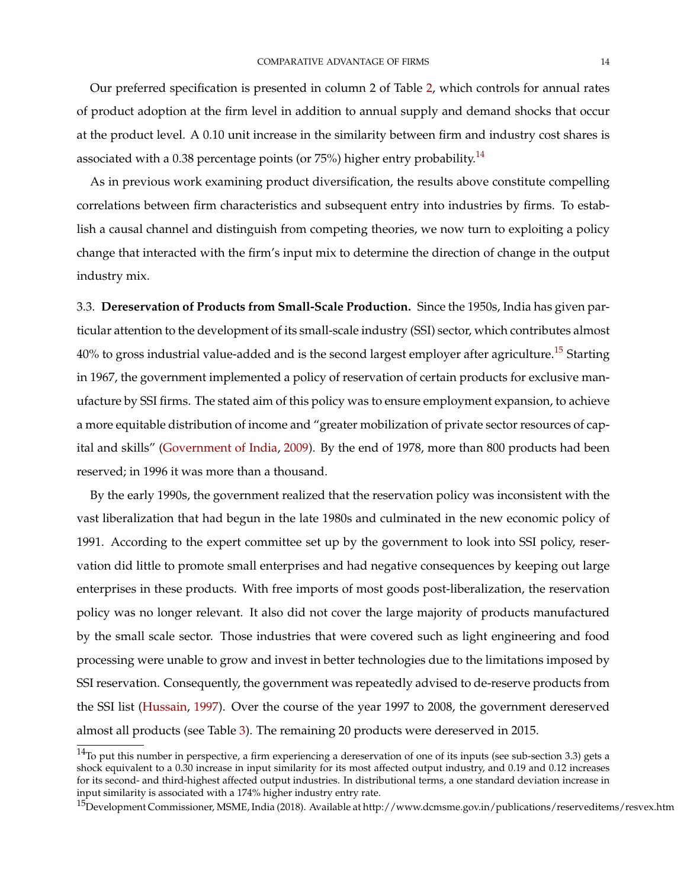Our preferred specification is presented in column 2 of Table [2,](#page-13-0) which controls for annual rates of product adoption at the firm level in addition to annual supply and demand shocks that occur at the product level. A 0.10 unit increase in the similarity between firm and industry cost shares is associated with a 0.38 percentage points (or  $75\%$ ) higher entry probability.<sup>[14](#page-0-0)</sup>

As in previous work examining product diversification, the results above constitute compelling correlations between firm characteristics and subsequent entry into industries by firms. To establish a causal channel and distinguish from competing theories, we now turn to exploiting a policy change that interacted with the firm's input mix to determine the direction of change in the output industry mix.

3.3. **Dereservation of Products from Small-Scale Production.** Since the 1950s, India has given particular attention to the development of its small-scale industry (SSI) sector, which contributes almost 40% to gross industrial value-added and is the second largest employer after agriculture.<sup>[15](#page-0-0)</sup> Starting in 1967, the government implemented a policy of reservation of certain products for exclusive manufacture by SSI firms. The stated aim of this policy was to ensure employment expansion, to achieve a more equitable distribution of income and "greater mobilization of private sector resources of capital and skills" [\(Government of India,](#page-50-13) [2009\)](#page-50-13). By the end of 1978, more than 800 products had been reserved; in 1996 it was more than a thousand.

By the early 1990s, the government realized that the reservation policy was inconsistent with the vast liberalization that had begun in the late 1980s and culminated in the new economic policy of 1991. According to the expert committee set up by the government to look into SSI policy, reservation did little to promote small enterprises and had negative consequences by keeping out large enterprises in these products. With free imports of most goods post-liberalization, the reservation policy was no longer relevant. It also did not cover the large majority of products manufactured by the small scale sector. Those industries that were covered such as light engineering and food processing were unable to grow and invest in better technologies due to the limitations imposed by SSI reservation. Consequently, the government was repeatedly advised to de-reserve products from the SSI list [\(Hussain,](#page-50-14) [1997\)](#page-50-14). Over the course of the year 1997 to 2008, the government dereserved almost all products (see Table [3\)](#page-15-0). The remaining 20 products were dereserved in 2015.

 $14$ To put this number in perspective, a firm experiencing a dereservation of one of its inputs (see sub-section 3.3) gets a shock equivalent to a 0.30 increase in input similarity for its most affected output industry, and 0.19 and 0.12 increases for its second- and third-highest affected output industries. In distributional terms, a one standard deviation increase in input similarity is associated with a 174% higher industry entry rate.

<sup>&</sup>lt;sup>15</sup>Development Commissioner, MSME, India (2018). Available at http://www.dcmsme.gov.in/publications/reserveditems/resvex.htm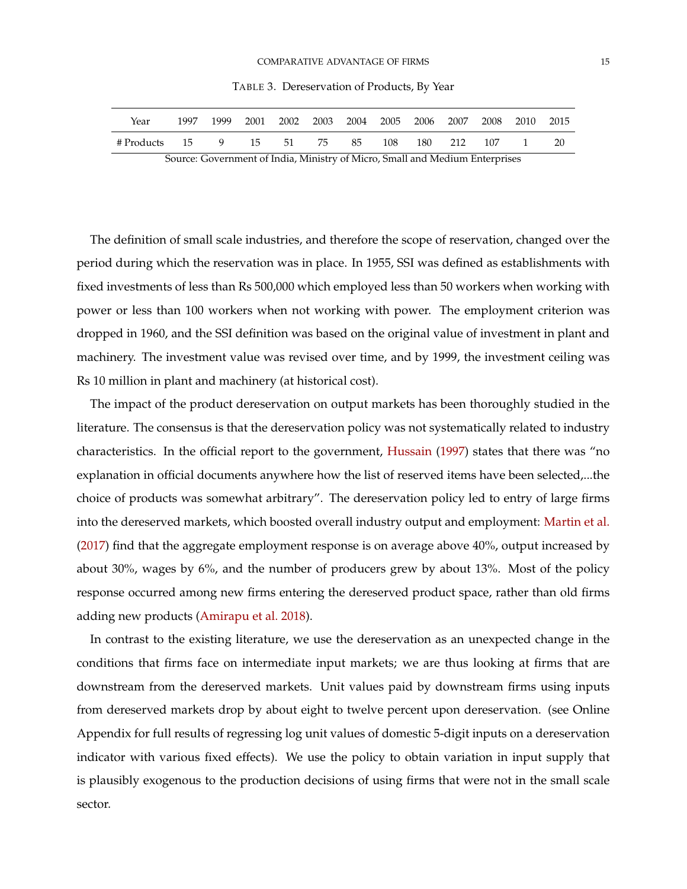TABLE 3. Dereservation of Products, By Year

<span id="page-15-0"></span>

| Year                                                                                                                  | 1997 | 1999 |  | 2001 2002 2003 2004 2005 2006 2007 2008 2010 2015 |  |  |  |  |  |          |    |
|-----------------------------------------------------------------------------------------------------------------------|------|------|--|---------------------------------------------------|--|--|--|--|--|----------|----|
| #Products 15 9 15 51 75 85 108 180 212 107                                                                            |      |      |  |                                                   |  |  |  |  |  | $\sim$ 1 | 20 |
| $C_1$ and $C_2$ is a set of $T$ . It is $M$ is the set $(M)$ as $C_2$ iffer a $TM$ . It is $T$ if $T$ is a set of $T$ |      |      |  |                                                   |  |  |  |  |  |          |    |

Source: Government of India, Ministry of Micro, Small and Medium Enterprises

The definition of small scale industries, and therefore the scope of reservation, changed over the period during which the reservation was in place. In 1955, SSI was defined as establishments with fixed investments of less than Rs 500,000 which employed less than 50 workers when working with power or less than 100 workers when not working with power. The employment criterion was dropped in 1960, and the SSI definition was based on the original value of investment in plant and machinery. The investment value was revised over time, and by 1999, the investment ceiling was Rs 10 million in plant and machinery (at historical cost).

The impact of the product dereservation on output markets has been thoroughly studied in the literature. The consensus is that the dereservation policy was not systematically related to industry characteristics. In the official report to the government, [Hussain](#page-50-14) [\(1997\)](#page-50-14) states that there was "no explanation in official documents anywhere how the list of reserved items have been selected,...the choice of products was somewhat arbitrary". The dereservation policy led to entry of large firms into the dereserved markets, which boosted overall industry output and employment: [Martin et al.](#page-51-8) [\(2017\)](#page-51-8) find that the aggregate employment response is on average above 40%, output increased by about 30%, wages by 6%, and the number of producers grew by about 13%. Most of the policy response occurred among new firms entering the dereserved product space, rather than old firms adding new products [\(Amirapu et al.](#page-46-3) [2018\)](#page-46-3).

In contrast to the existing literature, we use the dereservation as an unexpected change in the conditions that firms face on intermediate input markets; we are thus looking at firms that are downstream from the dereserved markets. Unit values paid by downstream firms using inputs from dereserved markets drop by about eight to twelve percent upon dereservation. (see Online Appendix for full results of regressing log unit values of domestic 5-digit inputs on a dereservation indicator with various fixed effects). We use the policy to obtain variation in input supply that is plausibly exogenous to the production decisions of using firms that were not in the small scale sector.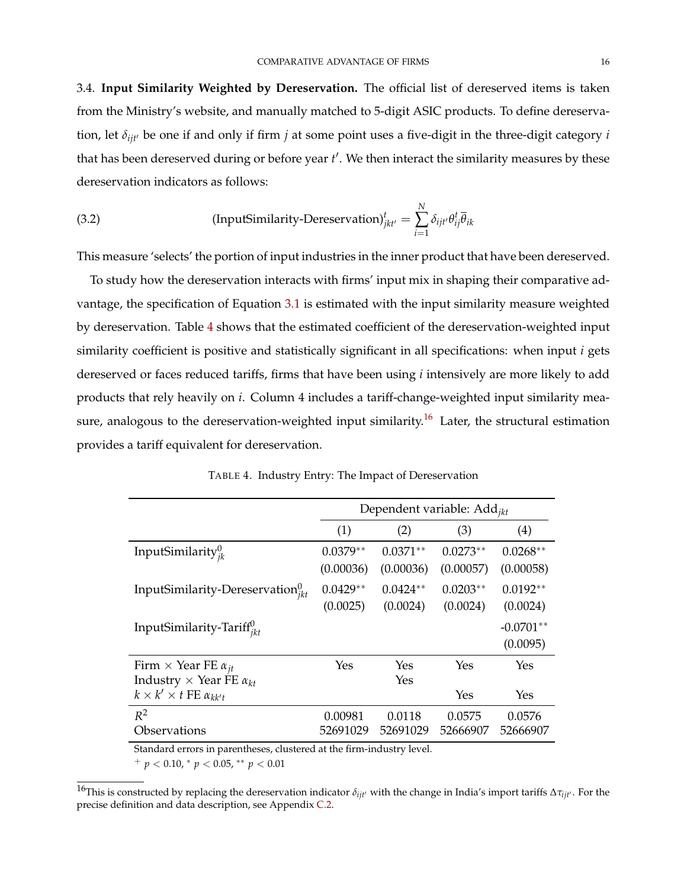3.4. **Input Similarity Weighted by Dereservation.** The official list of dereserved items is taken from the Ministry's website, and manually matched to 5-digit ASIC products. To define dereservation, let  $\delta_{i i t}$ <sup>*b*</sup> be one if and only if firm *j* at some point uses a five-digit in the three-digit category *i* 

that has been dereserved during or before year t'. We then interact the similarity measures by these dereservation indicators as follows:

<span id="page-16-1"></span>(3.2) (InputSimilarly-Dereservation)<sup>t</sup><sub>*jkt'*</sub> = 
$$
\sum_{i=1}^{N} \delta_{ijt'} \theta_{ij}^t \overline{\theta}_{ik}
$$

This measure 'selects' the portion of input industries in the inner product that have been dereserved.

To study how the dereservation interacts with firms' input mix in shaping their comparative advantage, the specification of Equation [3.1](#page-12-0) is estimated with the input similarity measure weighted by dereservation. Table [4](#page-16-0) shows that the estimated coefficient of the dereservation-weighted input similarity coefficient is positive and statistically significant in all specifications: when input *i* gets dereserved or faces reduced tariffs, firms that have been using *i* intensively are more likely to add products that rely heavily on *i*. Column 4 includes a tariff-change-weighted input similarity mea-sure, analogous to the dereservation-weighted input similarity.<sup>[16](#page-0-0)</sup> Later, the structural estimation provides a tariff equivalent for dereservation.

<span id="page-16-0"></span>

|                                           | Dependent variable: $Add_{ikt}$ |            |            |             |  |  |
|-------------------------------------------|---------------------------------|------------|------------|-------------|--|--|
|                                           | (1)                             | (2)        | (3)        | (4)         |  |  |
| InputSimilarity $v_{ik}^0$                | $0.0379**$                      | $0.0371**$ | $0.0273**$ | $0.0268**$  |  |  |
|                                           | (0.00036)                       | (0.00036)  | (0.00057)  | (0.00058)   |  |  |
| InputSimilarity-Dereservation $v_{ikt}^0$ | $0.0429**$                      | $0.0424**$ | $0.0203**$ | $0.0192**$  |  |  |
|                                           | (0.0025)                        | (0.0024)   | (0.0024)   | (0.0024)    |  |  |
| InputSimilarity-Tariff $v_{ikt}$          |                                 |            |            | $-0.0701**$ |  |  |
|                                           |                                 |            |            | (0.0095)    |  |  |
| Firm $\times$ Year FE $\alpha_{it}$       | Yes                             | Yes        | Yes        | Yes         |  |  |
| Industry $\times$ Year FE $\alpha_{kt}$   |                                 | Yes        |            |             |  |  |
| $k \times k' \times t$ FE $\alpha_{kk't}$ |                                 |            | Yes        | Yes         |  |  |
| $R^2$                                     | 0.00981                         | 0.0118     | 0.0575     | 0.0576      |  |  |
| Observations                              | 52691029                        | 52691029   | 52666907   | 52666907    |  |  |

TABLE 4. Industry Entry: The Impact of Dereservation

Standard errors in parentheses, clustered at the firm-industry level.

<sup>+</sup> *p* < 0.10, <sup>∗</sup> *p* < 0.05, ∗∗ *p* < 0.01

<sup>&</sup>lt;sup>16</sup>This is constructed by replacing the dereservation indicator  $\delta_{ijt}$ <sup>*i*</sup> with the change in India's import tariffs  $\Delta \tau_{ijt}$ *.* For the precise definition and data description, see Appendix [C.2.](#page-62-0)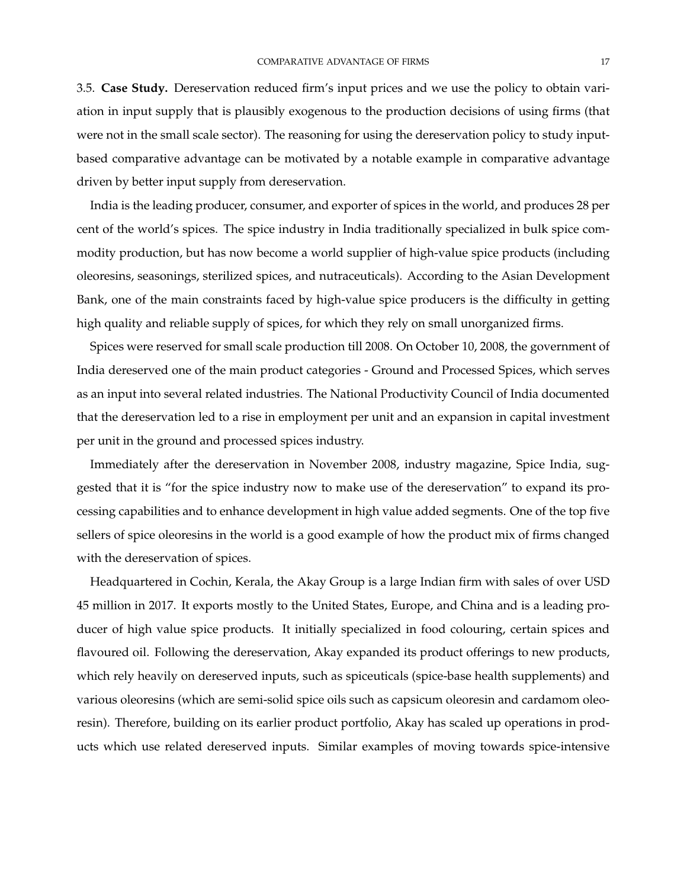3.5. **Case Study.** Dereservation reduced firm's input prices and we use the policy to obtain variation in input supply that is plausibly exogenous to the production decisions of using firms (that were not in the small scale sector). The reasoning for using the dereservation policy to study inputbased comparative advantage can be motivated by a notable example in comparative advantage driven by better input supply from dereservation.

India is the leading producer, consumer, and exporter of spices in the world, and produces 28 per cent of the world's spices. The spice industry in India traditionally specialized in bulk spice commodity production, but has now become a world supplier of high-value spice products (including oleoresins, seasonings, sterilized spices, and nutraceuticals). According to the Asian Development Bank, one of the main constraints faced by high-value spice producers is the difficulty in getting high quality and reliable supply of spices, for which they rely on small unorganized firms.

Spices were reserved for small scale production till 2008. On October 10, 2008, the government of India dereserved one of the main product categories - Ground and Processed Spices, which serves as an input into several related industries. The National Productivity Council of India documented that the dereservation led to a rise in employment per unit and an expansion in capital investment per unit in the ground and processed spices industry.

Immediately after the dereservation in November 2008, industry magazine, Spice India, suggested that it is "for the spice industry now to make use of the dereservation" to expand its processing capabilities and to enhance development in high value added segments. One of the top five sellers of spice oleoresins in the world is a good example of how the product mix of firms changed with the dereservation of spices.

Headquartered in Cochin, Kerala, the Akay Group is a large Indian firm with sales of over USD 45 million in 2017. It exports mostly to the United States, Europe, and China and is a leading producer of high value spice products. It initially specialized in food colouring, certain spices and flavoured oil. Following the dereservation, Akay expanded its product offerings to new products, which rely heavily on dereserved inputs, such as spiceuticals (spice-base health supplements) and various oleoresins (which are semi-solid spice oils such as capsicum oleoresin and cardamom oleoresin). Therefore, building on its earlier product portfolio, Akay has scaled up operations in products which use related dereserved inputs. Similar examples of moving towards spice-intensive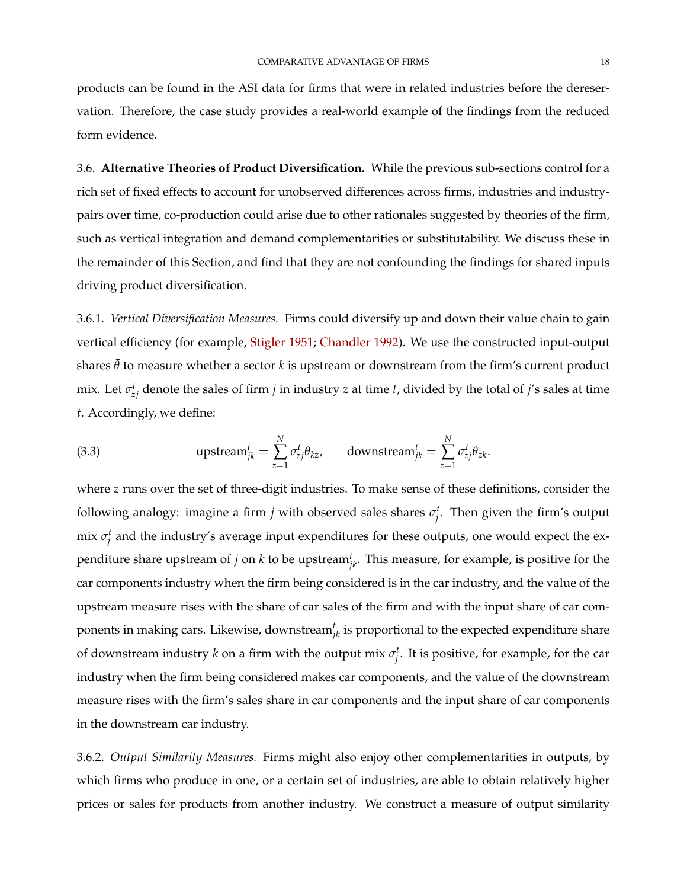products can be found in the ASI data for firms that were in related industries before the dereservation. Therefore, the case study provides a real-world example of the findings from the reduced form evidence.

3.6. **Alternative Theories of Product Diversification.** While the previous sub-sections control for a rich set of fixed effects to account for unobserved differences across firms, industries and industrypairs over time, co-production could arise due to other rationales suggested by theories of the firm, such as vertical integration and demand complementarities or substitutability. We discuss these in the remainder of this Section, and find that they are not confounding the findings for shared inputs driving product diversification.

3.6.1. *Vertical Diversification Measures.* Firms could diversify up and down their value chain to gain vertical efficiency (for example, [Stigler](#page-52-0) [1951;](#page-52-0) [Chandler](#page-48-0) [1992\)](#page-48-0). We use the constructed input-output shares  $\bar{\theta}$  to measure whether a sector *k* is upstream or downstream from the firm's current product mix. Let  $\sigma_{zj}^t$  denote the sales of firm *j* in industry *z* at time *t*, divided by the total of *j's* sales at time *t*. Accordingly, we define:

(3.3) 
$$
\text{upstream}_{jk}^t = \sum_{z=1}^N \sigma_{zj}^t \overline{\theta}_{kz}, \qquad \text{downstream}_{jk}^t = \sum_{z=1}^N \sigma_{zj}^t \overline{\theta}_{zk}.
$$

where *z* runs over the set of three-digit industries. To make sense of these definitions, consider the following analogy: imagine a firm *j* with observed sales shares  $\sigma_j^t$ . Then given the firm's output mix  $\sigma_j^t$  and the industry's average input expenditures for these outputs, one would expect the expenditure share upstream of *j* on *k* to be upstream*<sup>t</sup> jk*. This measure, for example, is positive for the car components industry when the firm being considered is in the car industry, and the value of the upstream measure rises with the share of car sales of the firm and with the input share of car components in making cars. Likewise, downstream $^t_{jk}$  is proportional to the expected expenditure share of downstream industry *k* on a firm with the output mix *σ t j* . It is positive, for example, for the car industry when the firm being considered makes car components, and the value of the downstream measure rises with the firm's sales share in car components and the input share of car components in the downstream car industry.

3.6.2. *Output Similarity Measures.* Firms might also enjoy other complementarities in outputs, by which firms who produce in one, or a certain set of industries, are able to obtain relatively higher prices or sales for products from another industry. We construct a measure of output similarity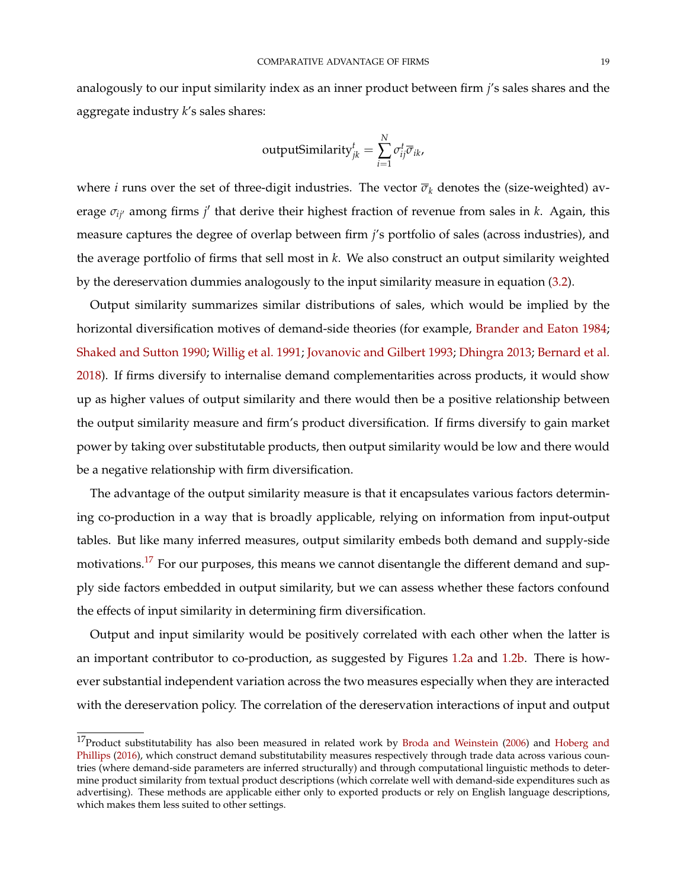analogously to our input similarity index as an inner product between firm *j*'s sales shares and the aggregate industry *k*'s sales shares:

outputSimilarly<sup>*t*</sup><sub>*jk*</sub> = 
$$
\sum_{i=1}^{N} \sigma_{ij}^{t} \overline{\sigma}_{ik}
$$
,

where *i* runs over the set of three-digit industries. The vector  $\overline{\sigma}_k$  denotes the (size-weighted) average *σ*<sub>*ij*</sub> among firms *j'* that derive their highest fraction of revenue from sales in *k*. Again, this measure captures the degree of overlap between firm *j*'s portfolio of sales (across industries), and the average portfolio of firms that sell most in *k*. We also construct an output similarity weighted by the dereservation dummies analogously to the input similarity measure in equation [\(3.2\)](#page-16-1).

Output similarity summarizes similar distributions of sales, which would be implied by the horizontal diversification motives of demand-side theories (for example, [Brander and Eaton](#page-48-9) [1984;](#page-48-9) [Shaked and Sutton](#page-52-9) [1990;](#page-52-9) [Willig et al.](#page-52-2) [1991;](#page-52-2) [Jovanovic and Gilbert](#page-50-0) [1993;](#page-50-0) [Dhingra](#page-48-4) [2013;](#page-48-4) [Bernard et al.](#page-47-5) [2018\)](#page-47-5). If firms diversify to internalise demand complementarities across products, it would show up as higher values of output similarity and there would then be a positive relationship between the output similarity measure and firm's product diversification. If firms diversify to gain market power by taking over substitutable products, then output similarity would be low and there would be a negative relationship with firm diversification.

The advantage of the output similarity measure is that it encapsulates various factors determining co-production in a way that is broadly applicable, relying on information from input-output tables. But like many inferred measures, output similarity embeds both demand and supply-side motivations.<sup>[17](#page-0-0)</sup> For our purposes, this means we cannot disentangle the different demand and supply side factors embedded in output similarity, but we can assess whether these factors confound the effects of input similarity in determining firm diversification.

Output and input similarity would be positively correlated with each other when the latter is an important contributor to co-production, as suggested by Figures [1.2a](#page-3-1) and [1.2b.](#page-3-2) There is however substantial independent variation across the two measures especially when they are interacted with the dereservation policy. The correlation of the dereservation interactions of input and output

 $17$ Product substitutability has also been measured in related work by [Broda and Weinstein](#page-48-10) [\(2006\)](#page-48-10) and [Hoberg and](#page-50-1) [Phillips](#page-50-1) [\(2016\)](#page-50-1), which construct demand substitutability measures respectively through trade data across various countries (where demand-side parameters are inferred structurally) and through computational linguistic methods to determine product similarity from textual product descriptions (which correlate well with demand-side expenditures such as advertising). These methods are applicable either only to exported products or rely on English language descriptions, which makes them less suited to other settings.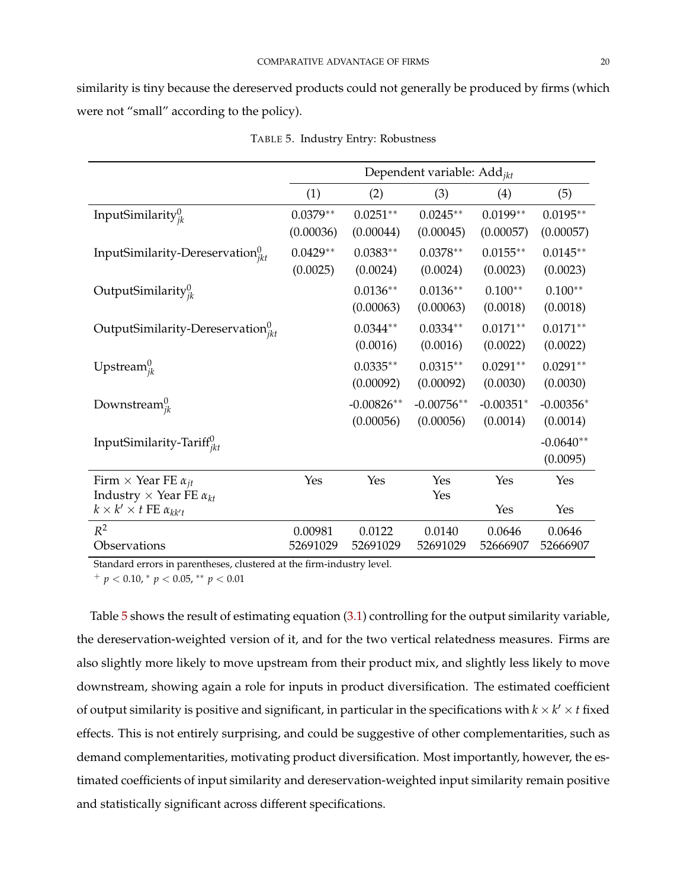similarity is tiny because the dereserved products could not generally be produced by firms (which were not "small" according to the policy).

<span id="page-20-0"></span>

|                                                                                | Dependent variable: $Add_{ikt}$ |                           |                           |                         |                         |  |
|--------------------------------------------------------------------------------|---------------------------------|---------------------------|---------------------------|-------------------------|-------------------------|--|
|                                                                                | (1)                             | (2)                       | (3)                       | (4)                     | (5)                     |  |
| InputSimilarity $v_{ik}^0$                                                     | $0.0379**$<br>(0.00036)         | $0.0251**$<br>(0.00044)   | $0.0245**$<br>(0.00045)   | $0.0199**$<br>(0.00057) | $0.0195**$<br>(0.00057) |  |
| InputSimilarity-Dereservation $v_{ikt}^0$                                      | $0.0429**$<br>(0.0025)          | $0.0383**$<br>(0.0024)    | $0.0378**$<br>(0.0024)    | $0.0155***$<br>(0.0023) | $0.0145**$<br>(0.0023)  |  |
| OutputSimilarity $y_{ik}^0$                                                    |                                 | $0.0136**$<br>(0.00063)   | $0.0136**$<br>(0.00063)   | $0.100**$<br>(0.0018)   | $0.100**$<br>(0.0018)   |  |
| OutputSimilarity-Dereservation $v_{ikt}^0$                                     |                                 | $0.0344**$<br>(0.0016)    | $0.0334**$<br>(0.0016)    | $0.0171**$<br>(0.0022)  | $0.0171**$<br>(0.0022)  |  |
| Upstream $_{ik}^0$                                                             |                                 | $0.0335**$<br>(0.00092)   | $0.0315**$<br>(0.00092)   | $0.0291**$<br>(0.0030)  | $0.0291**$<br>(0.0030)  |  |
| Downstream $_{ik}^0$                                                           |                                 | $-0.00826**$<br>(0.00056) | $-0.00756**$<br>(0.00056) | $-0.00351*$<br>(0.0014) | $-0.00356*$<br>(0.0014) |  |
| InputSimilarity-Tariff $v_{ikt}$                                               |                                 |                           |                           |                         | $-0.0640**$<br>(0.0095) |  |
| Firm $\times$ Year FE $\alpha_{it}$<br>Industry $\times$ Year FE $\alpha_{kt}$ | Yes                             | Yes                       | Yes<br>Yes                | Yes                     | Yes                     |  |
| $k \times k' \times t$ FE $\alpha_{kk't}$                                      |                                 |                           |                           | Yes                     | Yes                     |  |
| $R^2$<br>Observations                                                          | 0.00981<br>52691029             | 0.0122<br>52691029        | 0.0140<br>52691029        | 0.0646<br>52666907      | 0.0646<br>52666907      |  |

TABLE 5. Industry Entry: Robustness

Standard errors in parentheses, clustered at the firm-industry level.

<sup>+</sup> *p* < 0.10, <sup>∗</sup> *p* < 0.05, ∗∗ *p* < 0.01

Table [5](#page-20-0) shows the result of estimating equation [\(3.1\)](#page-12-0) controlling for the output similarity variable, the dereservation-weighted version of it, and for the two vertical relatedness measures. Firms are also slightly more likely to move upstream from their product mix, and slightly less likely to move downstream, showing again a role for inputs in product diversification. The estimated coefficient of output similarity is positive and significant, in particular in the specifications with  $k \times k' \times t$  fixed effects. This is not entirely surprising, and could be suggestive of other complementarities, such as demand complementarities, motivating product diversification. Most importantly, however, the estimated coefficients of input similarity and dereservation-weighted input similarity remain positive and statistically significant across different specifications.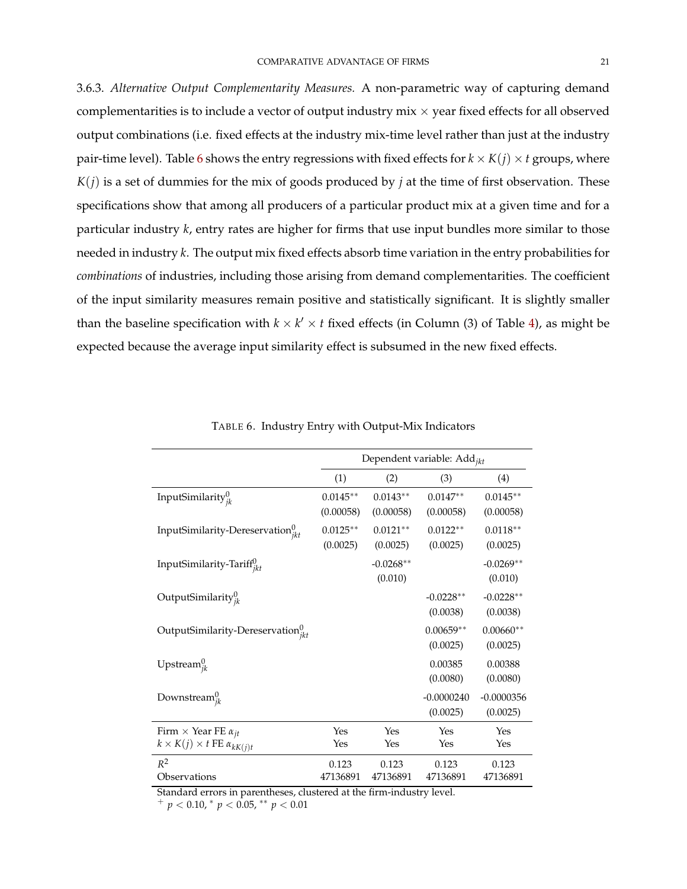3.6.3. *Alternative Output Complementarity Measures.* A non-parametric way of capturing demand complementarities is to include a vector of output industry  $mix \times year$  fixed effects for all observed output combinations (i.e. fixed effects at the industry mix-time level rather than just at the industry pair-time level). Table [6](#page-21-0) shows the entry regressions with fixed effects for  $k \times K(j) \times t$  groups, where  $K(j)$  is a set of dummies for the mix of goods produced by *j* at the time of first observation. These specifications show that among all producers of a particular product mix at a given time and for a particular industry *k*, entry rates are higher for firms that use input bundles more similar to those needed in industry *k*. The output mix fixed effects absorb time variation in the entry probabilities for *combinations* of industries, including those arising from demand complementarities. The coefficient of the input similarity measures remain positive and statistically significant. It is slightly smaller than the baseline specification with  $k \times k' \times t$  fixed effects (in Column (3) of Table [4\)](#page-16-0), as might be expected because the average input similarity effect is subsumed in the new fixed effects.

<span id="page-21-0"></span>

|                                                                                      | Dependent variable: Add <sub>ikt</sub> |                         |                          |                          |  |  |
|--------------------------------------------------------------------------------------|----------------------------------------|-------------------------|--------------------------|--------------------------|--|--|
|                                                                                      | (1)                                    | (2)                     | (3)                      | (4)                      |  |  |
| InputSimilarity $_{ik}^0$                                                            | $0.0145**$<br>(0.00058)                | $0.0143**$<br>(0.00058) | $0.0147**$<br>(0.00058)  | $0.0145**$<br>(0.00058)  |  |  |
| InputSimilarity-Dereservation $v_{ikt}^0$                                            | $0.0125**$<br>(0.0025)                 | $0.0121**$<br>(0.0025)  | $0.0122**$<br>(0.0025)   | $0.0118**$<br>(0.0025)   |  |  |
| InputSimilarity-Tariff <sup>U</sup> ikt                                              |                                        | $-0.0268**$<br>(0.010)  |                          | $-0.0269**$<br>(0.010)   |  |  |
| OutputSimilarity $_{ik}^0$                                                           |                                        |                         | $-0.0228**$<br>(0.0038)  | $-0.0228**$<br>(0.0038)  |  |  |
| OutputSimilarity-Dereservation ${}_{ikt}^{0}$                                        |                                        |                         | $0.00659**$<br>(0.0025)  | $0.00660**$<br>(0.0025)  |  |  |
| Upstream $_{ik}^0$                                                                   |                                        |                         | 0.00385<br>(0.0080)      | 0.00388<br>(0.0080)      |  |  |
| Downstream $_{ik}^{0}$                                                               |                                        |                         | $-0.0000240$<br>(0.0025) | $-0.0000356$<br>(0.0025) |  |  |
| Firm $\times$ Year FE $\alpha_{it}$<br>$k \times K(j) \times t$ FE $\alpha_{kK(j)t}$ | Yes<br>Yes                             | Yes<br>Yes              | Yes<br>Yes               | Yes<br>Yes               |  |  |
| $R^2$<br>Observations                                                                | 0.123<br>47136891                      | 0.123<br>47136891       | 0.123<br>47136891        | 0.123<br>47136891        |  |  |

TABLE 6. Industry Entry with Output-Mix Indicators

Standard errors in parentheses, clustered at the firm-industry level.

<sup>+</sup> *p* < 0.10, <sup>∗</sup> *p* < 0.05, ∗∗ *p* < 0.01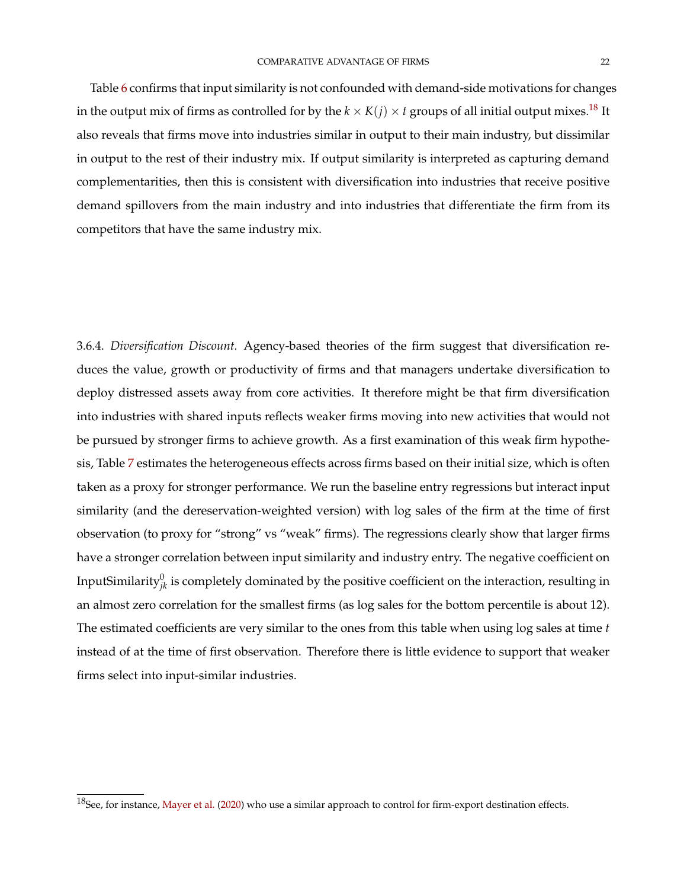Table [6](#page-21-0) confirms that input similarity is not confounded with demand-side motivations for changes in the output mix of firms as controlled for by the  $k \times K(j) \times t$  groups of all initial output mixes.<sup>[18](#page-0-0)</sup> It also reveals that firms move into industries similar in output to their main industry, but dissimilar in output to the rest of their industry mix. If output similarity is interpreted as capturing demand complementarities, then this is consistent with diversification into industries that receive positive demand spillovers from the main industry and into industries that differentiate the firm from its competitors that have the same industry mix.

3.6.4. *Diversification Discount.* Agency-based theories of the firm suggest that diversification reduces the value, growth or productivity of firms and that managers undertake diversification to deploy distressed assets away from core activities. It therefore might be that firm diversification into industries with shared inputs reflects weaker firms moving into new activities that would not be pursued by stronger firms to achieve growth. As a first examination of this weak firm hypothesis, Table [7](#page-23-0) estimates the heterogeneous effects across firms based on their initial size, which is often taken as a proxy for stronger performance. We run the baseline entry regressions but interact input similarity (and the dereservation-weighted version) with log sales of the firm at the time of first observation (to proxy for "strong" vs "weak" firms). The regressions clearly show that larger firms have a stronger correlation between input similarity and industry entry. The negative coefficient on InputSimilarity $^0_{jk}$  is completely dominated by the positive coefficient on the interaction, resulting in an almost zero correlation for the smallest firms (as log sales for the bottom percentile is about 12). The estimated coefficients are very similar to the ones from this table when using log sales at time *t* instead of at the time of first observation. Therefore there is little evidence to support that weaker firms select into input-similar industries.

 $18$ See, for instance, [Mayer et al.](#page-51-15) [\(2020\)](#page-51-15) who use a similar approach to control for firm-export destination effects.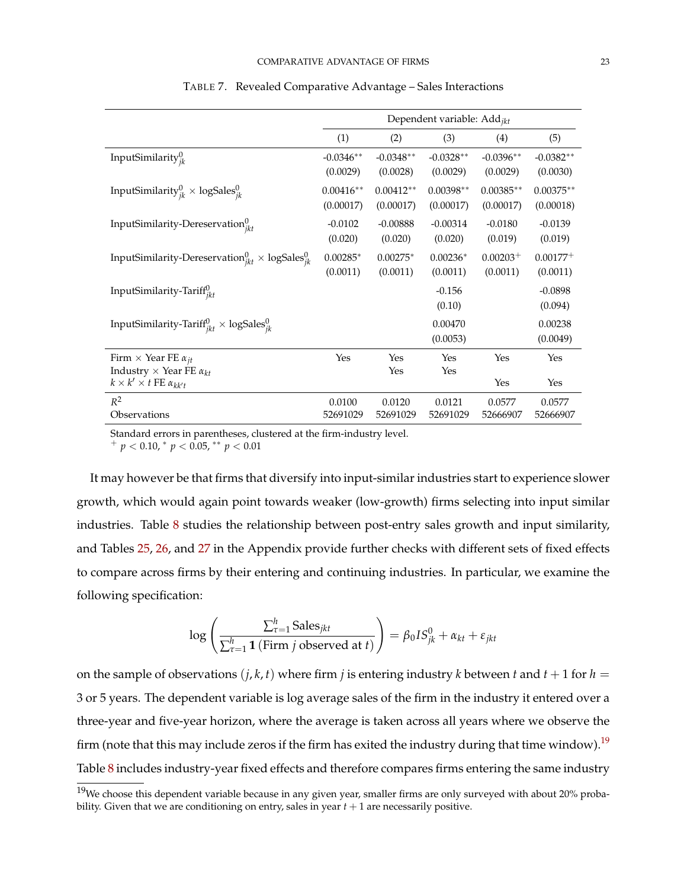<span id="page-23-0"></span>

|                                                                                      | Dependent variable: Add <sub>ikt</sub> |                          |                          |                          |                           |  |
|--------------------------------------------------------------------------------------|----------------------------------------|--------------------------|--------------------------|--------------------------|---------------------------|--|
|                                                                                      | (1)                                    | (2)                      | (3)                      | (4)                      | (5)                       |  |
| InputSimilarity $_{ik}^0$                                                            | $-0.0346**$<br>(0.0029)                | $-0.0348**$<br>(0.0028)  | $-0.0328**$<br>(0.0029)  | $-0.0396**$<br>(0.0029)  | $-0.0382**$<br>(0.0030)   |  |
| InputSimilarity $_{ik}^{0}$ × logSales $_{ik}^{0}$                                   | $0.00416**$<br>(0.00017)               | $0.00412**$<br>(0.00017) | $0.00398**$<br>(0.00017) | $0.00385**$<br>(0.00017) | $0.00375**$<br>(0.00018)  |  |
| InputSimilarity-Dereservation $v_{ikt}^0$                                            | $-0.0102$<br>(0.020)                   | $-0.00888$<br>(0.020)    | $-0.00314$<br>(0.020)    | $-0.0180$<br>(0.019)     | $-0.0139$<br>(0.019)      |  |
| InputSimilarity-Dereservation $_{ikt}^{0}$ × logSales $_{ik}^{0}$                    | $0.00285*$<br>(0.0011)                 | $0.00275*$<br>(0.0011)   | $0.00236*$<br>(0.0011)   | $0.00203+$<br>(0.0011)   | $0.00177^{+}$<br>(0.0011) |  |
| InputSimilarity-Tariff <sup>0</sup>                                                  |                                        |                          | $-0.156$<br>(0.10)       |                          | $-0.0898$<br>(0.094)      |  |
| InputSimilarity-Tariff ${}_{ikt}^{0}$ × logSales ${}_{jk}^{0}$                       |                                        |                          | 0.00470<br>(0.0053)      |                          | 0.00238<br>(0.0049)       |  |
| Firm $\times$ Year FE $\alpha_{it}$                                                  | Yes                                    | Yes                      | Yes                      | Yes                      | Yes                       |  |
| Industry $\times$ Year FE $\alpha_{kt}$<br>$k \times k' \times t$ FE $\alpha_{kk't}$ |                                        | Yes                      | Yes                      | Yes                      | Yes                       |  |
| $R^2$<br>Observations                                                                | 0.0100<br>52691029                     | 0.0120<br>52691029       | 0.0121<br>52691029       | 0.0577<br>52666907       | 0.0577<br>52666907        |  |

TABLE 7. Revealed Comparative Advantage – Sales Interactions

Standard errors in parentheses, clustered at the firm-industry level.

<sup>+</sup> *p* < 0.10, <sup>∗</sup> *p* < 0.05, ∗∗ *p* < 0.01

It may however be that firms that diversify into input-similar industries start to experience slower growth, which would again point towards weaker (low-growth) firms selecting into input similar industries. Table [8](#page-24-0) studies the relationship between post-entry sales growth and input similarity, and Tables [25,](#page-61-0) [26,](#page-61-1) and [27](#page-62-1) in the Appendix provide further checks with different sets of fixed effects to compare across firms by their entering and continuing industries. In particular, we examine the following specification:

$$
\log\left(\frac{\sum_{\tau=1}^{h}\text{Sales}_{jkt}}{\sum_{\tau=1}^{h}\mathbf{1}\left(\text{Firm } j \text{ observed at } t\right)}\right) = \beta_0 IS_{jk}^0 + \alpha_{kt} + \varepsilon_{jkt}
$$

on the sample of observations  $(j, k, t)$  where firm *j* is entering industry *k* between *t* and  $t + 1$  for  $h =$ 3 or 5 years. The dependent variable is log average sales of the firm in the industry it entered over a three-year and five-year horizon, where the average is taken across all years where we observe the firm (note that this may include zeros if the firm has exited the industry during that time window).<sup>[19](#page-0-0)</sup> Table [8](#page-24-0) includes industry-year fixed effects and therefore compares firms entering the same industry

 $19$ We choose this dependent variable because in any given year, smaller firms are only surveyed with about 20% probability. Given that we are conditioning on entry, sales in year  $t + 1$  are necessarily positive.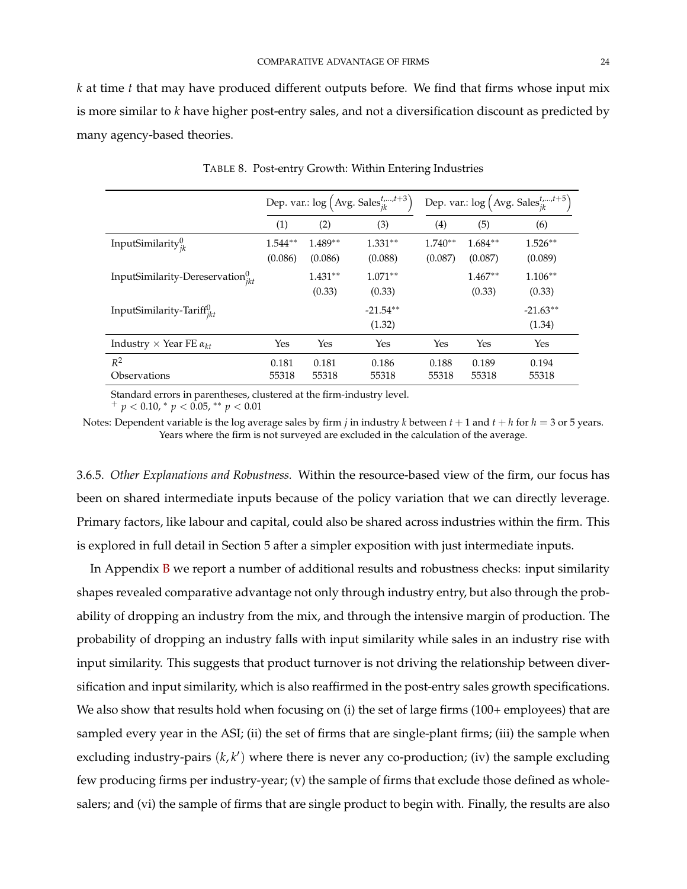*k* at time *t* that may have produced different outputs before. We find that firms whose input mix is more similar to *k* have higher post-entry sales, and not a diversification discount as predicted by many agency-based theories.

<span id="page-24-0"></span>

|                                           | Dep. var.: $\log (\text{Avg. Sales}_{ik}^{t,,t+3})$ |                      |                      | Dep. var.: $\log (\text{Avg. Sales}_{ik}^{t, \dots, t+5})$ |                      |                       |  |
|-------------------------------------------|-----------------------------------------------------|----------------------|----------------------|------------------------------------------------------------|----------------------|-----------------------|--|
|                                           | (1)                                                 | (2)                  | (3)                  | (4)                                                        | (5)                  | (6)                   |  |
| InputSimilarity $_{ik}^0$                 | $1.544**$<br>(0.086)                                | $1.489**$<br>(0.086) | $1.331**$<br>(0.088) | $1.740**$<br>(0.087)                                       | $1.684**$<br>(0.087) | $1.526***$<br>(0.089) |  |
| InputSimilarity-Dereservation $v_{ikt}^0$ |                                                     | $1.431**$<br>(0.33)  | $1.071**$<br>(0.33)  |                                                            | $1.467**$<br>(0.33)  | $1.106**$<br>(0.33)   |  |
| InputSimilarity-Tariff $u_{ikt}$          |                                                     |                      | $-21.54**$<br>(1.32) |                                                            |                      | $-21.63**$<br>(1.34)  |  |
| Industry $\times$ Year FE $\alpha_{kt}$   | Yes                                                 | Yes                  | Yes                  | Yes                                                        | Yes                  | Yes                   |  |
| $R^2$<br>Observations                     | 0.181<br>55318                                      | 0.181<br>55318       | 0.186<br>55318       | 0.188<br>55318                                             | 0.189<br>55318       | 0.194<br>55318        |  |

TABLE 8. Post-entry Growth: Within Entering Industries

Standard errors in parentheses, clustered at the firm-industry level.

<sup>+</sup> *p* < 0.10, <sup>∗</sup> *p* < 0.05, ∗∗ *p* < 0.01

Notes: Dependent variable is the log average sales by firm *j* in industry *k* between  $t + 1$  and  $t + h$  for  $h = 3$  or 5 years. Years where the firm is not surveyed are excluded in the calculation of the average.

3.6.5. *Other Explanations and Robustness.* Within the resource-based view of the firm, our focus has been on shared intermediate inputs because of the policy variation that we can directly leverage. Primary factors, like labour and capital, could also be shared across industries within the firm. This is explored in full detail in Section 5 after a simpler exposition with just intermediate inputs.

In Appendix [B](#page-54-0) we report a number of additional results and robustness checks: input similarity shapes revealed comparative advantage not only through industry entry, but also through the probability of dropping an industry from the mix, and through the intensive margin of production. The probability of dropping an industry falls with input similarity while sales in an industry rise with input similarity. This suggests that product turnover is not driving the relationship between diversification and input similarity, which is also reaffirmed in the post-entry sales growth specifications. We also show that results hold when focusing on (i) the set of large firms (100+ employees) that are sampled every year in the ASI; (ii) the set of firms that are single-plant firms; (iii) the sample when excluding industry-pairs  $(k, k')$  where there is never any co-production; (iv) the sample excluding few producing firms per industry-year; (v) the sample of firms that exclude those defined as wholesalers; and (vi) the sample of firms that are single product to begin with. Finally, the results are also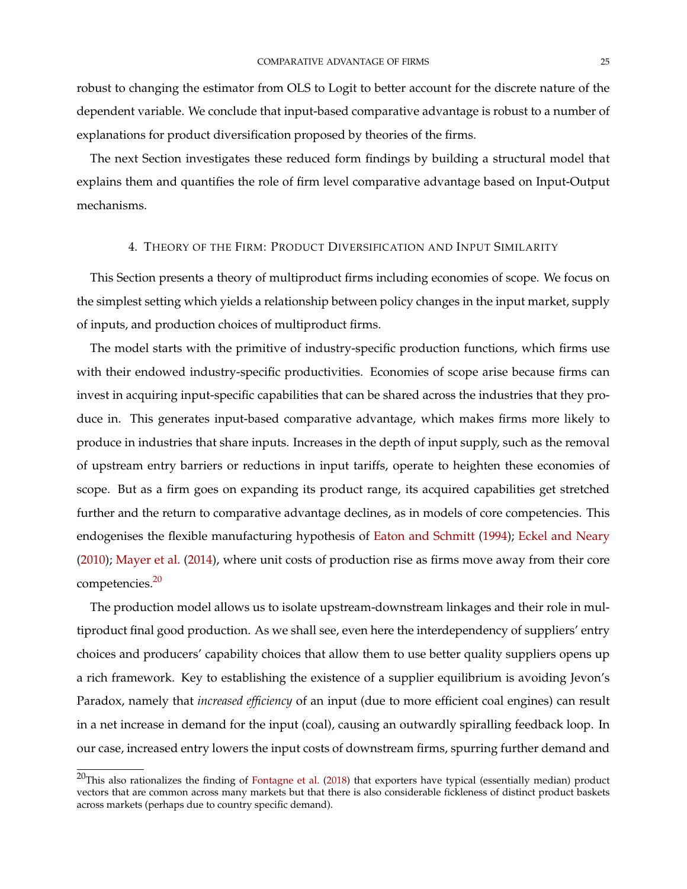robust to changing the estimator from OLS to Logit to better account for the discrete nature of the dependent variable. We conclude that input-based comparative advantage is robust to a number of explanations for product diversification proposed by theories of the firms.

The next Section investigates these reduced form findings by building a structural model that explains them and quantifies the role of firm level comparative advantage based on Input-Output mechanisms.

## 4. THEORY OF THE FIRM: PRODUCT DIVERSIFICATION AND INPUT SIMILARITY

This Section presents a theory of multiproduct firms including economies of scope. We focus on the simplest setting which yields a relationship between policy changes in the input market, supply of inputs, and production choices of multiproduct firms.

The model starts with the primitive of industry-specific production functions, which firms use with their endowed industry-specific productivities. Economies of scope arise because firms can invest in acquiring input-specific capabilities that can be shared across the industries that they produce in. This generates input-based comparative advantage, which makes firms more likely to produce in industries that share inputs. Increases in the depth of input supply, such as the removal of upstream entry barriers or reductions in input tariffs, operate to heighten these economies of scope. But as a firm goes on expanding its product range, its acquired capabilities get stretched further and the return to comparative advantage declines, as in models of core competencies. This endogenises the flexible manufacturing hypothesis of [Eaton and Schmitt](#page-49-12) [\(1994\)](#page-49-12); [Eckel and Neary](#page-49-1) [\(2010\)](#page-49-1); [Mayer et al.](#page-51-5) [\(2014\)](#page-51-5), where unit costs of production rise as firms move away from their core competencies.[20](#page-0-0)

The production model allows us to isolate upstream-downstream linkages and their role in multiproduct final good production. As we shall see, even here the interdependency of suppliers' entry choices and producers' capability choices that allow them to use better quality suppliers opens up a rich framework. Key to establishing the existence of a supplier equilibrium is avoiding Jevon's Paradox, namely that *increased efficiency* of an input (due to more efficient coal engines) can result in a net increase in demand for the input (coal), causing an outwardly spiralling feedback loop. In our case, increased entry lowers the input costs of downstream firms, spurring further demand and

 $20$ This also rationalizes the finding of [Fontagne et al.](#page-49-13) [\(2018\)](#page-49-13) that exporters have typical (essentially median) product vectors that are common across many markets but that there is also considerable fickleness of distinct product baskets across markets (perhaps due to country specific demand).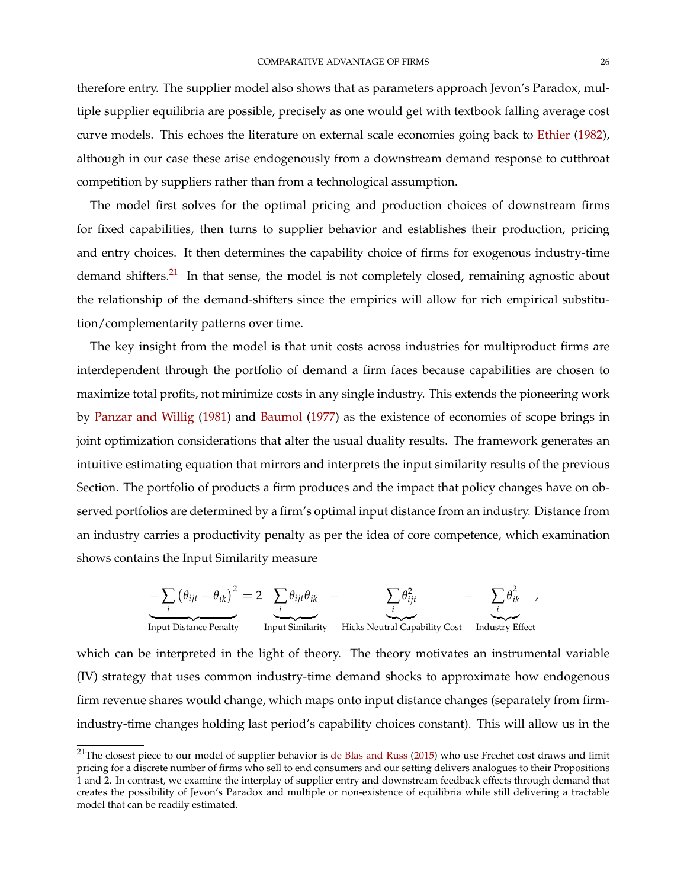therefore entry. The supplier model also shows that as parameters approach Jevon's Paradox, multiple supplier equilibria are possible, precisely as one would get with textbook falling average cost curve models. This echoes the literature on external scale economies going back to [Ethier](#page-49-14) [\(1982\)](#page-49-14), although in our case these arise endogenously from a downstream demand response to cutthroat competition by suppliers rather than from a technological assumption.

The model first solves for the optimal pricing and production choices of downstream firms for fixed capabilities, then turns to supplier behavior and establishes their production, pricing and entry choices. It then determines the capability choice of firms for exogenous industry-time demand shifters.<sup>[21](#page-0-0)</sup> In that sense, the model is not completely closed, remaining agnostic about the relationship of the demand-shifters since the empirics will allow for rich empirical substitution/complementarity patterns over time.

The key insight from the model is that unit costs across industries for multiproduct firms are interdependent through the portfolio of demand a firm faces because capabilities are chosen to maximize total profits, not minimize costs in any single industry. This extends the pioneering work by [Panzar and Willig](#page-51-6) [\(1981\)](#page-51-6) and [Baumol](#page-47-4) [\(1977\)](#page-47-4) as the existence of economies of scope brings in joint optimization considerations that alter the usual duality results. The framework generates an intuitive estimating equation that mirrors and interprets the input similarity results of the previous Section. The portfolio of products a firm produces and the impact that policy changes have on observed portfolios are determined by a firm's optimal input distance from an industry. Distance from an industry carries a productivity penalty as per the idea of core competence, which examination shows contains the Input Similarity measure

$$
-\sum_{i} (\theta_{ijt} - \overline{\theta}_{ik})^2 = 2 \underbrace{\sum_{i} \theta_{ijt} \overline{\theta}_{ik}}_{\text{Input Distance Penalty}} - \underbrace{\sum_{i} \theta_{ijt}^2}_{\text{Input Distance Penalty}} - \underbrace{\sum_{i} \overline{\theta}_{ik}^2}_{\text{Input Similarity}}.
$$

which can be interpreted in the light of theory. The theory motivates an instrumental variable (IV) strategy that uses common industry-time demand shocks to approximate how endogenous firm revenue shares would change, which maps onto input distance changes (separately from firmindustry-time changes holding last period's capability choices constant). This will allow us in the

 $^{21}$ The closest piece to our model of supplier behavior is [de Blas and Russ](#page-48-11) [\(2015\)](#page-48-11) who use Frechet cost draws and limit pricing for a discrete number of firms who sell to end consumers and our setting delivers analogues to their Propositions 1 and 2. In contrast, we examine the interplay of supplier entry and downstream feedback effects through demand that creates the possibility of Jevon's Paradox and multiple or non-existence of equilibria while still delivering a tractable model that can be readily estimated.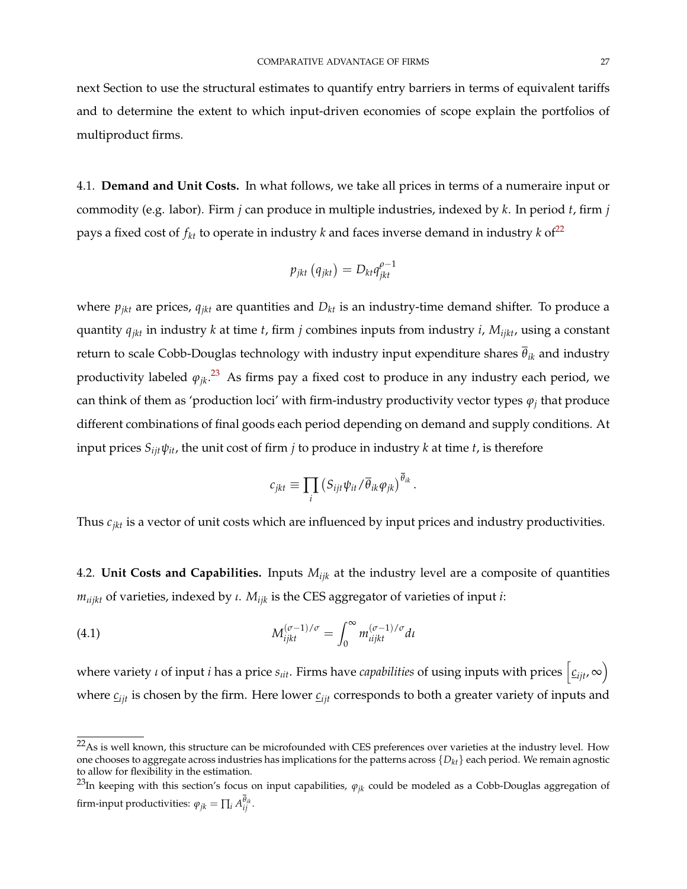next Section to use the structural estimates to quantify entry barriers in terms of equivalent tariffs and to determine the extent to which input-driven economies of scope explain the portfolios of multiproduct firms.

4.1. **Demand and Unit Costs.** In what follows, we take all prices in terms of a numeraire input or commodity (e.g. labor). Firm *j* can produce in multiple industries, indexed by *k*. In period *t*, firm *j* pays a fixed cost of  $f_{kt}$  to operate in industry *k* and faces inverse demand in industry *k* of<sup>[22](#page-0-0)</sup>

$$
p_{jkt}\left(q_{jkt}\right) = D_{kt}q_{jkt}^{o-1}
$$

where  $p_{jkt}$  are prices,  $q_{jkt}$  are quantities and  $D_{kt}$  is an industry-time demand shifter. To produce a quantity *qjkt* in industry *k* at time *t*, firm *j* combines inputs from industry *i*, *Mijkt*, using a constant return to scale Cobb-Douglas technology with industry input expenditure shares *θik* and industry productivity labeled *ϕjk*. [23](#page-0-0) As firms pay a fixed cost to produce in any industry each period, we can think of them as 'production loci' with firm-industry productivity vector types  $\varphi_j$  that produce different combinations of final goods each period depending on demand and supply conditions. At input prices  $S_{ijt}\psi_{it}$ , the unit cost of firm *j* to produce in industry *k* at time *t*, is therefore

$$
c_{jkt} \equiv \prod_i \left( S_{ijt} \psi_{it} / \overline{\theta}_{ik} \varphi_{jk} \right)^{\overline{\theta}_{ik}}.
$$

Thus *cjkt* is a vector of unit costs which are influenced by input prices and industry productivities.

4.2. **Unit Costs and Capabilities.** Inputs *Mijk* at the industry level are a composite of quantities *mιijkt* of varieties, indexed by *ι*. *Mijk* is the CES aggregator of varieties of input *i*:

(4.1) 
$$
M_{ijkl}^{(\sigma-1)/\sigma} = \int_0^\infty m_{ijkl}^{(\sigma-1)/\sigma} dt
$$

where variety *ι* of input *i* has a price  $s_{itt}$ . Firms have *capabilities* of using inputs with prices  $\left[\underline{c}_{ijt}, \infty\right)$ where  $c_{ijt}$  is chosen by the firm. Here lower  $c_{ijt}$  corresponds to both a greater variety of inputs and

 $22$ As is well known, this structure can be microfounded with CES preferences over varieties at the industry level. How one chooses to aggregate across industries has implications for the patterns across {*Dkt*} each period. We remain agnostic to allow for flexibility in the estimation.

<sup>&</sup>lt;sup>23</sup>In keeping with this section's focus on input capabilities,  $\varphi_{jk}$  could be modeled as a Cobb-Douglas aggregation of firm-input productivities:  $\varphi_{jk} = \prod_i A_{ij}^{\theta_{ik}}.$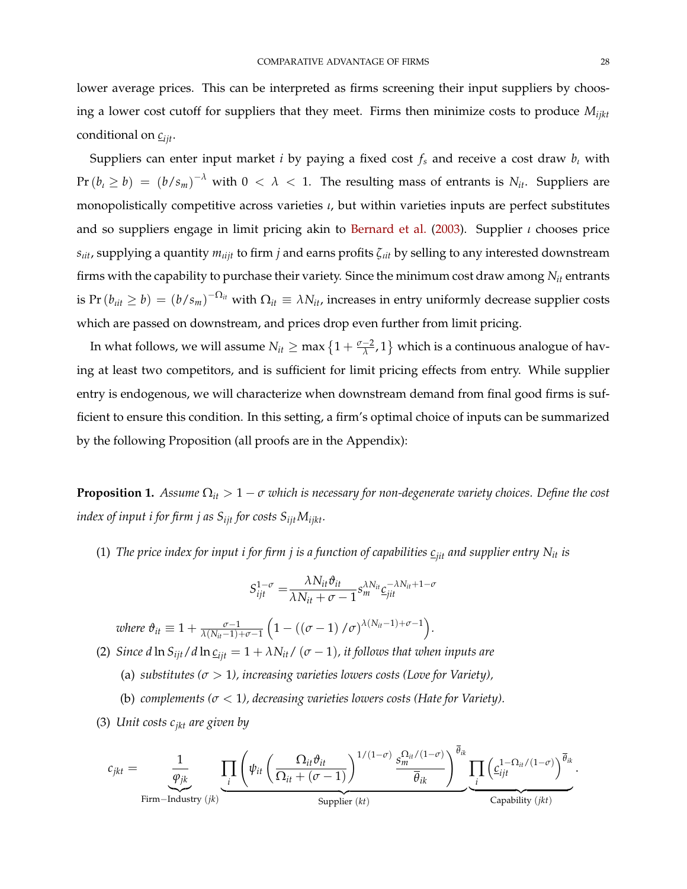lower average prices. This can be interpreted as firms screening their input suppliers by choosing a lower cost cutoff for suppliers that they meet. Firms then minimize costs to produce *Mijkt* conditional on *cijt*.

Suppliers can enter input market *i* by paying a fixed cost *f<sup>s</sup>* and receive a cost draw *b<sup>ι</sup>* with  $Pr(b_i \ge b) = (b/s_m)^{-\lambda}$  with  $0 < \lambda < 1$ . The resulting mass of entrants is  $N_{it}$ . Suppliers are monopolistically competitive across varieties *ι*, but within varieties inputs are perfect substitutes and so suppliers engage in limit pricing akin to [Bernard et al.](#page-47-14) [\(2003\)](#page-47-14). Supplier *ι* chooses price *sιit*, supplying a quantity *mιijt* to firm *j* and earns profits *ζιit* by selling to any interested downstream firms with the capability to purchase their variety. Since the minimum cost draw among *Nit* entrants is Pr $(b_{itt} \ge b) = (b/s_m)^{-\Omega_{it}}$  with  $\Omega_{it} \equiv \lambda N_{it}$ , increases in entry uniformly decrease supplier costs which are passed on downstream, and prices drop even further from limit pricing.

In what follows, we will assume  $N_{it} \ge \max\big\{1 + \frac{\sigma-2}{\lambda}, 1\big\}$  which is a continuous analogue of having at least two competitors, and is sufficient for limit pricing effects from entry. While supplier entry is endogenous, we will characterize when downstream demand from final good firms is sufficient to ensure this condition. In this setting, a firm's optimal choice of inputs can be summarized by the following Proposition (all proofs are in the Appendix):

**Proposition 1.** *Assume*  $\Omega_{it} > 1 - \sigma$  *which is necessary for non-degenerate variety choices. Define the cost index of input i for firm j as*  $S_{ijt}$  *for costs*  $S_{ijt}M_{ijkt}$ *.* 

(1) *The price index for input i for firm j is a function of capabilities*  $c_{jit}$  *and supplier entry*  $N_{it}$  *is* 

$$
S_{ijt}^{1-\sigma} = \frac{\lambda N_{it} \vartheta_{it}}{\lambda N_{it} + \sigma - 1} s_m^{\lambda N_{it}} \underline{c}_{jit}^{-\lambda N_{it} + 1 - \sigma}
$$

*where*  $\vartheta_{it} \equiv 1 + \frac{\sigma - 1}{\lambda(N_{it} - 1) + \sigma - 1}$  $(1 - ((\sigma - 1)/\sigma)^{\lambda(N_{it}-1)+\sigma-1}).$ 

- (2) *Since d* ln  $S_{ijt}/d$  ln  $C_{ijt} = 1 + \lambda N_{it}/(\sigma 1)$ , *it follows that when inputs are* 
	- (a) *substitutes (σ* > 1*), increasing varieties lowers costs (Love for Variety),*
	- (b) *complements (σ* < 1*), decreasing varieties lowers costs (Hate for Variety).*
- (3) *Unit costs cjkt are given by*

$$
c_{jkt} = \underbrace{\frac{1}{\varphi_{jk}} \prod_{i} \left( \psi_{it} \left( \frac{\Omega_{it} \vartheta_{it}}{\Omega_{it} + (\sigma - 1)} \right)^{1/(1-\sigma)} \frac{s_m^{\Omega_{it}}/(1-\sigma)}{\overline{\theta}_{ik}} \right)}_{\text{Supplier } (kt)} \underbrace{\prod_{i} \left( c_{ijt}^{1-\Omega_{it}/(1-\sigma)} \right)^{\overline{\theta}_{ik}}}_{\text{Capability } (jkt)}.
$$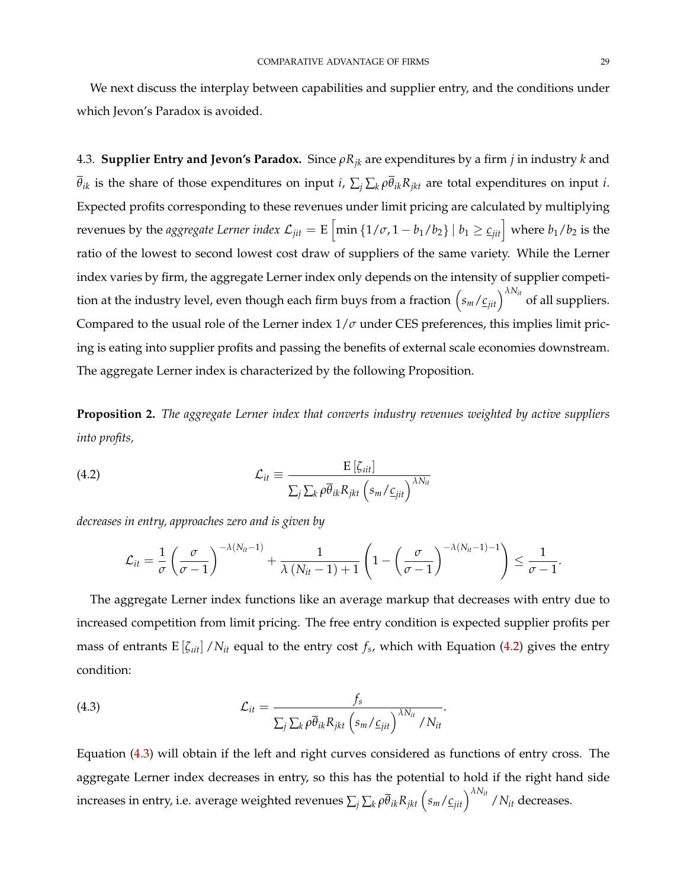We next discuss the interplay between capabilities and supplier entry, and the conditions under which Jevon's Paradox is avoided.

4.3. **Supplier Entry and Jevon's Paradox.** Since *ρRjk* are expenditures by a firm *j* in industry *k* and  $\overline{\theta}_{ik}$  is the share of those expenditures on input *i*,  $\sum_j \sum_k \rho \overline{\theta}_{ik} R_{jkt}$  are total expenditures on input *i*. Expected profits corresponding to these revenues under limit pricing are calculated by multiplying revenues by the *aggregate Lerner index*  $\mathcal{L}_{jit} = \text{E}\left[\min\left\{1/\sigma, 1-b_1/b_2\right\} \mid b_1\geq \underline{c}_{jit}\right]$  *where*  $b_1/b_2$  *is the* ratio of the lowest to second lowest cost draw of suppliers of the same variety. While the Lerner index varies by firm, the aggregate Lerner index only depends on the intensity of supplier competition at the industry level, even though each firm buys from a fraction  $\left(s_m/\underline{c_{jit}}\right)^{\lambda N_{it}}$  of all suppliers. Compared to the usual role of the Lerner index  $1/\sigma$  under CES preferences, this implies limit pricing is eating into supplier profits and passing the benefits of external scale economies downstream. The aggregate Lerner index is characterized by the following Proposition.

<span id="page-29-2"></span>**Proposition 2.** *The aggregate Lerner index that converts industry revenues weighted by active suppliers into profits,*

<span id="page-29-0"></span>(4.2) 
$$
\mathcal{L}_{it} \equiv \frac{E\left[\zeta_{itl}\right]}{\sum_{j} \sum_{k} \rho \overline{\theta}_{ik} R_{jkt} \left(s_m / \underline{c}_{jit}\right)^{\lambda N_{it}}}
$$

*decreases in entry, approaches zero and is given by*

$$
\mathcal{L}_{it} = \frac{1}{\sigma} \left( \frac{\sigma}{\sigma - 1} \right)^{-\lambda(N_{it} - 1)} + \frac{1}{\lambda (N_{it} - 1) + 1} \left( 1 - \left( \frac{\sigma}{\sigma - 1} \right)^{-\lambda(N_{it} - 1) - 1} \right) \leq \frac{1}{\sigma - 1}.
$$

The aggregate Lerner index functions like an average markup that decreases with entry due to increased competition from limit pricing. The free entry condition is expected supplier profits per mass of entrants  $E[\zeta_{it}] / N_{it}$  equal to the entry cost  $f_s$ , which with Equation [\(4.2\)](#page-29-0) gives the entry condition:

<span id="page-29-1"></span>(4.3) 
$$
\mathcal{L}_{it} = \frac{f_s}{\sum_j \sum_k \rho \overline{\theta}_{ik} R_{jkt} \left( s_m / c_{jit} \right)^{\lambda N_{it}} / N_{it}}.
$$

Equation [\(4.3\)](#page-29-1) will obtain if the left and right curves considered as functions of entry cross. The aggregate Lerner index decreases in entry, so this has the potential to hold if the right hand side increases in entry, i.e. average weighted revenues  $\sum_j\sum_k\rho\overline{\theta}_{ik}R_{jkt}\left(s_m/\underline{c}_{jit}\right)^{\lambda N_{it}}$  /  $N_{it}$  decreases.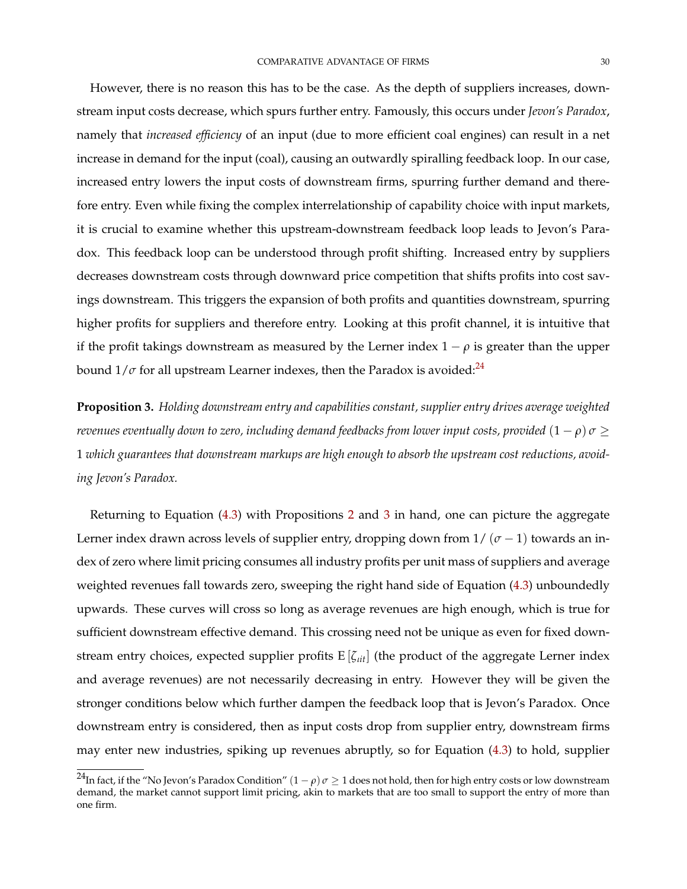However, there is no reason this has to be the case. As the depth of suppliers increases, downstream input costs decrease, which spurs further entry. Famously, this occurs under *Jevon's Paradox*, namely that *increased efficiency* of an input (due to more efficient coal engines) can result in a net increase in demand for the input (coal), causing an outwardly spiralling feedback loop. In our case, increased entry lowers the input costs of downstream firms, spurring further demand and therefore entry. Even while fixing the complex interrelationship of capability choice with input markets, it is crucial to examine whether this upstream-downstream feedback loop leads to Jevon's Paradox. This feedback loop can be understood through profit shifting. Increased entry by suppliers decreases downstream costs through downward price competition that shifts profits into cost savings downstream. This triggers the expansion of both profits and quantities downstream, spurring higher profits for suppliers and therefore entry. Looking at this profit channel, it is intuitive that if the profit takings downstream as measured by the Lerner index  $1 - \rho$  is greater than the upper bound  $1/\sigma$  for all upstream Learner indexes, then the Paradox is avoided:<sup>[24](#page-0-0)</sup>

<span id="page-30-0"></span>**Proposition 3.** *Holding downstream entry and capabilities constant, supplier entry drives average weighted revenues eventually down to zero, including demand feedbacks from lower input costs, provided*  $(1 - \rho) \sigma \geq 1$ 1 *which guarantees that downstream markups are high enough to absorb the upstream cost reductions, avoiding Jevon's Paradox.*

Returning to Equation [\(4.3\)](#page-29-1) with Propositions [2](#page-29-2) and [3](#page-30-0) in hand, one can picture the aggregate Lerner index drawn across levels of supplier entry, dropping down from  $1/(\sigma-1)$  towards an index of zero where limit pricing consumes all industry profits per unit mass of suppliers and average weighted revenues fall towards zero, sweeping the right hand side of Equation [\(4.3\)](#page-29-1) unboundedly upwards. These curves will cross so long as average revenues are high enough, which is true for sufficient downstream effective demand. This crossing need not be unique as even for fixed downstream entry choices, expected supplier profits E [*ζιit*] (the product of the aggregate Lerner index and average revenues) are not necessarily decreasing in entry. However they will be given the stronger conditions below which further dampen the feedback loop that is Jevon's Paradox. Once downstream entry is considered, then as input costs drop from supplier entry, downstream firms may enter new industries, spiking up revenues abruptly, so for Equation [\(4.3\)](#page-29-1) to hold, supplier

<sup>&</sup>lt;sup>24</sup>In fact, if the "No Jevon's Paradox Condition"  $(1 - \rho)\sigma \ge 1$  does not hold, then for high entry costs or low downstream demand, the market cannot support limit pricing, akin to markets that are too small to support the entry of more than one firm.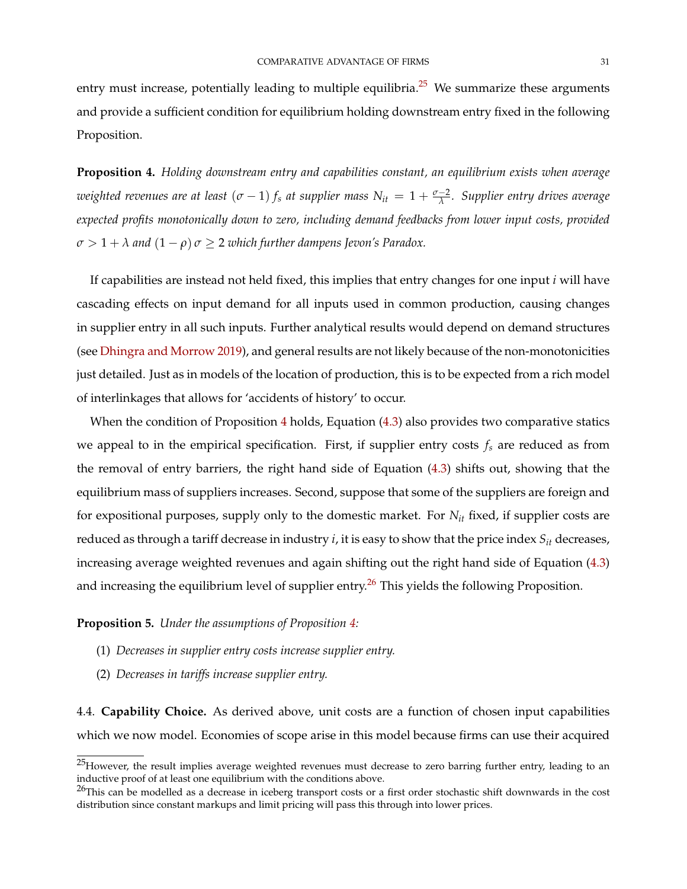entry must increase, potentially leading to multiple equilibria.<sup>[25](#page-0-0)</sup> We summarize these arguments and provide a sufficient condition for equilibrium holding downstream entry fixed in the following Proposition.

<span id="page-31-0"></span>**Proposition 4.** *Holding downstream entry and capabilities constant, an equilibrium exists when average weighted revenues are at least* (*σ* − 1) *f<sup>s</sup> at supplier mass Nit* = 1 + *<sup>σ</sup>*−<sup>2</sup> *λ . Supplier entry drives average expected profits monotonically down to zero, including demand feedbacks from lower input costs, provided*  $\sigma > 1 + \lambda$  and  $(1 - \rho) \sigma \geq 2$  *which further dampens Jevon's Paradox.* 

If capabilities are instead not held fixed, this implies that entry changes for one input *i* will have cascading effects on input demand for all inputs used in common production, causing changes in supplier entry in all such inputs. Further analytical results would depend on demand structures (see [Dhingra and Morrow](#page-48-12) [2019\)](#page-48-12), and general results are not likely because of the non-monotonicities just detailed. Just as in models of the location of production, this is to be expected from a rich model of interlinkages that allows for 'accidents of history' to occur.

When the condition of Proposition [4](#page-31-0) holds, Equation [\(4.3\)](#page-29-1) also provides two comparative statics we appeal to in the empirical specification. First, if supplier entry costs *f<sup>s</sup>* are reduced as from the removal of entry barriers, the right hand side of Equation [\(4.3\)](#page-29-1) shifts out, showing that the equilibrium mass of suppliers increases. Second, suppose that some of the suppliers are foreign and for expositional purposes, supply only to the domestic market. For *Nit* fixed, if supplier costs are reduced as through a tariff decrease in industry *i*, it is easy to show that the price index *Sit* decreases, increasing average weighted revenues and again shifting out the right hand side of Equation [\(4.3\)](#page-29-1) and increasing the equilibrium level of supplier entry.<sup>[26](#page-0-0)</sup> This yields the following Proposition.

# <span id="page-31-1"></span>**Proposition 5.** *Under the assumptions of Proposition [4:](#page-31-0)*

- (1) *Decreases in supplier entry costs increase supplier entry.*
- (2) *Decreases in tariffs increase supplier entry.*

4.4. **Capability Choice.** As derived above, unit costs are a function of chosen input capabilities which we now model. Economies of scope arise in this model because firms can use their acquired

 $25$ However, the result implies average weighted revenues must decrease to zero barring further entry, leading to an inductive proof of at least one equilibrium with the conditions above.

 $^{26}$ This can be modelled as a decrease in iceberg transport costs or a first order stochastic shift downwards in the cost distribution since constant markups and limit pricing will pass this through into lower prices.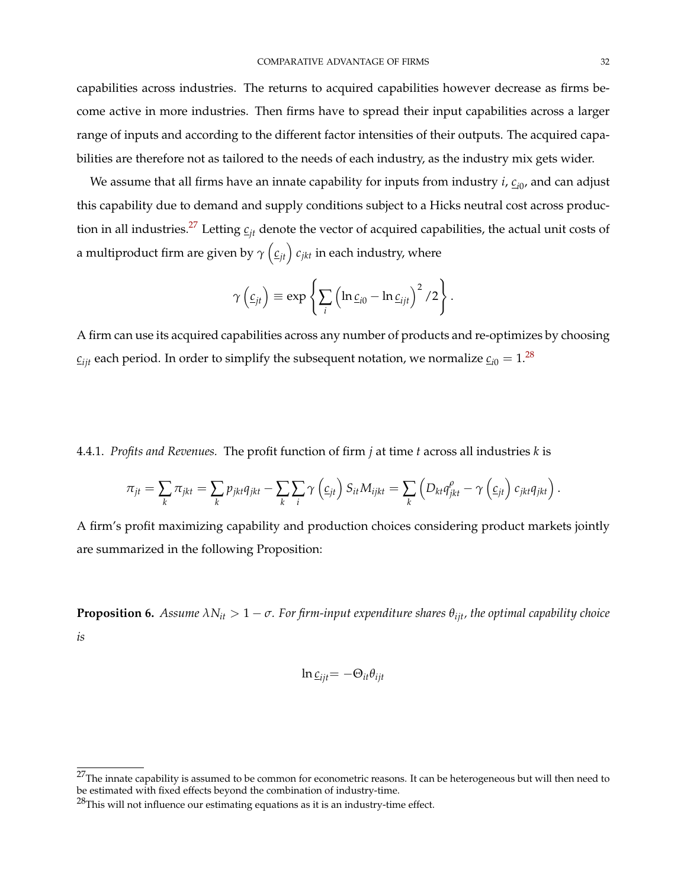capabilities across industries. The returns to acquired capabilities however decrease as firms become active in more industries. Then firms have to spread their input capabilities across a larger range of inputs and according to the different factor intensities of their outputs. The acquired capabilities are therefore not as tailored to the needs of each industry, as the industry mix gets wider.

We assume that all firms have an innate capability for inputs from industry *i*, *ci*<sup>0</sup> , and can adjust this capability due to demand and supply conditions subject to a Hicks neutral cost across produc-tion in all industries.<sup>[27](#page-0-0)</sup> Letting  $c_{it}$  denote the vector of acquired capabilities, the actual unit costs of a multiproduct firm are given by  $\gamma\left(\underline{c}_{jt}\right)c_{jkt}$  in each industry, where

$$
\gamma\left(\underline{c}_{jt}\right) \equiv \exp\left\{\sum_i \left(\ln \underline{c}_{i0} - \ln \underline{c}_{ijt}\right)^2/2\right\}.
$$

A firm can use its acquired capabilities across any number of products and re-optimizes by choosing  $c_{ijt}$  each period. In order to simplify the subsequent notation, we normalize  $c_{i0} = 1$ .<sup>[28](#page-0-0)</sup>

4.4.1. *Profits and Revenues.* The profit function of firm *j* at time *t* across all industries *k* is

$$
\pi_{jt} = \sum_{k} \pi_{jkt} = \sum_{k} p_{jkt} q_{jkt} - \sum_{k} \sum_{i} \gamma \left(\underline{c}_{jt}\right) S_{it} M_{ijkt} = \sum_{k} \left(D_{kt} q_{jkt}^{\rho} - \gamma \left(\underline{c}_{jt}\right) c_{jkt} q_{jkt}\right).
$$

A firm's profit maximizing capability and production choices considering product markets jointly are summarized in the following Proposition:

<span id="page-32-0"></span>**Proposition 6.** *Assume*  $\lambda N_{it} > 1 - \sigma$ . For firm-input expenditure shares  $\theta_{ijt}$ *, the optimal capability choice is*

$$
\ln \underline{c}_{ijt} = -\Theta_{it}\theta_{ijt}
$$

 $27$ The innate capability is assumed to be common for econometric reasons. It can be heterogeneous but will then need to be estimated with fixed effects beyond the combination of industry-time.

 $28$ This will not influence our estimating equations as it is an industry-time effect.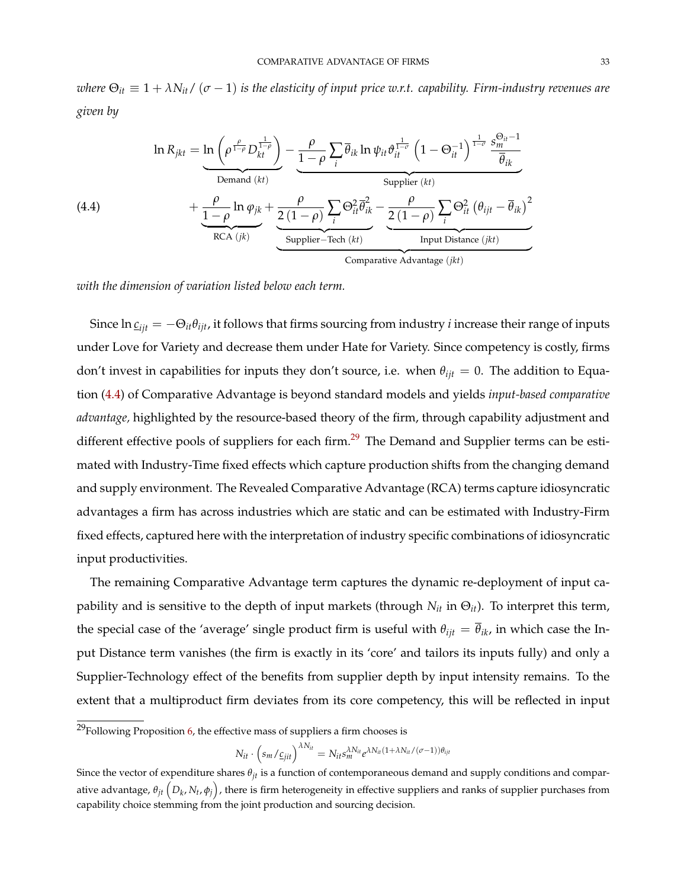*where*  $\Theta_{it} \equiv 1 + \lambda N_{it} / (\sigma - 1)$  *is the elasticity of input price w.r.t. capability. Firm-industry revenues are given by*

<span id="page-33-0"></span>(4.4)  
\n
$$
\ln R_{jkt} = \underbrace{\ln \left( \rho^{\frac{\rho}{1-\rho}} D_{kt}^{\frac{1}{1-\rho}} \right)}_{\text{Demand } (kt)} - \underbrace{\frac{\rho}{1-\rho} \sum_{i} \overline{\theta}_{ik} \ln \psi_{it} \vartheta_{it}^{\frac{1}{1-\sigma}} \left( 1 - \Theta_{it}^{-1} \right)^{\frac{1}{1-\sigma} \frac{S_{mi}^{\Theta_{it}} - 1}{\overline{\theta}_{ik}}}}_{\text{Supplier } (kt)} + \underbrace{\frac{\rho}{1-\rho} \ln \varphi_{jk} + \frac{\rho}{2(1-\rho)} \sum_{i} \Theta_{it}^{2} \overline{\theta}_{ik}^{2} - \frac{\rho}{2(1-\rho)} \sum_{i} \Theta_{it}^{2} \left( \theta_{ijt} - \overline{\theta}_{ik} \right)^{2}}_{\text{Imput Distance } (jkt)}}_{\text{Comparative Advantage } (jkt)}
$$

*with the dimension of variation listed below each term.*

Since  $\ln \underline{c}_{i t t} = -\Theta_{i t} \theta_{i t t}$ , it follows that firms sourcing from industry *i* increase their range of inputs under Love for Variety and decrease them under Hate for Variety. Since competency is costly, firms don't invest in capabilities for inputs they don't source, i.e. when  $\theta_{ijt} = 0$ . The addition to Equation [\(4.4\)](#page-33-0) of Comparative Advantage is beyond standard models and yields *input-based comparative advantage,* highlighted by the resource-based theory of the firm, through capability adjustment and different effective pools of suppliers for each firm.<sup>[29](#page-0-0)</sup> The Demand and Supplier terms can be estimated with Industry-Time fixed effects which capture production shifts from the changing demand and supply environment. The Revealed Comparative Advantage (RCA) terms capture idiosyncratic advantages a firm has across industries which are static and can be estimated with Industry-Firm fixed effects, captured here with the interpretation of industry specific combinations of idiosyncratic input productivities.

The remaining Comparative Advantage term captures the dynamic re-deployment of input capability and is sensitive to the depth of input markets (through *Nit* in Θ*it*). To interpret this term, the special case of the 'average' single product firm is useful with  $\theta_{ijt} = \overline{\theta}_{ik}$ , in which case the Input Distance term vanishes (the firm is exactly in its 'core' and tailors its inputs fully) and only a Supplier-Technology effect of the benefits from supplier depth by input intensity remains. To the extent that a multiproduct firm deviates from its core competency, this will be reflected in input

$$
N_{it} \cdot \left( s_m / \underline{c}_{jit} \right)^{\lambda N_{it}} = N_{it} s_m^{\lambda N_{it}} e^{\lambda N_{it} (1 + \lambda N_{it} / (\sigma - 1)) \theta_{ijt}}
$$

 $29$ Following Proposition [6,](#page-32-0) the effective mass of suppliers a firm chooses is

Since the vector of expenditure shares *θjt* is a function of contemporaneous demand and supply conditions and comparative advantage,  $\theta_{jt}\left(D_k,N_t,\phi_j\right)$ , there is firm heterogeneity in effective suppliers and ranks of supplier purchases from capability choice stemming from the joint production and sourcing decision.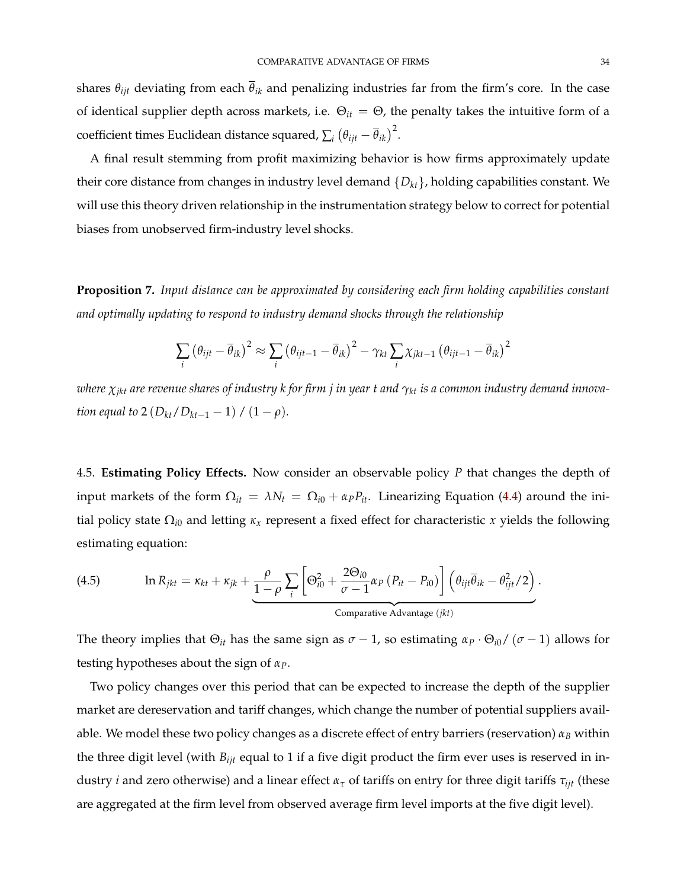shares  $\theta_{ijt}$  deviating from each  $\bar{\theta}_{ik}$  and penalizing industries far from the firm's core. In the case of identical supplier depth across markets, i.e. Θ*it* = Θ, the penalty takes the intuitive form of a  $\text{coefficient times Euclidean distance squared, \sum_i \left(\theta_{ijt} - \overline{\theta}_{ik}\right)^2.}$ 

A final result stemming from profit maximizing behavior is how firms approximately update their core distance from changes in industry level demand {*Dkt*}, holding capabilities constant. We will use this theory driven relationship in the instrumentation strategy below to correct for potential biases from unobserved firm-industry level shocks.

**Proposition 7.** *Input distance can be approximated by considering each firm holding capabilities constant and optimally updating to respond to industry demand shocks through the relationship*

$$
\sum_{i} (\theta_{ijt} - \overline{\theta}_{ik})^2 \approx \sum_{i} (\theta_{ijt-1} - \overline{\theta}_{ik})^2 - \gamma_{kt} \sum_{i} \chi_{jkt-1} (\theta_{ijt-1} - \overline{\theta}_{ik})^2
$$

*where χjkt are revenue shares of industry k for firm j in year t and γkt is a common industry demand innovation equal to* 2  $(D_{kt}/D_{kt-1} - 1) / (1 - \rho)$ *.* 

4.5. **Estimating Policy Effects.** Now consider an observable policy *P* that changes the depth of input markets of the form  $\Omega_{it} = \lambda N_t = \Omega_{i0} + \alpha_P P_{it}$ . Linearizing Equation [\(4.4\)](#page-33-0) around the initial policy state  $\Omega_{i0}$  and letting  $\kappa_x$  represent a fixed effect for characteristic *x* yields the following estimating equation:

<span id="page-34-0"></span>(4.5) 
$$
\ln R_{jkt} = \kappa_{kt} + \kappa_{jk} + \underbrace{\frac{\rho}{1-\rho}\sum_{i}\left[\Theta_{i0}^2 + \frac{2\Theta_{i0}}{\sigma-1}\alpha_P(P_{it} - P_{i0})\right]\left(\theta_{ijt}\overline{\theta}_{ik} - \theta_{ijt}^2/2\right)}_{\text{Comparative Advantage } (jkt)}.
$$

The theory implies that  $\Theta_{it}$  has the same sign as  $\sigma - 1$ , so estimating  $\alpha_P \cdot \Theta_{i0} / (\sigma - 1)$  allows for testing hypotheses about the sign of *αP*.

Two policy changes over this period that can be expected to increase the depth of the supplier market are dereservation and tariff changes, which change the number of potential suppliers available. We model these two policy changes as a discrete effect of entry barriers (reservation) *α<sup>B</sup>* within the three digit level (with *Bijt* equal to 1 if a five digit product the firm ever uses is reserved in industry *i* and zero otherwise) and a linear effect  $\alpha_{\tau}$  of tariffs on entry for three digit tariffs  $\tau_{ijt}$  (these are aggregated at the firm level from observed average firm level imports at the five digit level).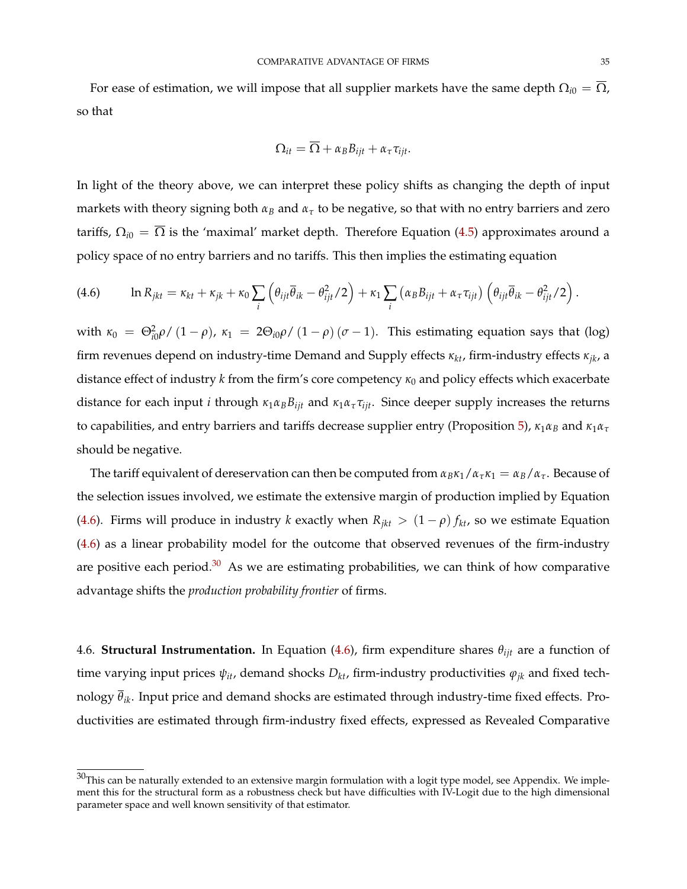For ease of estimation, we will impose that all supplier markets have the same depth  $\Omega_{i0} = \overline{\Omega}$ , so that

$$
\Omega_{it} = \overline{\Omega} + \alpha_B B_{ijt} + \alpha_\tau \tau_{ijt}.
$$

In light of the theory above, we can interpret these policy shifts as changing the depth of input markets with theory signing both *α<sup>B</sup>* and *α<sup>τ</sup>* to be negative, so that with no entry barriers and zero tariffs,  $\Omega_{i0} = \overline{\Omega}$  is the 'maximal' market depth. Therefore Equation [\(4.5\)](#page-34-0) approximates around a policy space of no entry barriers and no tariffs. This then implies the estimating equation

<span id="page-35-0"></span>(4.6) 
$$
\ln R_{jkt} = \kappa_{kt} + \kappa_{jk} + \kappa_0 \sum_i \left( \theta_{ijt} \overline{\theta}_{ik} - \theta_{ijt}^2 / 2 \right) + \kappa_1 \sum_i \left( \alpha_B B_{ijt} + \alpha_\tau \tau_{ijt} \right) \left( \theta_{ijt} \overline{\theta}_{ik} - \theta_{ijt}^2 / 2 \right).
$$

with  $\kappa_0 = \Theta_{i0}^2 \rho / (1 - \rho)$ ,  $\kappa_1 = 2\Theta_{i0} \rho / (1 - \rho) (\sigma - 1)$ . This estimating equation says that (log) firm revenues depend on industry-time Demand and Supply effects *κkt*, firm-industry effects *κjk*, a distance effect of industry *k* from the firm's core competency *κ*<sub>0</sub> and policy effects which exacerbate distance for each input *i* through  $\kappa_1 \alpha_B B_{ijt}$  and  $\kappa_1 \alpha_{\tau} \tau_{ijt}$ . Since deeper supply increases the returns to capabilities, and entry barriers and tariffs decrease supplier entry (Proposition [5\)](#page-31-1),  $\kappa_1 \alpha_B$  and  $\kappa_1 \alpha_{\tau}$ should be negative.

The tariff equivalent of dereservation can then be computed from  $\alpha_B\kappa_1/\alpha_\tau\kappa_1 = \alpha_B/\alpha_\tau$ . Because of the selection issues involved, we estimate the extensive margin of production implied by Equation [\(4.6\)](#page-35-0). Firms will produce in industry *k* exactly when  $R_{jkt} > (1 - \rho) f_{kt}$ , so we estimate Equation [\(4.6\)](#page-35-0) as a linear probability model for the outcome that observed revenues of the firm-industry are positive each period. $30$  As we are estimating probabilities, we can think of how comparative advantage shifts the *production probability frontier* of firms.

4.6. **Structural Instrumentation.** In Equation [\(4.6\)](#page-35-0), firm expenditure shares *θijt* are a function of time varying input prices  $\psi_{it}$ , demand shocks  $D_{kt}$ , firm-industry productivities  $\varphi_{jk}$  and fixed technology *θik*. Input price and demand shocks are estimated through industry-time fixed effects. Productivities are estimated through firm-industry fixed effects, expressed as Revealed Comparative

 $30$ This can be naturally extended to an extensive margin formulation with a logit type model, see Appendix. We implement this for the structural form as a robustness check but have difficulties with IV-Logit due to the high dimensional parameter space and well known sensitivity of that estimator.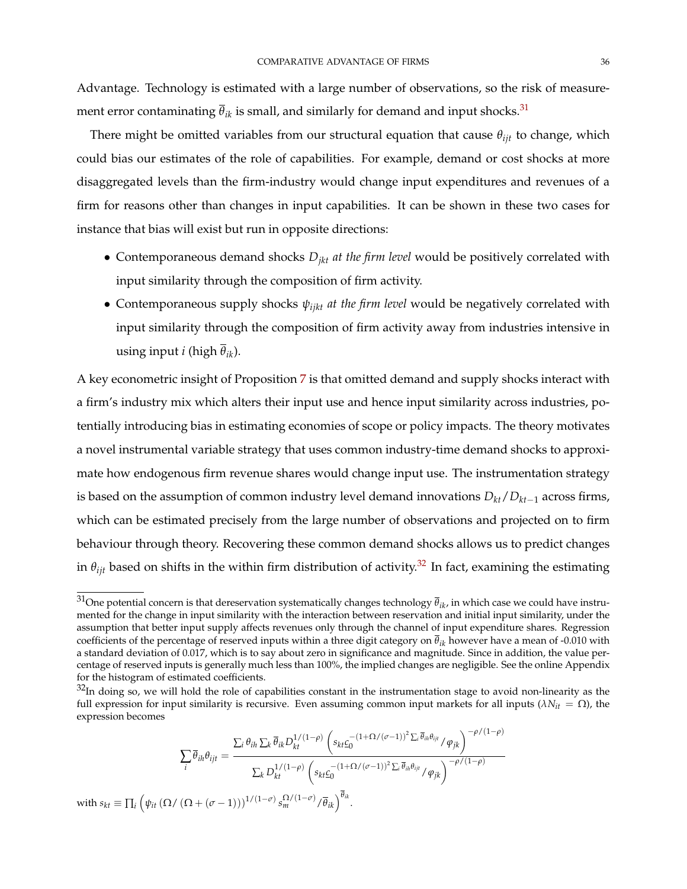Advantage. Technology is estimated with a large number of observations, so the risk of measurement error contaminating  $\bar{\theta}_{ik}$  is small, and similarly for demand and input shocks.<sup>[31](#page-0-0)</sup>

There might be omitted variables from our structural equation that cause *θijt* to change, which could bias our estimates of the role of capabilities. For example, demand or cost shocks at more disaggregated levels than the firm-industry would change input expenditures and revenues of a firm for reasons other than changes in input capabilities. It can be shown in these two cases for instance that bias will exist but run in opposite directions:

- Contemporaneous demand shocks *Djkt at the firm level* would be positively correlated with input similarity through the composition of firm activity.
- Contemporaneous supply shocks *ψijkt at the firm level* would be negatively correlated with input similarity through the composition of firm activity away from industries intensive in using input *i* (high  $\overline{\theta}_{ik}$ ).

A key econometric insight of Proposition [7](#page-34-0) is that omitted demand and supply shocks interact with a firm's industry mix which alters their input use and hence input similarity across industries, potentially introducing bias in estimating economies of scope or policy impacts. The theory motivates a novel instrumental variable strategy that uses common industry-time demand shocks to approximate how endogenous firm revenue shares would change input use. The instrumentation strategy is based on the assumption of common industry level demand innovations  $D_{kt}/D_{kt-1}$  across firms, which can be estimated precisely from the large number of observations and projected on to firm behaviour through theory. Recovering these common demand shocks allows us to predict changes in  $\theta_{ijt}$  based on shifts in the within firm distribution of activity.<sup>[32](#page-0-0)</sup> In fact, examining the estimating

$$
\sum_{i} \overline{\theta}_{ih} \theta_{ijt} = \frac{\sum_{i} \theta_{ih} \sum_{k} \overline{\theta}_{ik} D_{kt}^{1/(1-\rho)} \left( s_{kt} \underline{c}_{0}^{-(1+\Omega/(\sigma-1))^{2} \Sigma_{i} \overline{\theta}_{ih} \theta_{ijt}} / \varphi_{jk} \right)^{-\rho/(1-\rho)}}{\sum_{k} D_{kt}^{1/(1-\rho)} \left( s_{kt} \underline{c}_{0}^{-(1+\Omega/(\sigma-1))^{2} \Sigma_{i} \overline{\theta}_{ih} \theta_{ijt}} / \varphi_{jk} \right)^{-\rho/(1-\rho)}}
$$
\nwith  $s_{kt} \equiv \prod_{i} \left( \psi_{it} \left( \Omega / \left( \Omega + (\sigma - 1) \right) \right)^{1/(1-\sigma)} s_{m}^{\Omega/(1-\sigma)} / \overline{\theta}_{ik} \right)^{\overline{\theta}_{ik}}.$ 

<sup>31</sup>One potential concern is that dereservation systematically changes technology *<sup>θ</sup>ik*, in which case we could have instrumented for the change in input similarity with the interaction between reservation and initial input similarity, under the assumption that better input supply affects revenues only through the channel of input expenditure shares. Regression coefficients of the percentage of reserved inputs within a three digit category on  $\bar{\theta}_{ik}$  however have a mean of -0.010 with a standard deviation of 0.017, which is to say about zero in significance and magnitude. Since in addition, the value percentage of reserved inputs is generally much less than 100%, the implied changes are negligible. See the online Appendix for the histogram of estimated coefficients.

 $32$ In doing so, we will hold the role of capabilities constant in the instrumentation stage to avoid non-linearity as the full expression for input similarity is recursive. Even assuming common input markets for all inputs ( $\lambda N_{it} = \Omega$ ), the expression becomes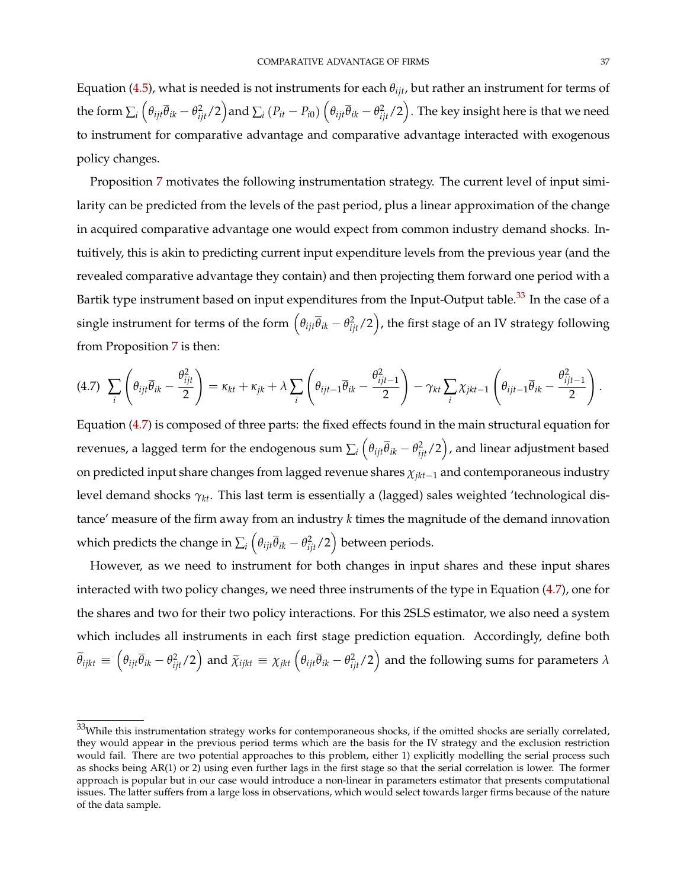Equation [\(4.5\)](#page-34-1), what is needed is not instruments for each  $\theta_{iit}$ , but rather an instrument for terms of the form  $\sum_i \left(\theta_{ijt}\overline{\theta}_{ik}-\theta_{ijt}^2/2\right)$  and  $\sum_i\left(P_{it}-P_{i0}\right)\left(\theta_{ijt}\overline{\theta}_{ik}-\theta_{ijt}^2/2\right)$ . The key insight here is that we need to instrument for comparative advantage and comparative advantage interacted with exogenous policy changes.

Proposition [7](#page-34-0) motivates the following instrumentation strategy. The current level of input similarity can be predicted from the levels of the past period, plus a linear approximation of the change in acquired comparative advantage one would expect from common industry demand shocks. Intuitively, this is akin to predicting current input expenditure levels from the previous year (and the revealed comparative advantage they contain) and then projecting them forward one period with a Bartik type instrument based on input expenditures from the Input-Output table.<sup>[33](#page-0-0)</sup> In the case of a single instrument for terms of the form  $\left(\theta_{ijt}\overline{\theta}_{ik}-\theta_{ijt}^2/2\right)$ , the first stage of an IV strategy following from Proposition [7](#page-34-0) is then:

<span id="page-37-0"></span>
$$
(4.7) \sum_{i} \left( \theta_{ijt} \overline{\theta}_{ik} - \frac{\theta_{ijt}^2}{2} \right) = \kappa_{kt} + \kappa_{jk} + \lambda \sum_{i} \left( \theta_{ijt-1} \overline{\theta}_{ik} - \frac{\theta_{ijt-1}^2}{2} \right) - \gamma_{kt} \sum_{i} \chi_{jkt-1} \left( \theta_{ijt-1} \overline{\theta}_{ik} - \frac{\theta_{ijt-1}^2}{2} \right).
$$

Equation [\(4.7\)](#page-37-0) is composed of three parts: the fixed effects found in the main structural equation for revenues, a lagged term for the endogenous sum  $\sum_i \left(\theta_{ijt}\overline{\theta}_{ik}-\theta_{ijt}^2/2\right)$ , and linear adjustment based on predicted input share changes from lagged revenue shares *χjkt*−<sup>1</sup> and contemporaneous industry level demand shocks *γkt*. This last term is essentially a (lagged) sales weighted 'technological distance' measure of the firm away from an industry *k* times the magnitude of the demand innovation which predicts the change in  $\sum_i \left( \theta_{ijt} \overline{\theta}_{ik} - \theta_{ijt}^2/2 \right)$  between periods.

However, as we need to instrument for both changes in input shares and these input shares interacted with two policy changes, we need three instruments of the type in Equation [\(4.7\)](#page-37-0), one for the shares and two for their two policy interactions. For this 2SLS estimator, we also need a system which includes all instruments in each first stage prediction equation. Accordingly, define both  $\widetilde{\theta}_{ijkl}\equiv\left(\theta_{ijt}\overline{\theta}_{ik}-\theta_{ijt}^2/2\right)$  and  $\widetilde{\chi}_{ijkl}\equiv\chi_{jkt}\left(\theta_{ijt}\overline{\theta}_{ik}-\theta_{ijt}^2/2\right)$  and the following sums for parameters  $\lambda$ 

 $33$ While this instrumentation strategy works for contemporaneous shocks, if the omitted shocks are serially correlated, they would appear in the previous period terms which are the basis for the IV strategy and the exclusion restriction would fail. There are two potential approaches to this problem, either 1) explicitly modelling the serial process such as shocks being AR(1) or 2) using even further lags in the first stage so that the serial correlation is lower. The former approach is popular but in our case would introduce a non-linear in parameters estimator that presents computational issues. The latter suffers from a large loss in observations, which would select towards larger firms because of the nature of the data sample.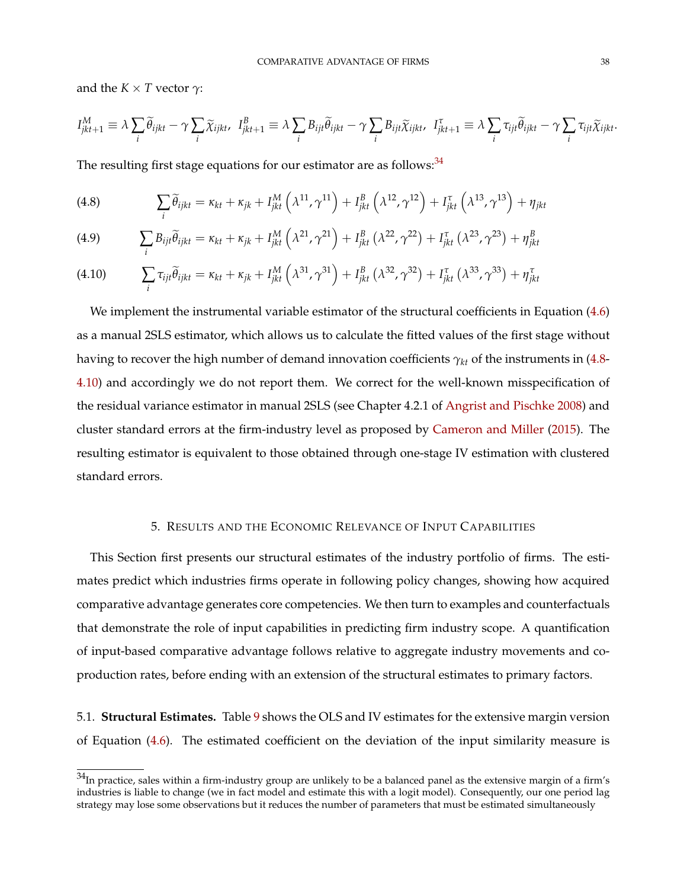and the  $K \times T$  vector  $\gamma$ :

$$
I_{jkt+1}^M \equiv \lambda \sum_i \widetilde{\theta}_{ijkt} - \gamma \sum_i \widetilde{\chi}_{ijkt}, \quad I_{jkt+1}^B \equiv \lambda \sum_i B_{ijt} \widetilde{\theta}_{ijkt} - \gamma \sum_i B_{ijt} \widetilde{\chi}_{ijkt}, \quad I_{jkt+1}^{\tau} \equiv \lambda \sum_i \tau_{ijt} \widetilde{\theta}_{ijkt} - \gamma \sum_i \tau_{ijt} \widetilde{\chi}_{ijkt}.
$$

The resulting first stage equations for our estimator are as follows: $34$ 

<span id="page-38-0"></span>(4.8) 
$$
\sum_{i} \widetilde{\theta}_{ijkt} = \kappa_{kt} + \kappa_{jk} + I_{jkt}^{M} \left( \lambda^{11}, \gamma^{11} \right) + I_{jkt}^{B} \left( \lambda^{12}, \gamma^{12} \right) + I_{jkt}^{\tau} \left( \lambda^{13}, \gamma^{13} \right) + \eta_{jkt}
$$

(4.9) 
$$
\sum_{i} B_{ijt} \tilde{\theta}_{ijkt} = \kappa_{kt} + \kappa_{jk} + I_{jkt}^{M} \left( \lambda^{21}, \gamma^{21} \right) + I_{jkt}^{B} \left( \lambda^{22}, \gamma^{22} \right) + I_{jkt}^{T} \left( \lambda^{23}, \gamma^{23} \right) + \eta_{jkt}^{B}
$$

<span id="page-38-1"></span>
$$
(4.10) \qquad \sum_i \tau_{ijt} \widetilde{\theta}_{ijkt} = \kappa_{kt} + \kappa_{jk} + I_{jkt}^M \left( \lambda^{31}, \gamma^{31} \right) + I_{jkt}^B \left( \lambda^{32}, \gamma^{32} \right) + I_{jkt}^{\tau} \left( \lambda^{33}, \gamma^{33} \right) + \eta_{jkt}^{\tau}
$$

We implement the instrumental variable estimator of the structural coefficients in Equation [\(4.6\)](#page-35-0) as a manual 2SLS estimator, which allows us to calculate the fitted values of the first stage without having to recover the high number of demand innovation coefficients *γkt* of the instruments in [\(4.8-](#page-38-0) [4.10\)](#page-38-1) and accordingly we do not report them. We correct for the well-known misspecification of the residual variance estimator in manual 2SLS (see Chapter 4.2.1 of [Angrist and Pischke](#page-47-0) [2008\)](#page-47-0) and cluster standard errors at the firm-industry level as proposed by [Cameron and Miller](#page-48-0) [\(2015\)](#page-48-0). The resulting estimator is equivalent to those obtained through one-stage IV estimation with clustered standard errors.

## 5. RESULTS AND THE ECONOMIC RELEVANCE OF INPUT CAPABILITIES

This Section first presents our structural estimates of the industry portfolio of firms. The estimates predict which industries firms operate in following policy changes, showing how acquired comparative advantage generates core competencies. We then turn to examples and counterfactuals that demonstrate the role of input capabilities in predicting firm industry scope. A quantification of input-based comparative advantage follows relative to aggregate industry movements and coproduction rates, before ending with an extension of the structural estimates to primary factors.

5.1. **Structural Estimates.** Table [9](#page-39-0) shows the OLS and IV estimates for the extensive margin version of Equation [\(4.6\)](#page-35-0). The estimated coefficient on the deviation of the input similarity measure is

 $34$ In practice, sales within a firm-industry group are unlikely to be a balanced panel as the extensive margin of a firm's industries is liable to change (we in fact model and estimate this with a logit model). Consequently, our one period lag strategy may lose some observations but it reduces the number of parameters that must be estimated simultaneously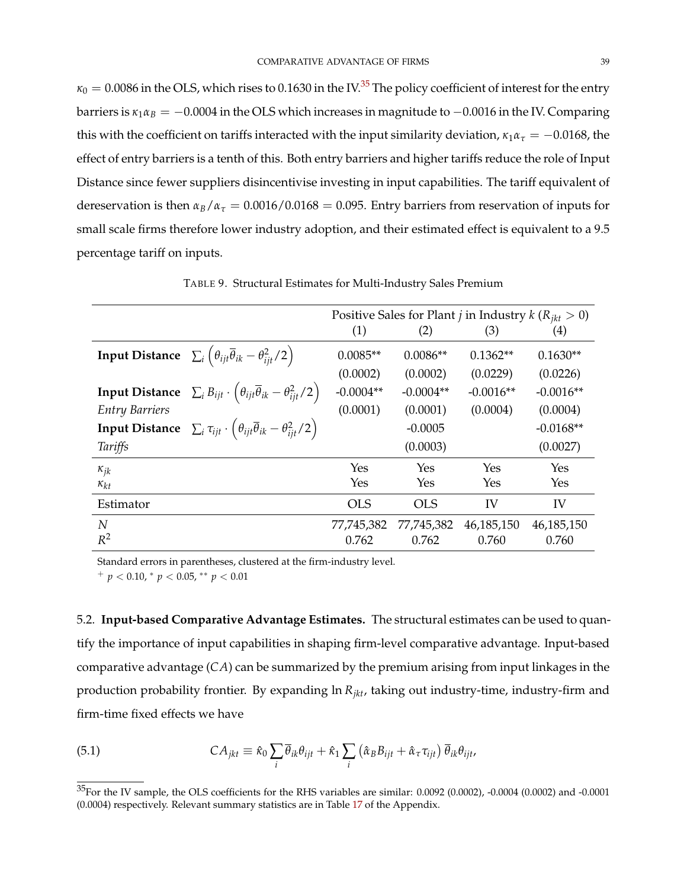$\kappa_0 = 0.0086$  in the OLS, which rises to 0.1630 in the IV.<sup>[35](#page-0-0)</sup> The policy coefficient of interest for the entry barriers is  $\kappa_1 \alpha_B = -0.0004$  in the OLS which increases in magnitude to  $-0.0016$  in the IV. Comparing this with the coefficient on tariffs interacted with the input similarity deviation,  $\kappa_1 \alpha_\tau = -0.0168$ , the effect of entry barriers is a tenth of this. Both entry barriers and higher tariffs reduce the role of Input Distance since fewer suppliers disincentivise investing in input capabilities. The tariff equivalent of dereservation is then  $\alpha_B/\alpha_\tau = 0.0016/0.0168 = 0.095$ . Entry barriers from reservation of inputs for small scale firms therefore lower industry adoption, and their estimated effect is equivalent to a 9.5 percentage tariff on inputs.

<span id="page-39-0"></span>

|                       |                                                                                                                     |             |             | Positive Sales for Plant <i>j</i> in Industry $k (R_{ikt} > 0)$ |              |
|-----------------------|---------------------------------------------------------------------------------------------------------------------|-------------|-------------|-----------------------------------------------------------------|--------------|
|                       |                                                                                                                     | (1)         | (2)         | (3)                                                             | (4)          |
|                       | <b>Input Distance</b> $\sum_i \left( \theta_{ijt} \overline{\theta}_{ik} - \theta_{ijt}^2 / 2 \right)$              | $0.0085**$  | $0.0086**$  | $0.1362**$                                                      | $0.1630**$   |
|                       |                                                                                                                     | (0.0002)    | (0.0002)    | (0.0229)                                                        | (0.0226)     |
|                       | <b>Input Distance</b> $\sum_{i} B_{ijt} \cdot (\theta_{ijt} \overline{\theta}_{ik} - \theta_{iit}^2/2)$             | $-0.0004**$ | $-0.0004**$ | $-0.0016**$                                                     | $-0.0016**$  |
| <b>Entry Barriers</b> |                                                                                                                     | (0.0001)    | (0.0001)    | (0.0004)                                                        | (0.0004)     |
|                       | <b>Input Distance</b> $\sum_i \tau_{ijt} \cdot \left(\theta_{ijt} \overline{\theta}_{ik} - \theta_{iit}^2/2\right)$ |             | $-0.0005$   |                                                                 | $-0.0168**$  |
| Tariffs               |                                                                                                                     |             | (0.0003)    |                                                                 | (0.0027)     |
| $\kappa_{jk}$         |                                                                                                                     | Yes         | Yes         | Yes                                                             | Yes          |
| $\kappa_{kt}$         |                                                                                                                     | Yes         | Yes         | Yes                                                             | Yes          |
| Estimator             |                                                                                                                     | <b>OLS</b>  | <b>OLS</b>  | IV                                                              | IV           |
| N                     |                                                                                                                     | 77,745,382  | 77,745,382  | 46, 185, 150                                                    | 46, 185, 150 |
| $R^2$                 |                                                                                                                     | 0.762       | 0.762       | 0.760                                                           | 0.760        |

TABLE 9. Structural Estimates for Multi-Industry Sales Premium

Standard errors in parentheses, clustered at the firm-industry level.

<sup>+</sup> *p* < 0.10, <sup>∗</sup> *p* < 0.05, ∗∗ *p* < 0.01

5.2. **Input-based Comparative Advantage Estimates.** The structural estimates can be used to quantify the importance of input capabilities in shaping firm-level comparative advantage. Input-based comparative advantage (*CA*) can be summarized by the premium arising from input linkages in the production probability frontier. By expanding ln *Rjkt*, taking out industry-time, industry-firm and firm-time fixed effects we have

<span id="page-39-1"></span>(5.1) 
$$
CA_{jkt} \equiv \hat{\kappa}_0 \sum_i \overline{\theta}_{ik} \theta_{ijt} + \hat{\kappa}_1 \sum_i (\hat{\alpha}_B B_{ijt} + \hat{\alpha}_\tau \tau_{ijt}) \overline{\theta}_{ik} \theta_{ijt},
$$

<sup>35</sup>For the IV sample, the OLS coefficients for the RHS variables are similar: 0.0092 (0.0002), -0.0004 (0.0002) and -0.0001 (0.0004) respectively. Relevant summary statistics are in Table [17](#page-54-0) of the Appendix.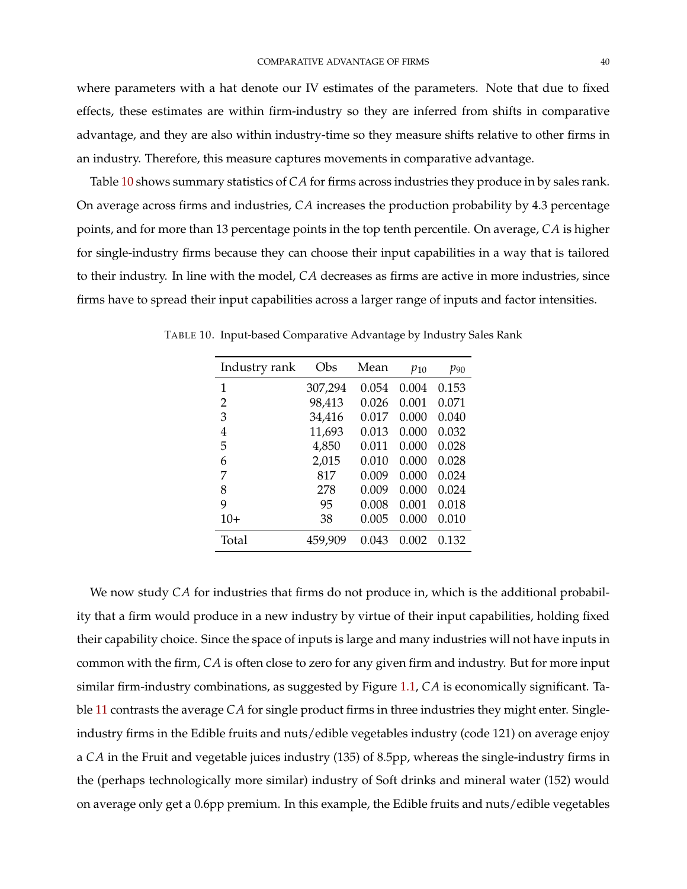where parameters with a hat denote our IV estimates of the parameters. Note that due to fixed effects, these estimates are within firm-industry so they are inferred from shifts in comparative advantage, and they are also within industry-time so they measure shifts relative to other firms in an industry. Therefore, this measure captures movements in comparative advantage.

Table [10](#page-40-0) shows summary statistics of *CA* for firms across industries they produce in by sales rank. On average across firms and industries, *CA* increases the production probability by 4.3 percentage points, and for more than 13 percentage points in the top tenth percentile. On average, *CA* is higher for single-industry firms because they can choose their input capabilities in a way that is tailored to their industry. In line with the model, *CA* decreases as firms are active in more industries, since firms have to spread their input capabilities across a larger range of inputs and factor intensities.

| Industry rank | Obs     | Mean  | $p_{10}$ | $p_{90}$ |
|---------------|---------|-------|----------|----------|
| 1             | 307,294 | 0.054 | 0.004    | 0.153    |
| 2             | 98,413  | 0.026 | 0.001    | 0.071    |
| 3             | 34,416  | 0.017 | 0.000    | 0.040    |
| 4             | 11,693  | 0.013 | 0.000    | 0.032    |
| 5             | 4,850   | 0.011 | 0.000    | 0.028    |
| 6             | 2,015   | 0.010 | 0.000    | 0.028    |
| 7             | 817     | 0.009 | 0.000    | 0.024    |
| 8             | 278     | 0.009 | 0.000    | 0.024    |
| 9             | 95      | 0.008 | 0.001    | 0.018    |
| $10+$         | 38      | 0.005 | 0.000    | 0.010    |
| Total         | 459,909 | 0.043 | 0.002    | 0.132    |

<span id="page-40-0"></span>TABLE 10. Input-based Comparative Advantage by Industry Sales Rank

We now study *CA* for industries that firms do not produce in, which is the additional probability that a firm would produce in a new industry by virtue of their input capabilities, holding fixed their capability choice. Since the space of inputs is large and many industries will not have inputs in common with the firm, *CA* is often close to zero for any given firm and industry. But for more input similar firm-industry combinations, as suggested by Figure [1.1,](#page-3-0) *CA* is economically significant. Table [11](#page-41-0) contrasts the average *CA* for single product firms in three industries they might enter. Singleindustry firms in the Edible fruits and nuts/edible vegetables industry (code 121) on average enjoy a *CA* in the Fruit and vegetable juices industry (135) of 8.5pp, whereas the single-industry firms in the (perhaps technologically more similar) industry of Soft drinks and mineral water (152) would on average only get a 0.6pp premium. In this example, the Edible fruits and nuts/edible vegetables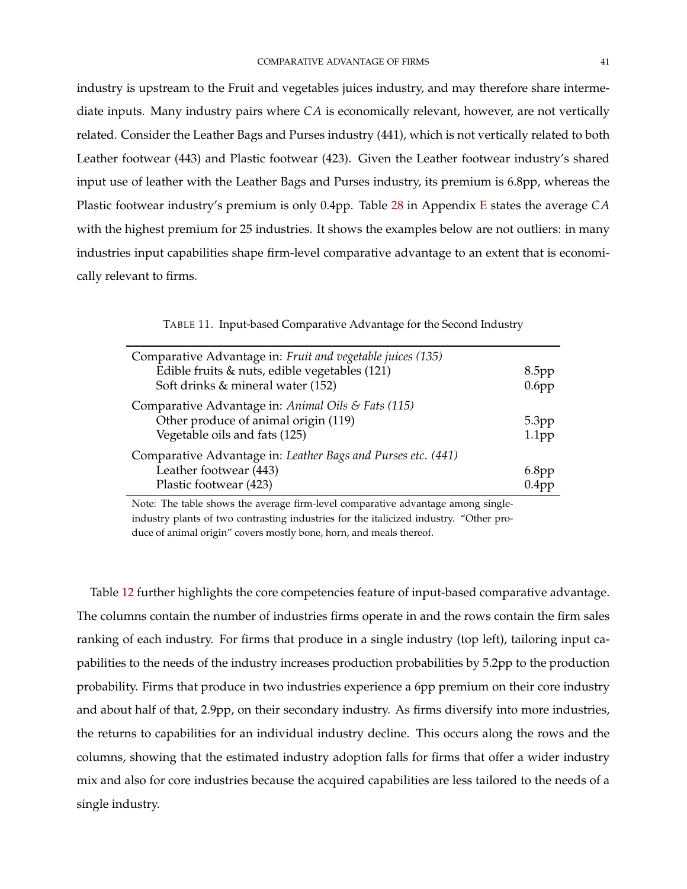industry is upstream to the Fruit and vegetables juices industry, and may therefore share intermediate inputs. Many industry pairs where *CA* is economically relevant, however, are not vertically related. Consider the Leather Bags and Purses industry (441), which is not vertically related to both Leather footwear (443) and Plastic footwear (423). Given the Leather footwear industry's shared input use of leather with the Leather Bags and Purses industry, its premium is 6.8pp, whereas the Plastic footwear industry's premium is only 0.4pp. Table [28](#page-75-0) in Appendix [E](#page-75-1) states the average *CA* with the highest premium for 25 industries. It shows the examples below are not outliers: in many industries input capabilities shape firm-level comparative advantage to an extent that is economically relevant to firms.

TABLE 11. Input-based Comparative Advantage for the Second Industry

<span id="page-41-0"></span>

| Comparative Advantage in: Fruit and vegetable juices (135)<br>Edible fruits & nuts, edible vegetables (121)<br>Soft drinks & mineral water (152) | 8.5 <sub>pp</sub><br>$0.6$ pp          |
|--------------------------------------------------------------------------------------------------------------------------------------------------|----------------------------------------|
| Comparative Advantage in: Animal Oils & Fats (115)<br>Other produce of animal origin (119)<br>Vegetable oils and fats (125)                      | 5.3 <sub>pp</sub><br>1.1 <sub>pp</sub> |
| Comparative Advantage in: Leather Bags and Purses etc. (441)<br>Leather footwear (443)<br>Plastic footwear (423)                                 | $6.8$ pp<br>0.4pp                      |

Note: The table shows the average firm-level comparative advantage among singleindustry plants of two contrasting industries for the italicized industry. "Other produce of animal origin" covers mostly bone, horn, and meals thereof.

Table [12](#page-42-0) further highlights the core competencies feature of input-based comparative advantage. The columns contain the number of industries firms operate in and the rows contain the firm sales ranking of each industry. For firms that produce in a single industry (top left), tailoring input capabilities to the needs of the industry increases production probabilities by 5.2pp to the production probability. Firms that produce in two industries experience a 6pp premium on their core industry and about half of that, 2.9pp, on their secondary industry. As firms diversify into more industries, the returns to capabilities for an individual industry decline. This occurs along the rows and the columns, showing that the estimated industry adoption falls for firms that offer a wider industry mix and also for core industries because the acquired capabilities are less tailored to the needs of a single industry.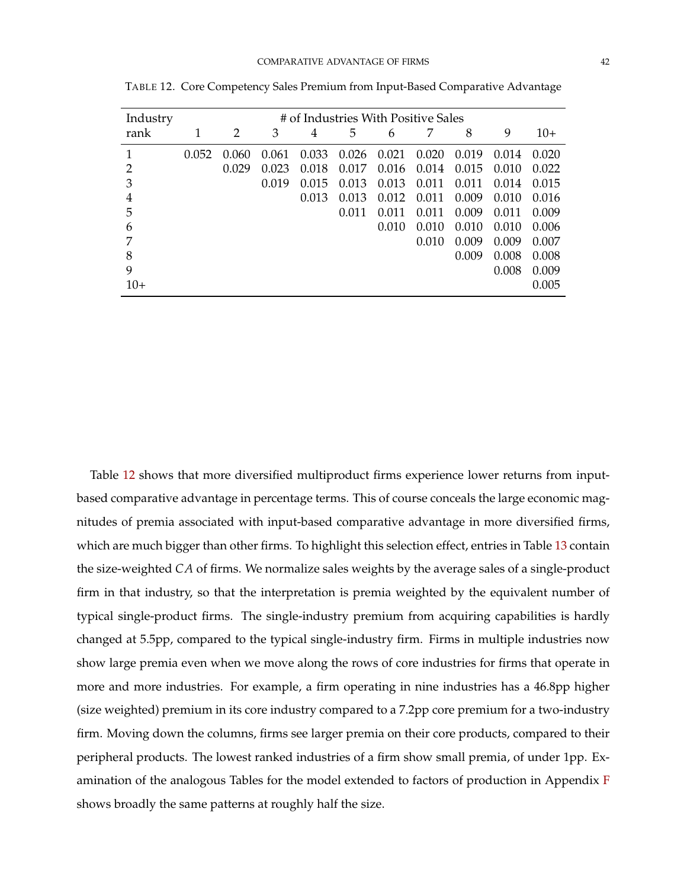| Industry | # of Industries With Positive Sales |       |       |       |       |       |       |       |       |       |
|----------|-------------------------------------|-------|-------|-------|-------|-------|-------|-------|-------|-------|
| rank     | 1                                   | 2     | 3     | 4     | 5     | 6     | 7     | 8     | 9     | $10+$ |
|          | 0.052                               | 0.060 | 0.061 | 0.033 | 0.026 | 0.021 | 0.020 | 0.019 | 0.014 | 0.020 |
| 2        |                                     | 0.029 | 0.023 | 0.018 | 0.017 | 0.016 | 0.014 | 0.015 | 0.010 | 0.022 |
| 3        |                                     |       | 0.019 | 0.015 | 0.013 | 0.013 | 0.011 | 0.011 | 0.014 | 0.015 |
| 4        |                                     |       |       | 0.013 | 0.013 | 0.012 | 0.011 | 0.009 | 0.010 | 0.016 |
| 5        |                                     |       |       |       | 0.011 | 0.011 | 0.011 | 0.009 | 0.011 | 0.009 |
| 6        |                                     |       |       |       |       | 0.010 | 0.010 | 0.010 | 0.010 | 0.006 |
|          |                                     |       |       |       |       |       | 0.010 | 0.009 | 0.009 | 0.007 |
| 8        |                                     |       |       |       |       |       |       | 0.009 | 0.008 | 0.008 |
| 9        |                                     |       |       |       |       |       |       |       | 0.008 | 0.009 |
| 10+      |                                     |       |       |       |       |       |       |       |       | 0.005 |

<span id="page-42-0"></span>TABLE 12. Core Competency Sales Premium from Input-Based Comparative Advantage

Table [12](#page-42-0) shows that more diversified multiproduct firms experience lower returns from inputbased comparative advantage in percentage terms. This of course conceals the large economic magnitudes of premia associated with input-based comparative advantage in more diversified firms, which are much bigger than other firms. To highlight this selection effect, entries in Table [13](#page-43-0) contain the size-weighted *CA* of firms. We normalize sales weights by the average sales of a single-product firm in that industry, so that the interpretation is premia weighted by the equivalent number of typical single-product firms. The single-industry premium from acquiring capabilities is hardly changed at 5.5pp, compared to the typical single-industry firm. Firms in multiple industries now show large premia even when we move along the rows of core industries for firms that operate in more and more industries. For example, a firm operating in nine industries has a 46.8pp higher (size weighted) premium in its core industry compared to a 7.2pp core premium for a two-industry firm. Moving down the columns, firms see larger premia on their core products, compared to their peripheral products. The lowest ranked industries of a firm show small premia, of under 1pp. Examination of the analogous Tables for the model extended to factors of production in Appendix [F](#page-76-0) shows broadly the same patterns at roughly half the size.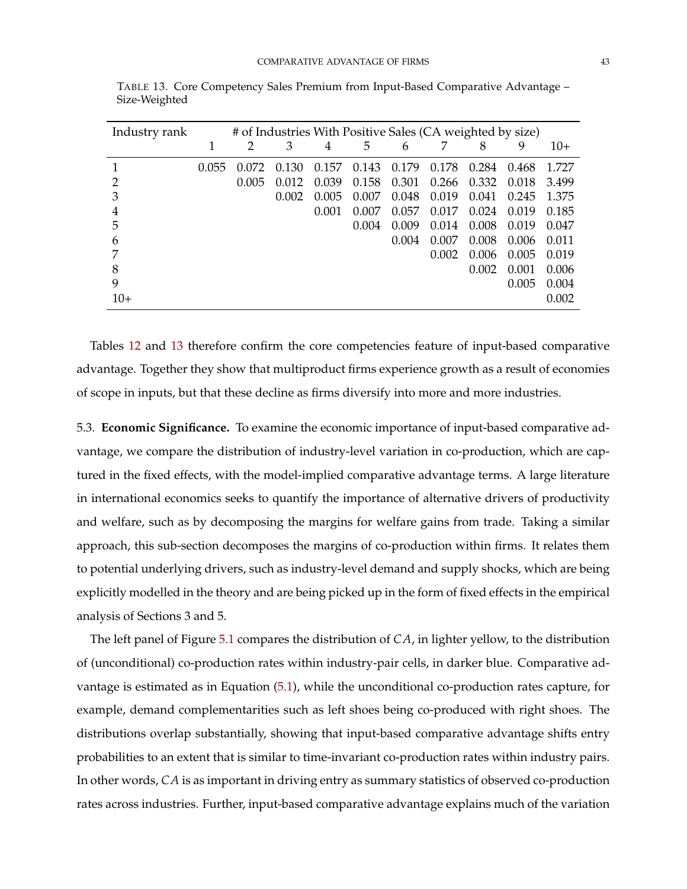| Industry rank |       | # of Industries With Positive Sales (CA weighted by size) |       |       |       |       |       |       |       |       |
|---------------|-------|-----------------------------------------------------------|-------|-------|-------|-------|-------|-------|-------|-------|
|               | 1     |                                                           | 3     | 4     | 5     | 6     |       | 8     | 9     | $10+$ |
|               | 0.055 | 0.072                                                     | 0.130 | 0.157 | 0.143 | 0.179 | 0.178 | 0.284 | 0.468 | 1.727 |
|               |       | 0.005                                                     | 0.012 | 0.039 | 0.158 | 0.301 | 0.266 | 0.332 | 0.018 | 3.499 |
| З             |       |                                                           | 0.002 | 0.005 | 0.007 | 0.048 | 0.019 | 0.041 | 0.245 | 1.375 |
| 4             |       |                                                           |       | 0.001 | 0.007 | 0.057 | 0.017 | 0.024 | 0.019 | 0.185 |
| 5             |       |                                                           |       |       | 0.004 | 0.009 | 0.014 | 0.008 | 0.019 | 0.047 |
| 6             |       |                                                           |       |       |       | 0.004 | 0.007 | 0.008 | 0.006 | 0.011 |
|               |       |                                                           |       |       |       |       | 0.002 | 0.006 | 0.005 | 0.019 |
| 8             |       |                                                           |       |       |       |       |       | 0.002 | 0.001 | 0.006 |
| 9             |       |                                                           |       |       |       |       |       |       | 0.005 | 0.004 |
| $10+$         |       |                                                           |       |       |       |       |       |       |       | 0.002 |

<span id="page-43-0"></span>TABLE 13. Core Competency Sales Premium from Input-Based Comparative Advantage – Size-Weighted

Tables [12](#page-42-0) and [13](#page-43-0) therefore confirm the core competencies feature of input-based comparative advantage. Together they show that multiproduct firms experience growth as a result of economies of scope in inputs, but that these decline as firms diversify into more and more industries.

5.3. **Economic Significance.** To examine the economic importance of input-based comparative advantage, we compare the distribution of industry-level variation in co-production, which are captured in the fixed effects, with the model-implied comparative advantage terms. A large literature in international economics seeks to quantify the importance of alternative drivers of productivity and welfare, such as by decomposing the margins for welfare gains from trade. Taking a similar approach, this sub-section decomposes the margins of co-production within firms. It relates them to potential underlying drivers, such as industry-level demand and supply shocks, which are being explicitly modelled in the theory and are being picked up in the form of fixed effects in the empirical analysis of Sections 3 and 5.

The left panel of Figure [5.1](#page-44-0) compares the distribution of *CA*, in lighter yellow, to the distribution of (unconditional) co-production rates within industry-pair cells, in darker blue. Comparative advantage is estimated as in Equation [\(5.1\)](#page-39-1), while the unconditional co-production rates capture, for example, demand complementarities such as left shoes being co-produced with right shoes. The distributions overlap substantially, showing that input-based comparative advantage shifts entry probabilities to an extent that is similar to time-invariant co-production rates within industry pairs. In other words, *CA* is as important in driving entry as summary statistics of observed co-production rates across industries. Further, input-based comparative advantage explains much of the variation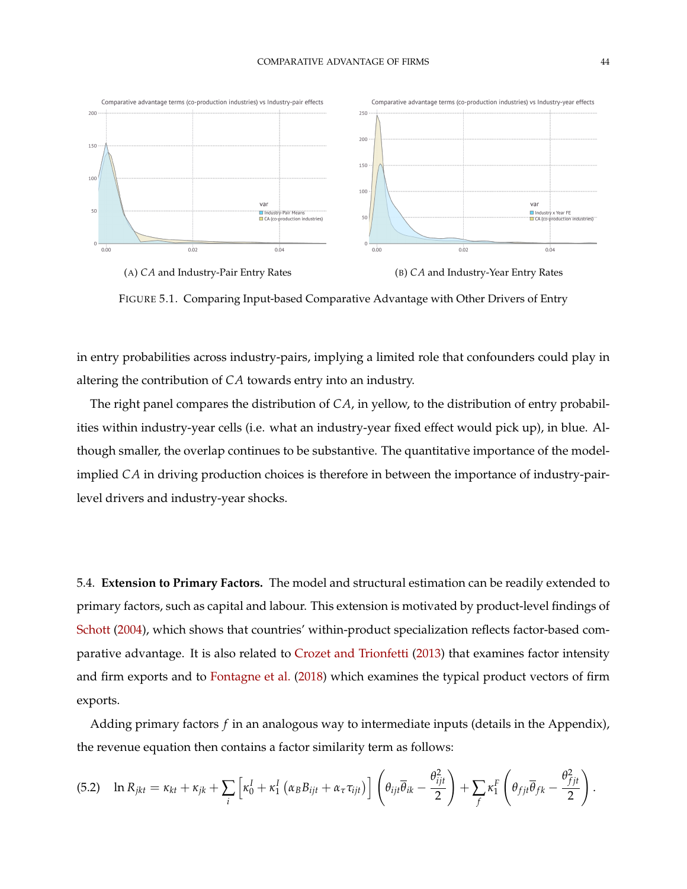<span id="page-44-0"></span>



FIGURE 5.1. Comparing Input-based Comparative Advantage with Other Drivers of Entry

in entry probabilities across industry-pairs, implying a limited role that confounders could play in altering the contribution of *CA* towards entry into an industry.

The right panel compares the distribution of *CA*, in yellow, to the distribution of entry probabilities within industry-year cells (i.e. what an industry-year fixed effect would pick up), in blue. Although smaller, the overlap continues to be substantive. The quantitative importance of the modelimplied *CA* in driving production choices is therefore in between the importance of industry-pairlevel drivers and industry-year shocks.

5.4. **Extension to Primary Factors.** The model and structural estimation can be readily extended to primary factors, such as capital and labour. This extension is motivated by product-level findings of [Schott](#page-52-0) [\(2004\)](#page-52-0), which shows that countries' within-product specialization reflects factor-based comparative advantage. It is also related to [Crozet and Trionfetti](#page-48-1) [\(2013\)](#page-48-1) that examines factor intensity and firm exports and to [Fontagne et al.](#page-49-0) [\(2018\)](#page-49-0) which examines the typical product vectors of firm exports.

Adding primary factors *f* in an analogous way to intermediate inputs (details in the Appendix), the revenue equation then contains a factor similarity term as follows:

$$
(5.2) \quad \ln R_{jkt} = \kappa_{kt} + \kappa_{jk} + \sum_i \left[ \kappa_0^I + \kappa_1^I \left( \alpha_B B_{ijt} + \alpha_\tau \tau_{ijt} \right) \right] \left( \theta_{ijt} \overline{\theta}_{ik} - \frac{\theta_{ijt}^2}{2} \right) + \sum_j \kappa_1^F \left( \theta_{fjt} \overline{\theta}_{fk} - \frac{\theta_{fjt}^2}{2} \right).
$$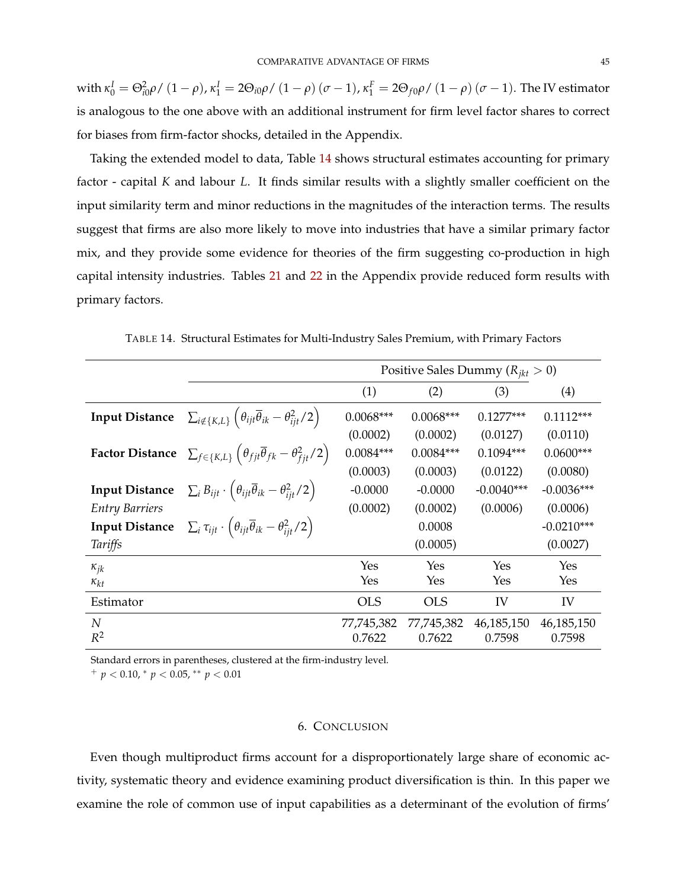with  $\kappa_0^I=\Theta_{i0}^2\rho$  /  $(1-\rho)$ ,  $\kappa_1^I=2\Theta_{i0}\rho$  /  $(1-\rho)$   $(\sigma-1)$ ,  $\kappa_1^F=2\Theta_{f0}\rho$  /  $(1-\rho)$   $(\sigma-1)$ . The IV estimator is analogous to the one above with an additional instrument for firm level factor shares to correct for biases from firm-factor shocks, detailed in the Appendix.

Taking the extended model to data, Table [14](#page-45-0) shows structural estimates accounting for primary factor - capital *K* and labour *L*. It finds similar results with a slightly smaller coefficient on the input similarity term and minor reductions in the magnitudes of the interaction terms. The results suggest that firms are also more likely to move into industries that have a similar primary factor mix, and they provide some evidence for theories of the firm suggesting co-production in high capital intensity industries. Tables [21](#page-58-0) and [22](#page-58-1) in the Appendix provide reduced form results with primary factors.

<span id="page-45-0"></span>

|                           |                                                                                                                     | Positive Sales Dummy ( $R_{ikt} > 0$ ) |                      |                      |                      |  |
|---------------------------|---------------------------------------------------------------------------------------------------------------------|----------------------------------------|----------------------|----------------------|----------------------|--|
|                           |                                                                                                                     | (1)                                    | (2)                  | (3)                  | (4)                  |  |
| <b>Input Distance</b>     | $\sum_{i \notin \{K,L\}} \left( \theta_{ijt} \overline{\theta}_{ik} - \theta_{ijt}^2 / 2 \right)$                   | $0.0068***$                            | $0.0068***$          | $0.1277***$          | $0.1112***$          |  |
|                           |                                                                                                                     | (0.0002)                               | (0.0002)             | (0.0127)             | (0.0110)             |  |
|                           | <b>Factor Distance</b> $\sum_{f \in \{K,L\}} (\theta_{fjt} \overline{\theta}_{fk} - \theta_{fit}^2/2)$              | $0.0084***$                            | $0.0084***$          | $0.1094***$          | $0.0600***$          |  |
|                           |                                                                                                                     | (0.0003)                               | (0.0003)             | (0.0122)             | (0.0080)             |  |
| <b>Input Distance</b>     | $\sum_i B_{ijt} \cdot \left( \theta_{ijt} \overline{\theta}_{ik} - \theta_{ijt}^2/2 \right)$                        | $-0.0000$                              | $-0.0000$            | $-0.0040***$         | $-0.0036***$         |  |
| <b>Entry Barriers</b>     |                                                                                                                     | (0.0002)                               | (0.0002)             | (0.0006)             | (0.0006)             |  |
|                           | <b>Input Distance</b> $\sum_i \tau_{ijt} \cdot \left(\theta_{ijt} \overline{\theta}_{ik} - \theta_{ijt}^2/2\right)$ |                                        | 0.0008               |                      | $-0.0210***$         |  |
| Tariffs                   |                                                                                                                     |                                        | (0.0005)             |                      | (0.0027)             |  |
| $\kappa_{jk}$             |                                                                                                                     | Yes                                    | Yes                  | Yes                  | Yes                  |  |
| $\kappa_{kt}$             |                                                                                                                     | Yes                                    | Yes                  | Yes                  | Yes                  |  |
| Estimator                 |                                                                                                                     | <b>OLS</b>                             | <b>OLS</b>           | IV                   | IV                   |  |
| $\boldsymbol{N}$<br>$R^2$ |                                                                                                                     | 77,745,382<br>0.7622                   | 77,745,382<br>0.7622 | 46,185,150<br>0.7598 | 46,185,150<br>0.7598 |  |

TABLE 14. Structural Estimates for Multi-Industry Sales Premium, with Primary Factors

Standard errors in parentheses, clustered at the firm-industry level.

<sup>+</sup> *p* < 0.10, <sup>∗</sup> *p* < 0.05, ∗∗ *p* < 0.01

#### 6. CONCLUSION

Even though multiproduct firms account for a disproportionately large share of economic activity, systematic theory and evidence examining product diversification is thin. In this paper we examine the role of common use of input capabilities as a determinant of the evolution of firms'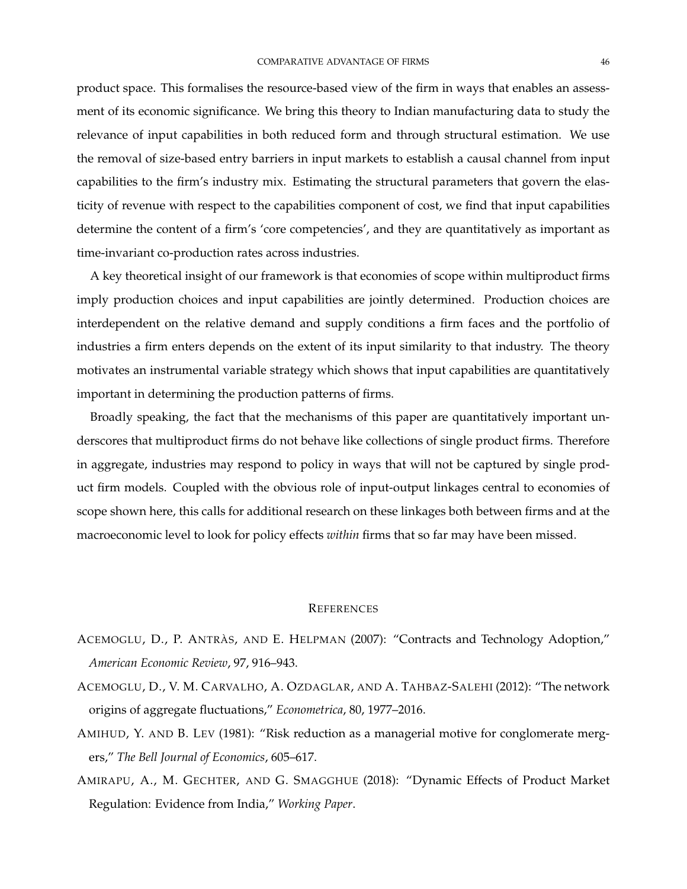product space. This formalises the resource-based view of the firm in ways that enables an assessment of its economic significance. We bring this theory to Indian manufacturing data to study the relevance of input capabilities in both reduced form and through structural estimation. We use the removal of size-based entry barriers in input markets to establish a causal channel from input capabilities to the firm's industry mix. Estimating the structural parameters that govern the elasticity of revenue with respect to the capabilities component of cost, we find that input capabilities determine the content of a firm's 'core competencies', and they are quantitatively as important as time-invariant co-production rates across industries.

A key theoretical insight of our framework is that economies of scope within multiproduct firms imply production choices and input capabilities are jointly determined. Production choices are interdependent on the relative demand and supply conditions a firm faces and the portfolio of industries a firm enters depends on the extent of its input similarity to that industry. The theory motivates an instrumental variable strategy which shows that input capabilities are quantitatively important in determining the production patterns of firms.

Broadly speaking, the fact that the mechanisms of this paper are quantitatively important underscores that multiproduct firms do not behave like collections of single product firms. Therefore in aggregate, industries may respond to policy in ways that will not be captured by single product firm models. Coupled with the obvious role of input-output linkages central to economies of scope shown here, this calls for additional research on these linkages both between firms and at the macroeconomic level to look for policy effects *within* firms that so far may have been missed.

#### **REFERENCES**

- ACEMOGLU, D., P. ANTRÀS, AND E. HELPMAN (2007): "Contracts and Technology Adoption," *American Economic Review*, 97, 916–943.
- ACEMOGLU, D., V. M. CARVALHO, A. OZDAGLAR, AND A. TAHBAZ-SALEHI (2012): "The network origins of aggregate fluctuations," *Econometrica*, 80, 1977–2016.
- AMIHUD, Y. AND B. LEV (1981): "Risk reduction as a managerial motive for conglomerate mergers," *The Bell Journal of Economics*, 605–617.
- AMIRAPU, A., M. GECHTER, AND G. SMAGGHUE (2018): "Dynamic Effects of Product Market Regulation: Evidence from India," *Working Paper*.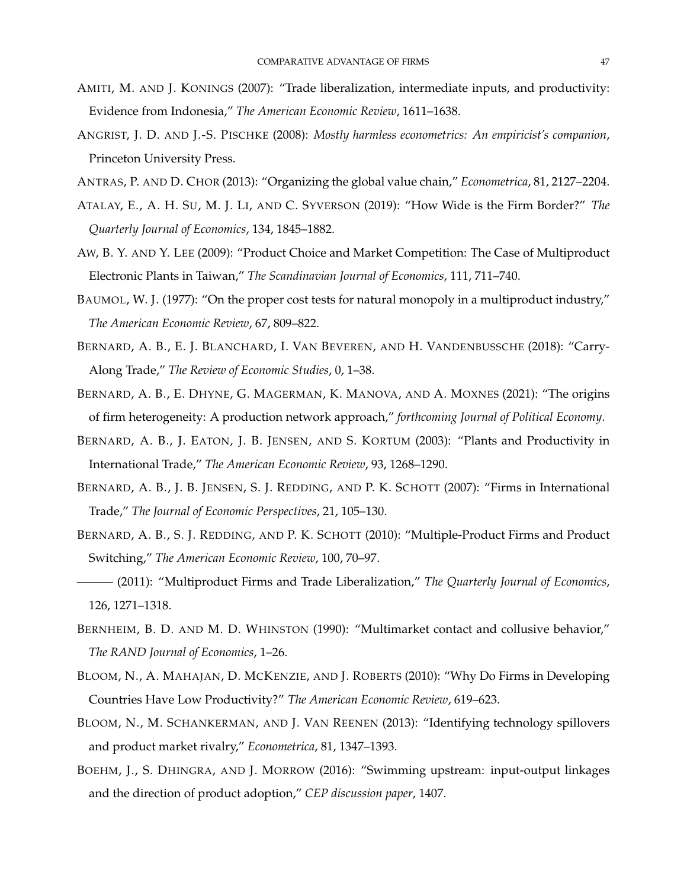- AMITI, M. AND J. KONINGS (2007): "Trade liberalization, intermediate inputs, and productivity: Evidence from Indonesia," *The American Economic Review*, 1611–1638.
- <span id="page-47-0"></span>ANGRIST, J. D. AND J.-S. PISCHKE (2008): *Mostly harmless econometrics: An empiricist's companion*, Princeton University Press.
- ANTRAS, P. AND D. CHOR (2013): "Organizing the global value chain," *Econometrica*, 81, 2127–2204.
- ATALAY, E., A. H. SU, M. J. LI, AND C. SYVERSON (2019): "How Wide is the Firm Border?" *The Quarterly Journal of Economics*, 134, 1845–1882.
- AW, B. Y. AND Y. LEE (2009): "Product Choice and Market Competition: The Case of Multiproduct Electronic Plants in Taiwan," *The Scandinavian Journal of Economics*, 111, 711–740.
- BAUMOL, W. J. (1977): "On the proper cost tests for natural monopoly in a multiproduct industry," *The American Economic Review*, 67, 809–822.
- BERNARD, A. B., E. J. BLANCHARD, I. VAN BEVEREN, AND H. VANDENBUSSCHE (2018): "Carry-Along Trade," *The Review of Economic Studies*, 0, 1–38.
- BERNARD, A. B., E. DHYNE, G. MAGERMAN, K. MANOVA, AND A. MOXNES (2021): "The origins of firm heterogeneity: A production network approach," *forthcoming Journal of Political Economy*.
- BERNARD, A. B., J. EATON, J. B. JENSEN, AND S. KORTUM (2003): "Plants and Productivity in International Trade," *The American Economic Review*, 93, 1268–1290.
- BERNARD, A. B., J. B. JENSEN, S. J. REDDING, AND P. K. SCHOTT (2007): "Firms in International Trade," *The Journal of Economic Perspectives*, 21, 105–130.
- BERNARD, A. B., S. J. REDDING, AND P. K. SCHOTT (2010): "Multiple-Product Firms and Product Switching," *The American Economic Review*, 100, 70–97.
- ——— (2011): "Multiproduct Firms and Trade Liberalization," *The Quarterly Journal of Economics*, 126, 1271–1318.
- BERNHEIM, B. D. AND M. D. WHINSTON (1990): "Multimarket contact and collusive behavior," *The RAND Journal of Economics*, 1–26.
- BLOOM, N., A. MAHAJAN, D. MCKENZIE, AND J. ROBERTS (2010): "Why Do Firms in Developing Countries Have Low Productivity?" *The American Economic Review*, 619–623.
- BLOOM, N., M. SCHANKERMAN, AND J. VAN REENEN (2013): "Identifying technology spillovers and product market rivalry," *Econometrica*, 81, 1347–1393.
- BOEHM, J., S. DHINGRA, AND J. MORROW (2016): "Swimming upstream: input-output linkages and the direction of product adoption," *CEP discussion paper*, 1407.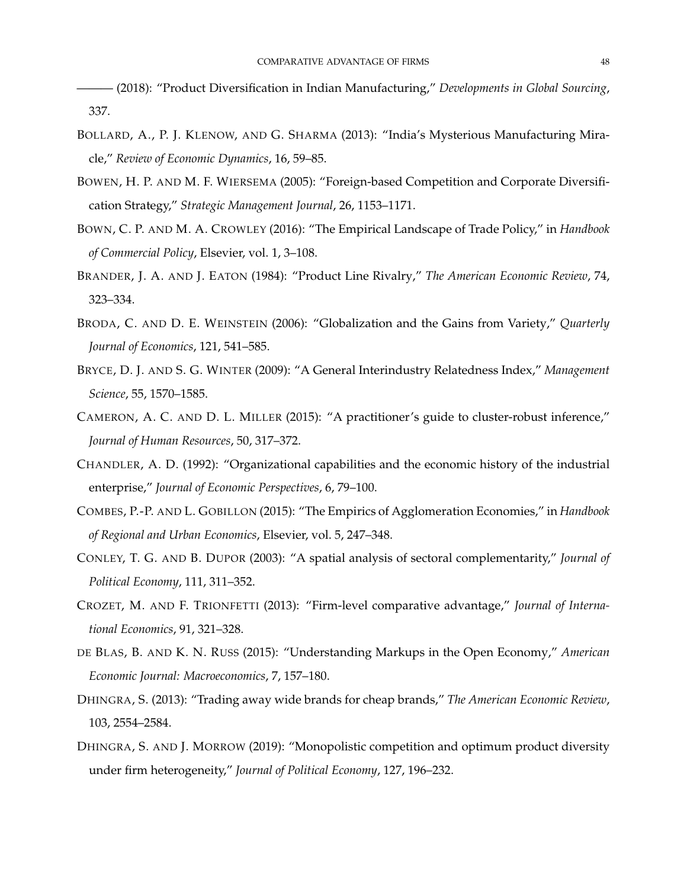——— (2018): "Product Diversification in Indian Manufacturing," *Developments in Global Sourcing*, 337.

- BOLLARD, A., P. J. KLENOW, AND G. SHARMA (2013): "India's Mysterious Manufacturing Miracle," *Review of Economic Dynamics*, 16, 59–85.
- BOWEN, H. P. AND M. F. WIERSEMA (2005): "Foreign-based Competition and Corporate Diversification Strategy," *Strategic Management Journal*, 26, 1153–1171.
- BOWN, C. P. AND M. A. CROWLEY (2016): "The Empirical Landscape of Trade Policy," in *Handbook of Commercial Policy*, Elsevier, vol. 1, 3–108.
- BRANDER, J. A. AND J. EATON (1984): "Product Line Rivalry," *The American Economic Review*, 74, 323–334.
- BRODA, C. AND D. E. WEINSTEIN (2006): "Globalization and the Gains from Variety," *Quarterly Journal of Economics*, 121, 541–585.
- BRYCE, D. J. AND S. G. WINTER (2009): "A General Interindustry Relatedness Index," *Management Science*, 55, 1570–1585.
- <span id="page-48-0"></span>CAMERON, A. C. AND D. L. MILLER (2015): "A practitioner's guide to cluster-robust inference," *Journal of Human Resources*, 50, 317–372.
- CHANDLER, A. D. (1992): "Organizational capabilities and the economic history of the industrial enterprise," *Journal of Economic Perspectives*, 6, 79–100.
- COMBES, P.-P. AND L. GOBILLON (2015): "The Empirics of Agglomeration Economies," in *Handbook of Regional and Urban Economics*, Elsevier, vol. 5, 247–348.
- CONLEY, T. G. AND B. DUPOR (2003): "A spatial analysis of sectoral complementarity," *Journal of Political Economy*, 111, 311–352.
- <span id="page-48-1"></span>CROZET, M. AND F. TRIONFETTI (2013): "Firm-level comparative advantage," *Journal of International Economics*, 91, 321–328.
- DE BLAS, B. AND K. N. RUSS (2015): "Understanding Markups in the Open Economy," *American Economic Journal: Macroeconomics*, 7, 157–180.
- DHINGRA, S. (2013): "Trading away wide brands for cheap brands," *The American Economic Review*, 103, 2554–2584.
- DHINGRA, S. AND J. MORROW (2019): "Monopolistic competition and optimum product diversity under firm heterogeneity," *Journal of Political Economy*, 127, 196–232.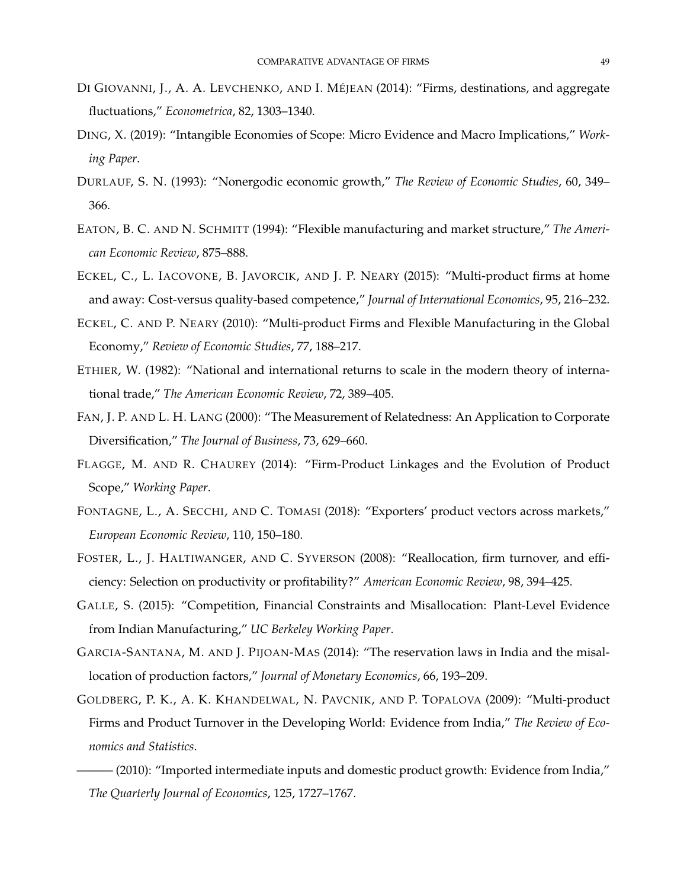- DI GIOVANNI, J., A. A. LEVCHENKO, AND I. MÉJEAN (2014): "Firms, destinations, and aggregate fluctuations," *Econometrica*, 82, 1303–1340.
- DING, X. (2019): "Intangible Economies of Scope: Micro Evidence and Macro Implications," *Working Paper*.
- DURLAUF, S. N. (1993): "Nonergodic economic growth," *The Review of Economic Studies*, 60, 349– 366.
- EATON, B. C. AND N. SCHMITT (1994): "Flexible manufacturing and market structure," *The American Economic Review*, 875–888.
- ECKEL, C., L. IACOVONE, B. JAVORCIK, AND J. P. NEARY (2015): "Multi-product firms at home and away: Cost-versus quality-based competence," *Journal of International Economics*, 95, 216–232.
- ECKEL, C. AND P. NEARY (2010): "Multi-product Firms and Flexible Manufacturing in the Global Economy," *Review of Economic Studies*, 77, 188–217.
- ETHIER, W. (1982): "National and international returns to scale in the modern theory of international trade," *The American Economic Review*, 72, 389–405.
- FAN, J. P. AND L. H. LANG (2000): "The Measurement of Relatedness: An Application to Corporate Diversification," *The Journal of Business*, 73, 629–660.
- FLAGGE, M. AND R. CHAUREY (2014): "Firm-Product Linkages and the Evolution of Product Scope," *Working Paper*.
- <span id="page-49-0"></span>FONTAGNE, L., A. SECCHI, AND C. TOMASI (2018): "Exporters' product vectors across markets," *European Economic Review*, 110, 150–180.
- FOSTER, L., J. HALTIWANGER, AND C. SYVERSON (2008): "Reallocation, firm turnover, and efficiency: Selection on productivity or profitability?" *American Economic Review*, 98, 394–425.
- GALLE, S. (2015): "Competition, Financial Constraints and Misallocation: Plant-Level Evidence from Indian Manufacturing," *UC Berkeley Working Paper*.
- GARCIA-SANTANA, M. AND J. PIJOAN-MAS (2014): "The reservation laws in India and the misallocation of production factors," *Journal of Monetary Economics*, 66, 193–209.
- GOLDBERG, P. K., A. K. KHANDELWAL, N. PAVCNIK, AND P. TOPALOVA (2009): "Multi-product Firms and Product Turnover in the Developing World: Evidence from India," *The Review of Economics and Statistics*.
	- $-$  (2010): "Imported intermediate inputs and domestic product growth: Evidence from India," *The Quarterly Journal of Economics*, 125, 1727–1767.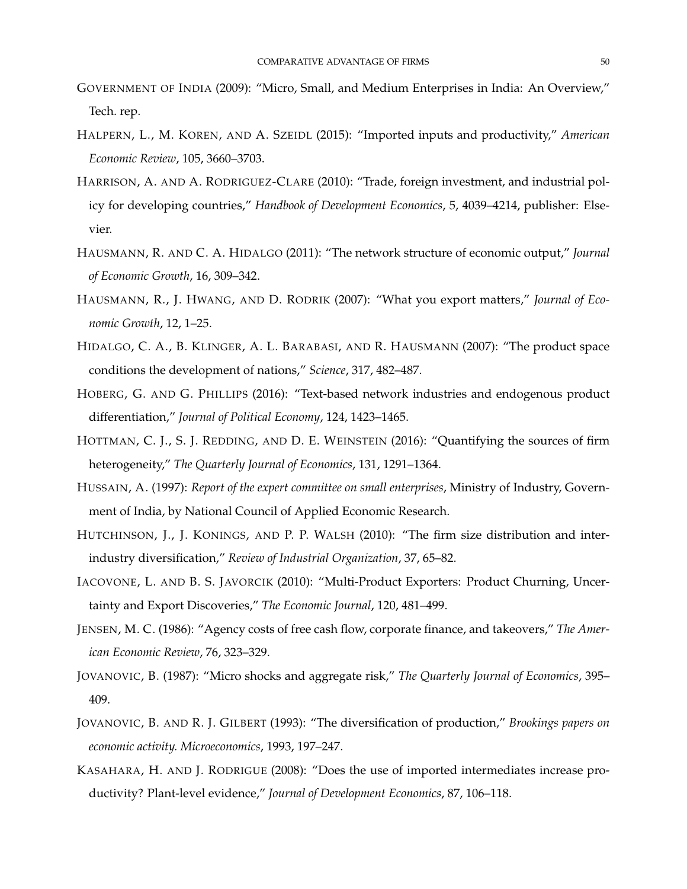- GOVERNMENT OF INDIA (2009): "Micro, Small, and Medium Enterprises in India: An Overview," Tech. rep.
- HALPERN, L., M. KOREN, AND A. SZEIDL (2015): "Imported inputs and productivity," *American Economic Review*, 105, 3660–3703.
- HARRISON, A. AND A. RODRIGUEZ-CLARE (2010): "Trade, foreign investment, and industrial policy for developing countries," *Handbook of Development Economics*, 5, 4039–4214, publisher: Elsevier.
- HAUSMANN, R. AND C. A. HIDALGO (2011): "The network structure of economic output," *Journal of Economic Growth*, 16, 309–342.
- HAUSMANN, R., J. HWANG, AND D. RODRIK (2007): "What you export matters," *Journal of Economic Growth*, 12, 1–25.
- HIDALGO, C. A., B. KLINGER, A. L. BARABASI, AND R. HAUSMANN (2007): "The product space conditions the development of nations," *Science*, 317, 482–487.
- HOBERG, G. AND G. PHILLIPS (2016): "Text-based network industries and endogenous product differentiation," *Journal of Political Economy*, 124, 1423–1465.
- HOTTMAN, C. J., S. J. REDDING, AND D. E. WEINSTEIN (2016): "Quantifying the sources of firm heterogeneity," *The Quarterly Journal of Economics*, 131, 1291–1364.
- HUSSAIN, A. (1997): *Report of the expert committee on small enterprises*, Ministry of Industry, Government of India, by National Council of Applied Economic Research.
- HUTCHINSON, J., J. KONINGS, AND P. P. WALSH (2010): "The firm size distribution and interindustry diversification," *Review of Industrial Organization*, 37, 65–82.
- IACOVONE, L. AND B. S. JAVORCIK (2010): "Multi-Product Exporters: Product Churning, Uncertainty and Export Discoveries," *The Economic Journal*, 120, 481–499.
- JENSEN, M. C. (1986): "Agency costs of free cash flow, corporate finance, and takeovers," *The American Economic Review*, 76, 323–329.
- JOVANOVIC, B. (1987): "Micro shocks and aggregate risk," *The Quarterly Journal of Economics*, 395– 409.
- JOVANOVIC, B. AND R. J. GILBERT (1993): "The diversification of production," *Brookings papers on economic activity. Microeconomics*, 1993, 197–247.
- KASAHARA, H. AND J. RODRIGUE (2008): "Does the use of imported intermediates increase productivity? Plant-level evidence," *Journal of Development Economics*, 87, 106–118.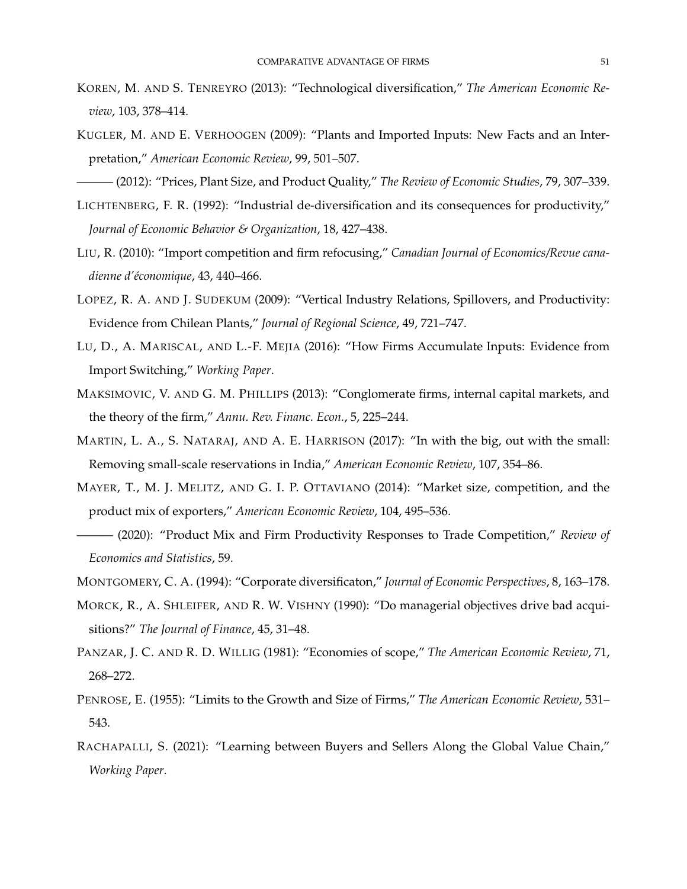- KOREN, M. AND S. TENREYRO (2013): "Technological diversification," *The American Economic Review*, 103, 378–414.
- KUGLER, M. AND E. VERHOOGEN (2009): "Plants and Imported Inputs: New Facts and an Interpretation," *American Economic Review*, 99, 501–507.
- ——— (2012): "Prices, Plant Size, and Product Quality," *The Review of Economic Studies*, 79, 307–339.
- LICHTENBERG, F. R. (1992): "Industrial de-diversification and its consequences for productivity," *Journal of Economic Behavior & Organization*, 18, 427–438.
- LIU, R. (2010): "Import competition and firm refocusing," *Canadian Journal of Economics/Revue canadienne d'économique*, 43, 440–466.
- LOPEZ, R. A. AND J. SUDEKUM (2009): "Vertical Industry Relations, Spillovers, and Productivity: Evidence from Chilean Plants," *Journal of Regional Science*, 49, 721–747.
- LU, D., A. MARISCAL, AND L.-F. MEJIA (2016): "How Firms Accumulate Inputs: Evidence from Import Switching," *Working Paper*.
- MAKSIMOVIC, V. AND G. M. PHILLIPS (2013): "Conglomerate firms, internal capital markets, and the theory of the firm," *Annu. Rev. Financ. Econ.*, 5, 225–244.
- MARTIN, L. A., S. NATARAJ, AND A. E. HARRISON (2017): "In with the big, out with the small: Removing small-scale reservations in India," *American Economic Review*, 107, 354–86.
- MAYER, T., M. J. MELITZ, AND G. I. P. OTTAVIANO (2014): "Market size, competition, and the product mix of exporters," *American Economic Review*, 104, 495–536.
- ——— (2020): "Product Mix and Firm Productivity Responses to Trade Competition," *Review of Economics and Statistics*, 59.
- MONTGOMERY, C. A. (1994): "Corporate diversificaton," *Journal of Economic Perspectives*, 8, 163–178.
- MORCK, R., A. SHLEIFER, AND R. W. VISHNY (1990): "Do managerial objectives drive bad acquisitions?" *The Journal of Finance*, 45, 31–48.
- PANZAR, J. C. AND R. D. WILLIG (1981): "Economies of scope," *The American Economic Review*, 71, 268–272.
- PENROSE, E. (1955): "Limits to the Growth and Size of Firms," *The American Economic Review*, 531– 543.
- RACHAPALLI, S. (2021): "Learning between Buyers and Sellers Along the Global Value Chain," *Working Paper*.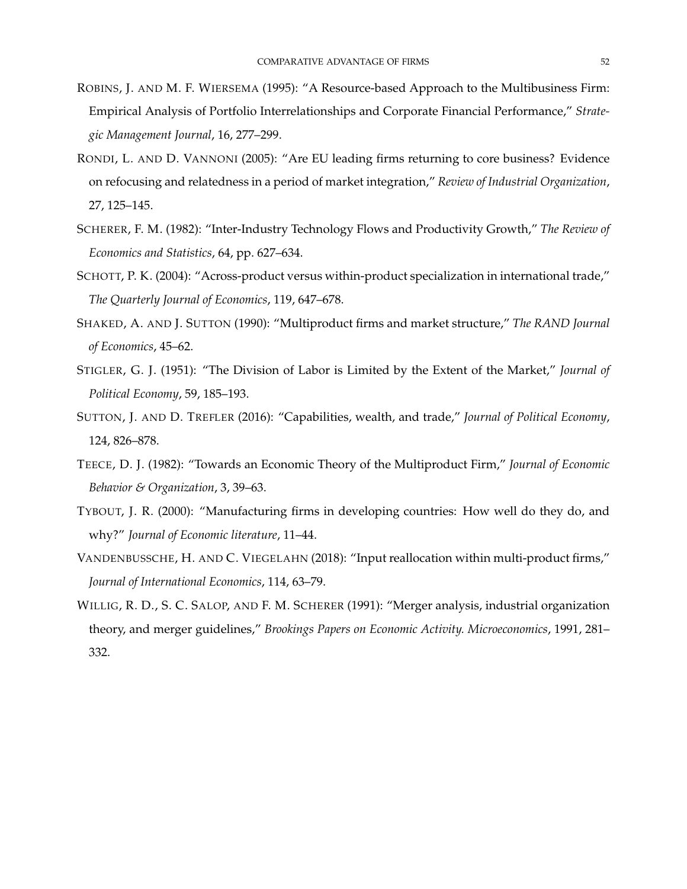- ROBINS, J. AND M. F. WIERSEMA (1995): "A Resource-based Approach to the Multibusiness Firm: Empirical Analysis of Portfolio Interrelationships and Corporate Financial Performance," *Strategic Management Journal*, 16, 277–299.
- RONDI, L. AND D. VANNONI (2005): "Are EU leading firms returning to core business? Evidence on refocusing and relatedness in a period of market integration," *Review of Industrial Organization*, 27, 125–145.
- SCHERER, F. M. (1982): "Inter-Industry Technology Flows and Productivity Growth," *The Review of Economics and Statistics*, 64, pp. 627–634.
- <span id="page-52-0"></span>SCHOTT, P. K. (2004): "Across-product versus within-product specialization in international trade," *The Quarterly Journal of Economics*, 119, 647–678.
- SHAKED, A. AND J. SUTTON (1990): "Multiproduct firms and market structure," *The RAND Journal of Economics*, 45–62.
- STIGLER, G. J. (1951): "The Division of Labor is Limited by the Extent of the Market," *Journal of Political Economy*, 59, 185–193.
- SUTTON, J. AND D. TREFLER (2016): "Capabilities, wealth, and trade," *Journal of Political Economy*, 124, 826–878.
- TEECE, D. J. (1982): "Towards an Economic Theory of the Multiproduct Firm," *Journal of Economic Behavior & Organization*, 3, 39–63.
- TYBOUT, J. R. (2000): "Manufacturing firms in developing countries: How well do they do, and why?" *Journal of Economic literature*, 11–44.
- VANDENBUSSCHE, H. AND C. VIEGELAHN (2018): "Input reallocation within multi-product firms," *Journal of International Economics*, 114, 63–79.
- WILLIG, R. D., S. C. SALOP, AND F. M. SCHERER (1991): "Merger analysis, industrial organization theory, and merger guidelines," *Brookings Papers on Economic Activity. Microeconomics*, 1991, 281– 332.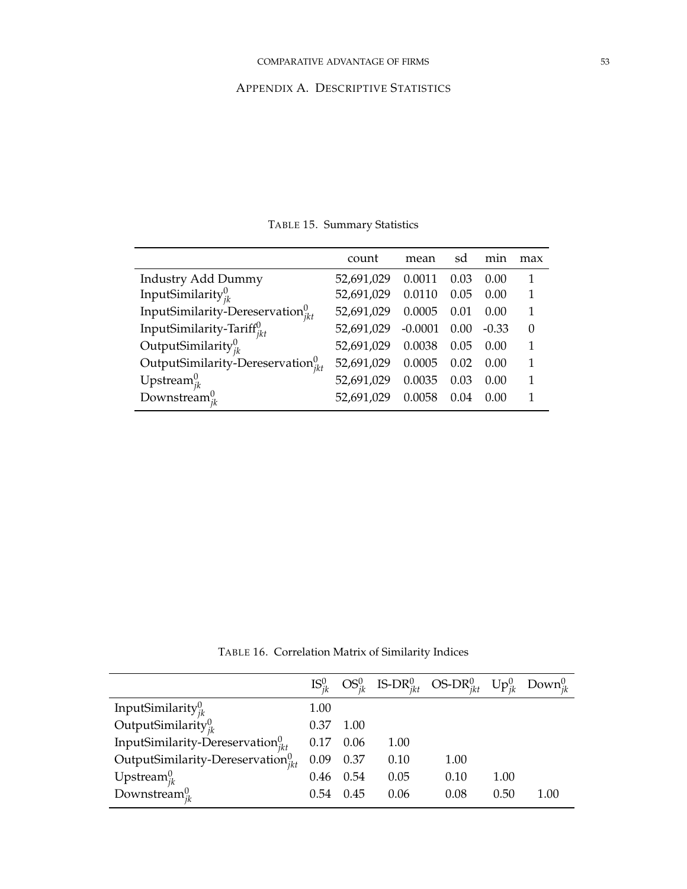# APPENDIX A. DESCRIPTIVE STATISTICS

|                                             | count      | mean      | sd   | min     | max |
|---------------------------------------------|------------|-----------|------|---------|-----|
| <b>Industry Add Dummy</b>                   | 52,691,029 | 0.0011    | 0.03 | 0.00    |     |
| InputSimilarity $_{ik}^0$                   | 52,691,029 | 0.0110    | 0.05 | 0.00    |     |
| InputSimilarity-Dereservation $_{ikt}^{0}$  | 52,691,029 | 0.0005    | 0.01 | 0.00    |     |
| InputSimilarity-Tariff $_{ikt}^{0}$         | 52,691,029 | $-0.0001$ | 0.00 | $-0.33$ | 0   |
| OutputSimilarity $_{ik}^0$                  | 52,691,029 | 0.0038    | 0.05 | 0.00    |     |
| OutputSimilarity-Dereservation ${}_{jkt}^0$ | 52,691,029 | 0.0005    | 0.02 | 0.00    | 1   |
| Upstream $_{ik}^0$                          | 52,691,029 | 0.0035    | 0.03 | 0.00    | 1   |
| Downstream $_{ik}^0$                        | 52,691,029 | 0.0058    | 0.04 | (0.00)  |     |

TABLE 15. Summary Statistics

TABLE 16. Correlation Matrix of Similarity Indices

|                                                         |      |           |      | $\text{IS}^0_{ik}$ OS <sup>0</sup> <sub>ik</sub> IS-DR <sup>0</sup> <sub>ikt</sub> OS-DR <sup>0</sup> <sub>ikt</sub> Up <sup>0</sup> <sub>ik</sub> Down <sup>0</sup> <sub>ik</sub> |      |      |
|---------------------------------------------------------|------|-----------|------|------------------------------------------------------------------------------------------------------------------------------------------------------------------------------------|------|------|
|                                                         | 1.00 |           |      |                                                                                                                                                                                    |      |      |
| InputSimilarity $_{jk}^0$<br>OutputSimilarity $_{jk}^0$ | 0.37 | 1.00      |      |                                                                                                                                                                                    |      |      |
| InputSimilarity-Dereservation ${}_{ikt}^0$              |      | 0.17 0.06 | 1.00 |                                                                                                                                                                                    |      |      |
| OutputSimilarity-Dereservation $_{ikt}^{0}$             | 0.09 | 0.37      | 0.10 | 1.00                                                                                                                                                                               |      |      |
| Upstream $_{jk}^0$                                      | 0.46 | 0.54      | 0.05 | 0.10                                                                                                                                                                               | 1.00 |      |
| Downstream $_{ik}^0$                                    | 0.54 | 0.45      | 0.06 | 0.08                                                                                                                                                                               | 0.50 | 1.00 |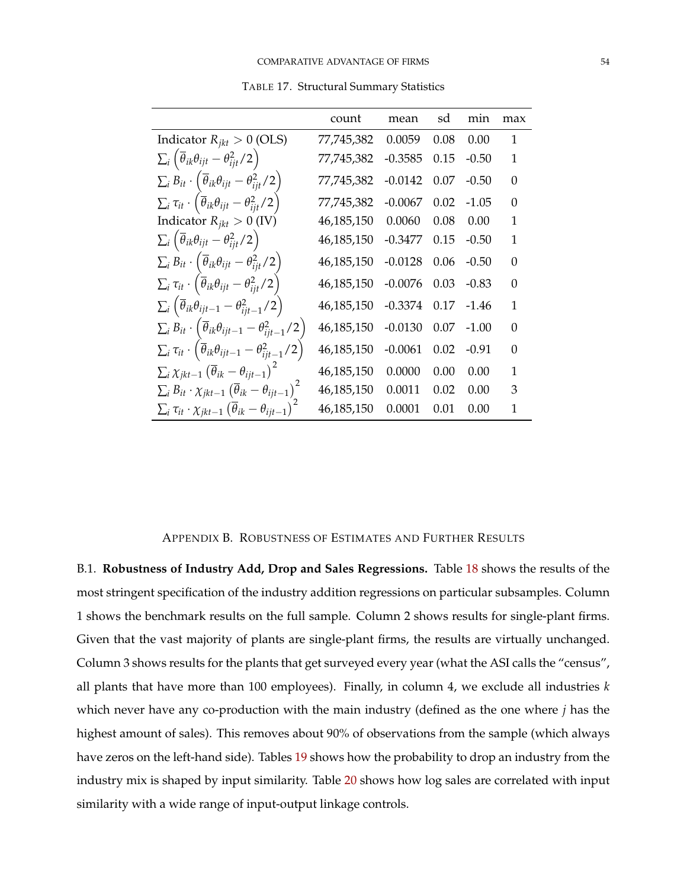TABLE 17. Structural Summary Statistics

<span id="page-54-0"></span>

|                                                                                                | count      | mean      | sd   | min     | max      |
|------------------------------------------------------------------------------------------------|------------|-----------|------|---------|----------|
| Indicator $R_{jkt} > 0$ (OLS)                                                                  | 77,745,382 | 0.0059    | 0.08 | 0.00    | 1        |
| $\sum_i \left( \overline{\theta}_{ik} \theta_{ijt} - \theta_{ijt}^2 / 2 \right)$               | 77,745,382 | $-0.3585$ | 0.15 | $-0.50$ | 1        |
| $\sum_i B_{it} \cdot (\overline{\theta}_{ik}\theta_{ijt} - \theta_{ijt}^2/2)$                  | 77,745,382 | $-0.0142$ | 0.07 | $-0.50$ | 0        |
| $\sum_i \tau_{it} \cdot \left( \overline{\theta}_{ik} \theta_{ijt} - \theta_{ijt}^2/2 \right)$ | 77,745,382 | $-0.0067$ | 0.02 | $-1.05$ | 0        |
| Indicator $R_{ikt} > 0$ (IV)                                                                   | 46,185,150 | 0.0060    | 0.08 | 0.00    | 1        |
| $\sum_i \left( \overline{\theta}_{ik} \theta_{ijt} - \theta_{ijt}^2 / 2 \right)$               | 46,185,150 | $-0.3477$ | 0.15 | $-0.50$ | 1        |
| $\sum_i B_{it} \cdot (\overline{\theta}_{ik} \theta_{ijt} - \theta_{ijt}^2/2)$                 | 46,185,150 | $-0.0128$ | 0.06 | $-0.50$ | $\Omega$ |
| $\sum_i \tau_{it} \cdot (\overline{\theta}_{ik}\theta_{ijt} - \theta_{ijt}^2/2)$               | 46,185,150 | $-0.0076$ | 0.03 | $-0.83$ | $\Omega$ |
| $\sum_i \left( \overline{\theta}_{ik} \theta_{ijt-1} - \theta_{ijt-1}^2 / 2 \right)$           | 46,185,150 | $-0.3374$ | 0.17 | -1.46   | 1        |
| $\sum_i B_{it} \cdot (\overline{\theta}_{ik} \theta_{ijt-1} - \theta_{ijt-1}^2/2)$             | 46,185,150 | $-0.0130$ | 0.07 | $-1.00$ | $\Omega$ |
| $\sum_i \tau_{it} \cdot (\overline{\theta}_{ik} \theta_{ijt-1} - \theta_{ijt-1}^2/2)$          | 46,185,150 | $-0.0061$ | 0.02 | -0.91   | 0        |
| $\sum_i \chi_{jkt-1} (\overline{\theta}_{ik} - \theta_{ijt-1})^2$                              | 46,185,150 | 0.0000    | 0.00 | 0.00    | 1        |
| $\sum_i B_{it} \cdot \chi_{jkt-1} (\overline{\theta}_{ik} - \theta_{ijt-1})^2$                 | 46,185,150 | 0.0011    | 0.02 | 0.00    | 3        |
| $\sum_i \tau_{it} \cdot \chi_{jkt-1} (\overline{\theta}_{ik} - \theta_{ijt-1})^2$              | 46,185,150 | 0.0001    | 0.01 | 0.00    | 1        |

## APPENDIX B. ROBUSTNESS OF ESTIMATES AND FURTHER RESULTS

B.1. **Robustness of Industry Add, Drop and Sales Regressions.** Table [18](#page-55-0) shows the results of the most stringent specification of the industry addition regressions on particular subsamples. Column 1 shows the benchmark results on the full sample. Column 2 shows results for single-plant firms. Given that the vast majority of plants are single-plant firms, the results are virtually unchanged. Column 3 shows results for the plants that get surveyed every year (what the ASI calls the "census", all plants that have more than 100 employees). Finally, in column 4, we exclude all industries *k* which never have any co-production with the main industry (defined as the one where *j* has the highest amount of sales). This removes about 90% of observations from the sample (which always have zeros on the left-hand side). Tables [19](#page-56-0) shows how the probability to drop an industry from the industry mix is shaped by input similarity. Table [20](#page-57-0) shows how log sales are correlated with input similarity with a wide range of input-output linkage controls.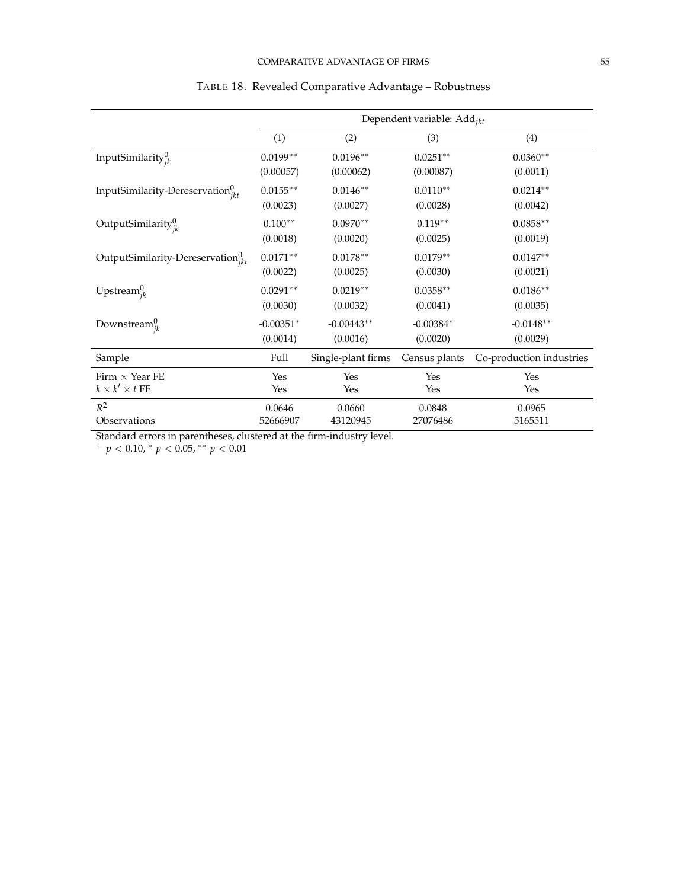<span id="page-55-0"></span>

|                                               | Dependent variable: $Add_{ikt}$ |                    |               |                          |  |  |  |
|-----------------------------------------------|---------------------------------|--------------------|---------------|--------------------------|--|--|--|
|                                               | (1)                             | (2)                | (3)           | (4)                      |  |  |  |
| InputSimilarity $_{ik}^0$                     | $0.0199**$                      | $0.0196**$         | $0.0251***$   | $0.0360**$               |  |  |  |
|                                               | (0.00057)                       | (0.00062)          | (0.00087)     | (0.0011)                 |  |  |  |
| InputSimilarity-Dereservation ${}_{ikt}^{0}$  | $0.0155**$                      | $0.0146**$         | $0.0110**$    | $0.0214**$               |  |  |  |
|                                               | (0.0023)                        | (0.0027)           | (0.0028)      | (0.0042)                 |  |  |  |
| OutputSimilarity $_{ik}^0$                    | $0.100**$                       | $0.0970**$         | $0.119**$     | $0.0858**$               |  |  |  |
|                                               | (0.0018)                        | (0.0020)           | (0.0025)      | (0.0019)                 |  |  |  |
| OutputSimilarity-Dereservation ${}_{ikt}^{0}$ | $0.0171**$                      | $0.0178**$         | $0.0179**$    | $0.0147**$               |  |  |  |
|                                               | (0.0022)                        | (0.0025)           | (0.0030)      | (0.0021)                 |  |  |  |
| Upstream $_{ik}^0$                            | $0.0291**$                      | $0.0219**$         | $0.0358**$    | $0.0186**$               |  |  |  |
|                                               | (0.0030)                        | (0.0032)           | (0.0041)      | (0.0035)                 |  |  |  |
| Downstream ${}_{ik}^{0}$                      | $-0.00351*$                     | $-0.00443**$       | $-0.00384*$   | $-0.0148**$              |  |  |  |
|                                               | (0.0014)                        | (0.0016)           | (0.0020)      | (0.0029)                 |  |  |  |
| Sample                                        | Full                            | Single-plant firms | Census plants | Co-production industries |  |  |  |
| Firm $\times$ Year FE                         | Yes                             | Yes                | Yes           | Yes                      |  |  |  |
| $k \times k' \times t$ FE                     | Yes                             | Yes                | Yes           | Yes                      |  |  |  |
| $R^2$                                         | 0.0646                          | 0.0660             | 0.0848        | 0.0965                   |  |  |  |
| Observations                                  | 52666907                        | 43120945           | 27076486      | 5165511                  |  |  |  |

# TABLE 18. Revealed Comparative Advantage – Robustness

Standard errors in parentheses, clustered at the firm-industry level.

<sup>+</sup> *p* < 0.10, <sup>∗</sup> *p* < 0.05, ∗∗ *p* < 0.01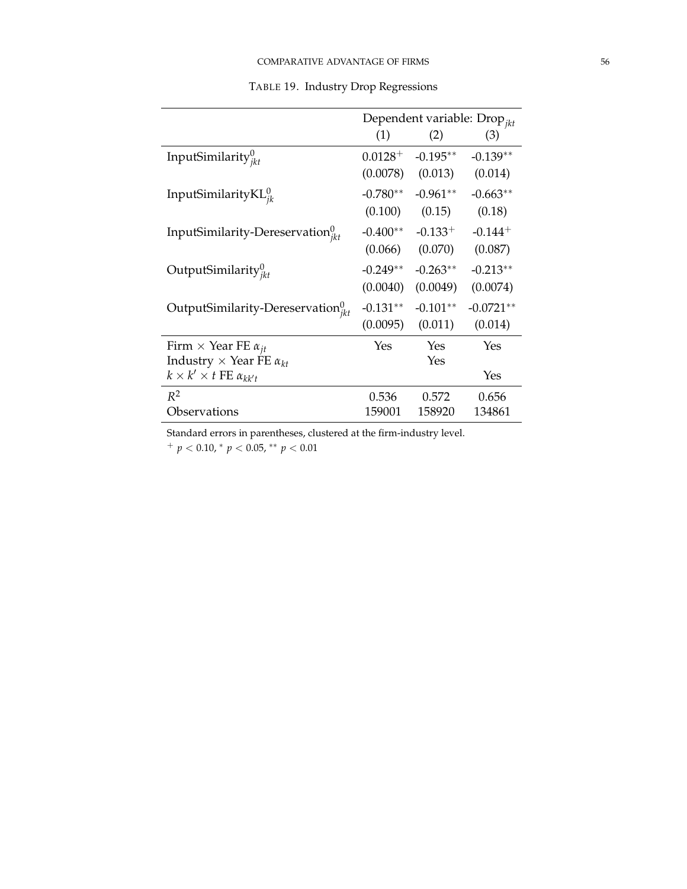<span id="page-56-0"></span>

|                                               | Dependent variable: $Drop_{ikt}$ |              |                       |  |  |
|-----------------------------------------------|----------------------------------|--------------|-----------------------|--|--|
|                                               | (1)                              | (2)          | (3)                   |  |  |
| InputSimilarity $_{ikt}^{0}$                  | $0.0128 +$                       | $-0.195**$   | $-0.139**$            |  |  |
|                                               | (0.0078)                         | (0.013)      | (0.014)               |  |  |
| InputSimilarity $KL_{ik}^{0}$                 | $-0.780**$                       | $-0.961**$   | $-0.663**$            |  |  |
|                                               | (0.100)                          | (0.15)       | (0.18)                |  |  |
| InputSimilarity-Dereservation $v_{ikt}^0$     | $-0.400**$                       | $-0.133^{+}$ | $-0.144$ <sup>+</sup> |  |  |
|                                               | (0.066)                          | (0.070)      | (0.087)               |  |  |
| OutputSimilarity $_{ikt}^{0}$                 | $-0.249**$                       | $-0.263**$   | $-0.213**$            |  |  |
|                                               | (0.0040)                         | (0.0049)     | (0.0074)              |  |  |
| OutputSimilarity-Dereservation ${}_{ikt}^{0}$ | $-0.131**$                       | $-0.101**$   | $-0.0721**$           |  |  |
|                                               | (0.0095)                         | (0.011)      | (0.014)               |  |  |
| Firm $\times$ Year FE $\alpha_{it}$           | Yes                              | Yes          | Yes                   |  |  |
| Industry $\times$ Year FE $\alpha_{kt}$       |                                  | Yes          |                       |  |  |
| $k \times k' \times t$ FE $\alpha_{kk't}$     |                                  |              | Yes                   |  |  |
| $R^2$                                         | 0.536                            | 0.572        | 0.656                 |  |  |
| Observations                                  | 159001                           | 158920       | 134861                |  |  |

TABLE 19. Industry Drop Regressions

Standard errors in parentheses, clustered at the firm-industry level.

<sup>+</sup> *p* < 0.10, <sup>∗</sup> *p* < 0.05, ∗∗ *p* < 0.01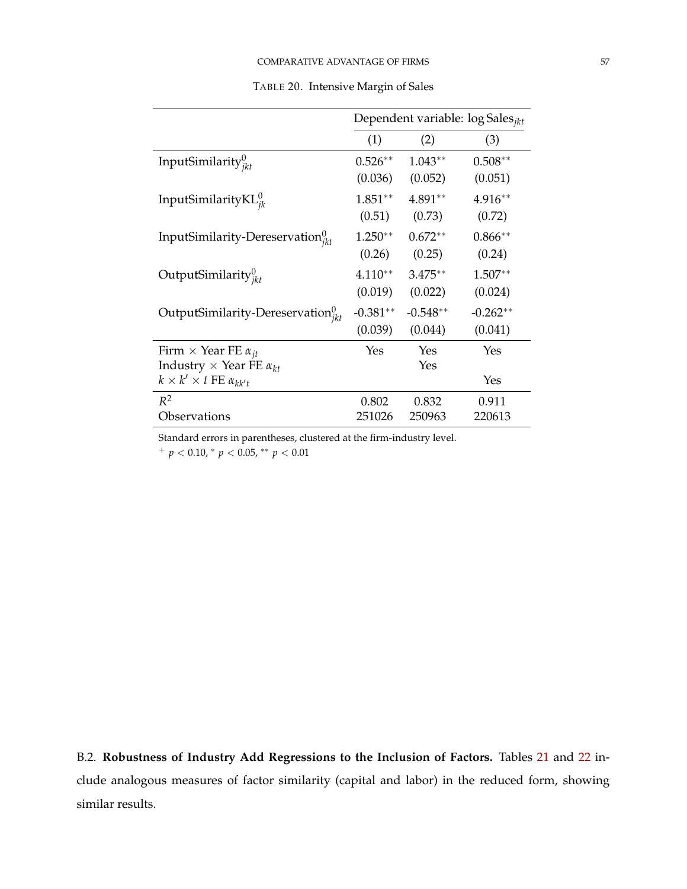<span id="page-57-0"></span>

|                                             | Dependent variable: log Sales <sub>ikt</sub> |            |            |  |  |
|---------------------------------------------|----------------------------------------------|------------|------------|--|--|
|                                             | (1)                                          | (2)        | (3)        |  |  |
| InputSimilarity $_{ikt}^{0}$                | $0.526**$                                    | $1.043**$  | $0.508**$  |  |  |
|                                             | (0.036)                                      | (0.052)    | (0.051)    |  |  |
| InputSimilarity $KL_{ik}^{0}$               | $1.851**$                                    | $4.891**$  | 4.916**    |  |  |
|                                             | (0.51)                                       | (0.73)     | (0.72)     |  |  |
| InputSimilarity-Dereservation $v_{ikt}^0$   | $1.250**$                                    | $0.672**$  | $0.866**$  |  |  |
|                                             | (0.26)                                       | (0.25)     | (0.24)     |  |  |
| OutputSimilarity $_{ikt}^{0}$               | $4.110**$                                    | $3.475**$  | $1.507**$  |  |  |
|                                             | (0.019)                                      | (0.022)    | (0.024)    |  |  |
| OutputSimilarity-Dereservation ${}_{ikt}^0$ | $-0.381**$                                   | $-0.548**$ | $-0.262**$ |  |  |
|                                             | (0.039)                                      | (0.044)    | (0.041)    |  |  |
| Firm $\times$ Year FE $\alpha_{it}$         | Yes                                          | Yes        | Yes        |  |  |
| Industry $\times$ Year FE $\alpha_{kt}$     |                                              | Yes        |            |  |  |
| $k \times k' \times t$ FE $\alpha_{kk't}$   |                                              |            | Yes        |  |  |
| $R^2$                                       | 0.802                                        | 0.832      | 0.911      |  |  |
| Observations                                | 251026                                       | 250963     | 220613     |  |  |

TABLE 20. Intensive Margin of Sales

Standard errors in parentheses, clustered at the firm-industry level.

<sup>+</sup> *p* < 0.10, <sup>∗</sup> *p* < 0.05, ∗∗ *p* < 0.01

B.2. **Robustness of Industry Add Regressions to the Inclusion of Factors.** Tables [21](#page-58-0) and [22](#page-58-1) include analogous measures of factor similarity (capital and labor) in the reduced form, showing similar results.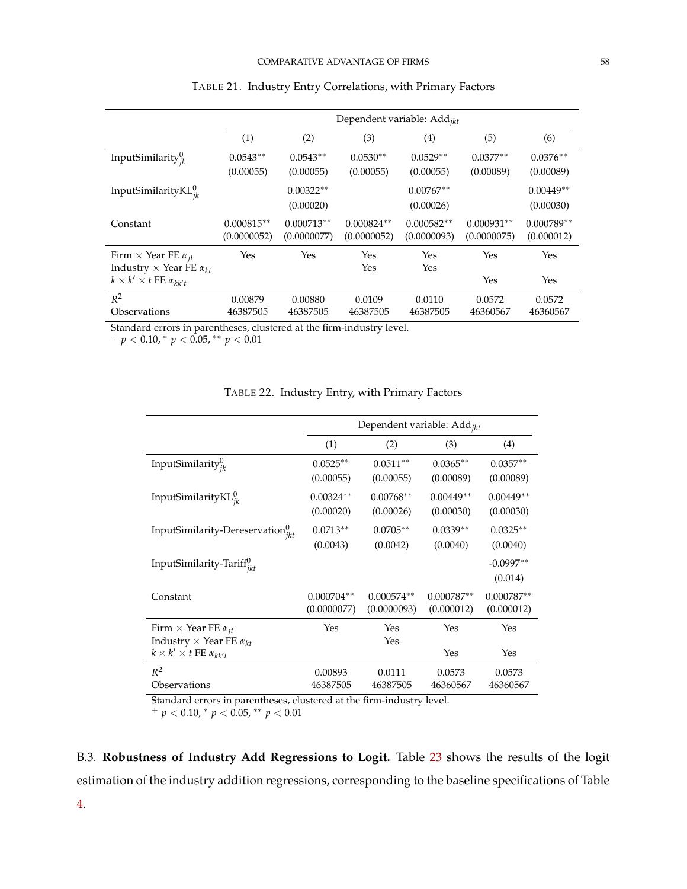<span id="page-58-0"></span>

|                                           | Dependent variable: $Add_{ikt}$ |              |              |              |              |              |  |  |  |
|-------------------------------------------|---------------------------------|--------------|--------------|--------------|--------------|--------------|--|--|--|
|                                           | (1)                             | (2)          | (3)          | (4)          | (5)          | (6)          |  |  |  |
| InputSimilarity $v_{ik}^0$                | $0.0543**$                      | $0.0543**$   | $0.0530**$   | $0.0529**$   | $0.0377**$   | $0.0376**$   |  |  |  |
|                                           | (0.00055)                       | (0.00055)    | (0.00055)    | (0.00055)    | (0.00089)    | (0.00089)    |  |  |  |
| InputSimilarity $KL_{ik}^{0}$             |                                 | $0.00322**$  |              | $0.00767**$  |              | $0.00449**$  |  |  |  |
|                                           |                                 | (0.00020)    |              | (0.00026)    |              | (0.00030)    |  |  |  |
| Constant                                  | $0.000815**$                    | $0.000713**$ | $0.000824**$ | $0.000582**$ | $0.000931**$ | $0.000789**$ |  |  |  |
|                                           | (0.0000052)                     | (0.0000077)  | (0.0000052)  | (0.0000093)  | (0.0000075)  | (0.000012)   |  |  |  |
| Firm $\times$ Year FE $\alpha_{it}$       | Yes                             | Yes          | Yes          | Yes          | Yes          | Yes          |  |  |  |
| Industry $\times$ Year FE $\alpha_{kt}$   |                                 |              | Yes          | Yes          |              |              |  |  |  |
| $k \times k' \times t$ FE $\alpha_{kk't}$ |                                 |              |              |              | Yes          | Yes          |  |  |  |
| $R^2$                                     | 0.00879                         | 0.00880      | 0.0109       | 0.0110       | 0.0572       | 0.0572       |  |  |  |
| Observations                              | 46387505                        | 46387505     | 46387505     | 46387505     | 46360567     | 46360567     |  |  |  |

## TABLE 21. Industry Entry Correlations, with Primary Factors

Standard errors in parentheses, clustered at the firm-industry level.

<span id="page-58-1"></span><sup>+</sup> *p* < 0.10, <sup>∗</sup> *p* < 0.05, ∗∗ *p* < 0.01

|                                                                                | Dependent variable: Add <sub>ikt</sub> |                             |                            |                            |  |  |  |  |
|--------------------------------------------------------------------------------|----------------------------------------|-----------------------------|----------------------------|----------------------------|--|--|--|--|
|                                                                                | (1)                                    | (2)                         | (3)                        | (4)                        |  |  |  |  |
| InputSimilarity $_{ik}^0$                                                      | $0.0525**$<br>(0.00055)                | $0.0511**$<br>(0.00055)     | $0.0365**$<br>(0.00089)    | $0.0357**$<br>(0.00089)    |  |  |  |  |
| InputSimilarity $KL_{ik}^{0}$                                                  | $0.00324**$<br>(0.00020)               | $0.00768**$<br>(0.00026)    | $0.00449**$<br>(0.00030)   | $0.00449**$<br>(0.00030)   |  |  |  |  |
| InputSimilarity-Dereservation ${}_{ikt}^{0}$                                   | $0.0713**$<br>(0.0043)                 | $0.0705**$<br>(0.0042)      | $0.0339**$<br>(0.0040)     | $0.0325**$<br>(0.0040)     |  |  |  |  |
| InputSimilarity-Tariff <sup>0</sup> ikt                                        |                                        |                             |                            | $-0.0997**$<br>(0.014)     |  |  |  |  |
| Constant                                                                       | $0.000704**$<br>(0.0000077)            | $0.000574**$<br>(0.0000093) | $0.000787**$<br>(0.000012) | $0.000787**$<br>(0.000012) |  |  |  |  |
| Firm $\times$ Year FE $\alpha_{jt}$<br>Industry $\times$ Year FE $\alpha_{kt}$ | Yes                                    | Yes<br>Yes                  | Yes                        | Yes                        |  |  |  |  |
| $k \times k' \times t$ FE $\alpha_{kk't}$                                      |                                        |                             | Yes                        | Yes                        |  |  |  |  |
| $R^2$<br>Observations                                                          | 0.00893<br>46387505                    | 0.0111<br>46387505          | 0.0573<br>46360567         | 0.0573<br>46360567         |  |  |  |  |

## TABLE 22. Industry Entry, with Primary Factors

Standard errors in parentheses, clustered at the firm-industry level.

<sup>+</sup> *p* < 0.10, <sup>∗</sup> *p* < 0.05, ∗∗ *p* < 0.01

B.3. **Robustness of Industry Add Regressions to Logit.** Table [23](#page-59-0) shows the results of the logit estimation of the industry addition regressions, corresponding to the baseline specifications of Table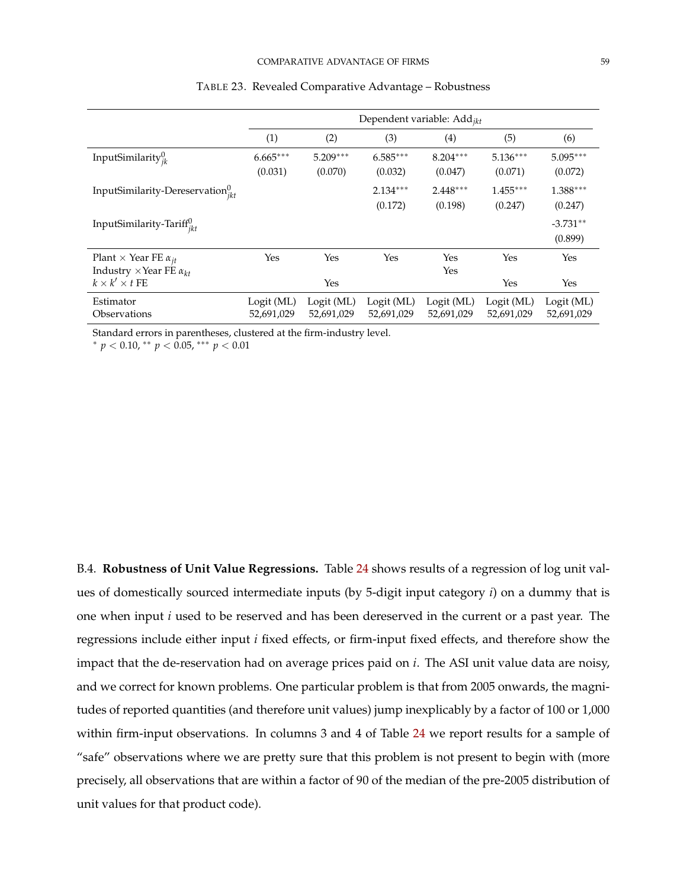<span id="page-59-0"></span>

|                                                                                 |                          | Dependent variable: $Add_{ikt}$ |                          |                          |                          |                          |  |  |  |
|---------------------------------------------------------------------------------|--------------------------|---------------------------------|--------------------------|--------------------------|--------------------------|--------------------------|--|--|--|
|                                                                                 | (1)                      | (2)                             | (3)                      | (4)                      | (5)                      | (6)                      |  |  |  |
| InputSimilarity $v_{ik}^0$                                                      | $6.665***$<br>(0.031)    | $5.209***$<br>(0.070)           | $6.585***$<br>(0.032)    | $8.204***$<br>(0.047)    | $5.136***$<br>(0.071)    | $5.095***$<br>(0.072)    |  |  |  |
| InputSimilarity-Dereservation $v_{jkt}^0$                                       |                          |                                 | $2.134***$<br>(0.172)    | $2.448***$<br>(0.198)    | $1.455***$<br>(0.247)    | 1.388***<br>(0.247)      |  |  |  |
| InputSimilarity-Tariff $_{ikt}^{0}$                                             |                          |                                 |                          |                          |                          | $-3.731**$<br>(0.899)    |  |  |  |
| Plant $\times$ Year FE $\alpha_{it}$<br>Industry $\times$ Year FE $\alpha_{kt}$ | Yes                      | Yes                             | Yes                      | Yes<br>Yes               | Yes                      | Yes                      |  |  |  |
| $k \times k' \times t$ FE                                                       |                          | Yes                             |                          |                          | Yes                      | Yes                      |  |  |  |
| Estimator<br>Observations                                                       | Logit (ML)<br>52,691,029 | Logit (ML)<br>52,691,029        | Logit (ML)<br>52,691,029 | Logit (ML)<br>52,691,029 | Logit (ML)<br>52,691,029 | Logit (ML)<br>52,691,029 |  |  |  |

## TABLE 23. Revealed Comparative Advantage – Robustness

Standard errors in parentheses, clustered at the firm-industry level.

<sup>∗</sup> *p* < 0.10, ∗∗ *p* < 0.05, ∗∗∗ *p* < 0.01

B.4. **Robustness of Unit Value Regressions.** Table [24](#page-60-0) shows results of a regression of log unit values of domestically sourced intermediate inputs (by 5-digit input category *i*) on a dummy that is one when input *i* used to be reserved and has been dereserved in the current or a past year. The regressions include either input *i* fixed effects, or firm-input fixed effects, and therefore show the impact that the de-reservation had on average prices paid on *i*. The ASI unit value data are noisy, and we correct for known problems. One particular problem is that from 2005 onwards, the magnitudes of reported quantities (and therefore unit values) jump inexplicably by a factor of 100 or 1,000 within firm-input observations. In columns 3 and 4 of Table [24](#page-60-0) we report results for a sample of "safe" observations where we are pretty sure that this problem is not present to begin with (more precisely, all observations that are within a factor of 90 of the median of the pre-2005 distribution of unit values for that product code).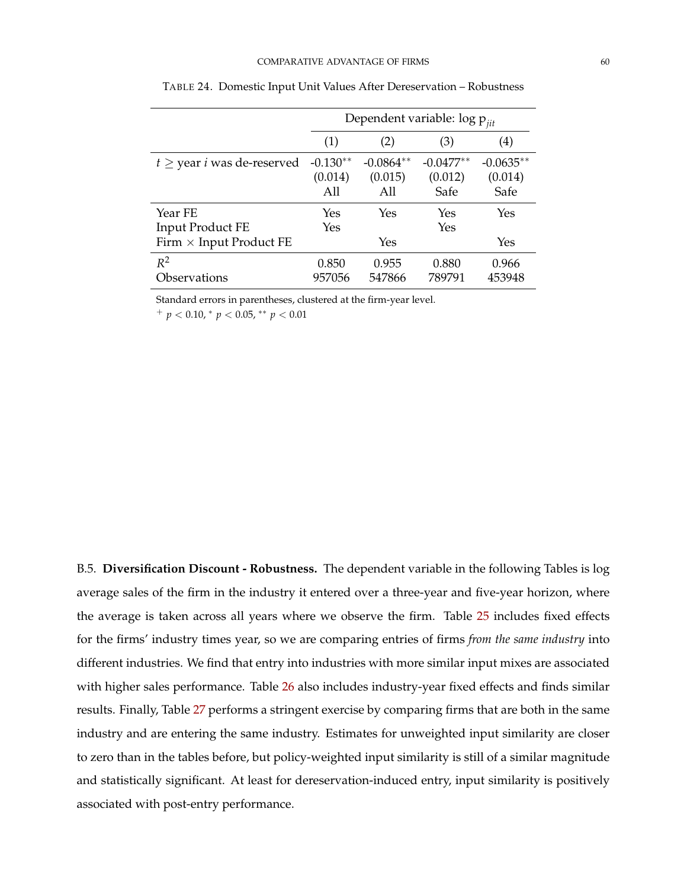<span id="page-60-0"></span>

|                                                               | Dependent variable: $\log p_{\mathit{jit}}$ |                               |                                |                                |  |  |  |
|---------------------------------------------------------------|---------------------------------------------|-------------------------------|--------------------------------|--------------------------------|--|--|--|
|                                                               | (1)                                         | (2)                           | (3)                            | (4)                            |  |  |  |
| $t \geq$ year <i>i</i> was de-reserved                        | $-0.130**$<br>(0.014)<br>A11                | $-0.0864**$<br>(0.015)<br>A11 | $-0.0477**$<br>(0.012)<br>Safe | $-0.0635**$<br>(0.014)<br>Safe |  |  |  |
| Year FE<br>Input Product FE<br>Firm $\times$ Input Product FE | Yes<br>Yes                                  | Yes<br>Yes                    | Yes<br>Yes                     | Yes<br>Yes                     |  |  |  |
| $R^2$<br>Observations                                         | 0.850<br>957056                             | 0.955<br>547866               | 0.880<br>789791                | 0.966<br>453948                |  |  |  |

TABLE 24. Domestic Input Unit Values After Dereservation – Robustness

Standard errors in parentheses, clustered at the firm-year level.

<sup>+</sup> *p* < 0.10, <sup>∗</sup> *p* < 0.05, ∗∗ *p* < 0.01

B.5. **Diversification Discount - Robustness.** The dependent variable in the following Tables is log average sales of the firm in the industry it entered over a three-year and five-year horizon, where the average is taken across all years where we observe the firm. Table [25](#page-61-0) includes fixed effects for the firms' industry times year, so we are comparing entries of firms *from the same industry* into different industries. We find that entry into industries with more similar input mixes are associated with higher sales performance. Table [26](#page-61-1) also includes industry-year fixed effects and finds similar results. Finally, Table [27](#page-62-0) performs a stringent exercise by comparing firms that are both in the same industry and are entering the same industry. Estimates for unweighted input similarity are closer to zero than in the tables before, but policy-weighted input similarity is still of a similar magnitude and statistically significant. At least for dereservation-induced entry, input similarity is positively associated with post-entry performance.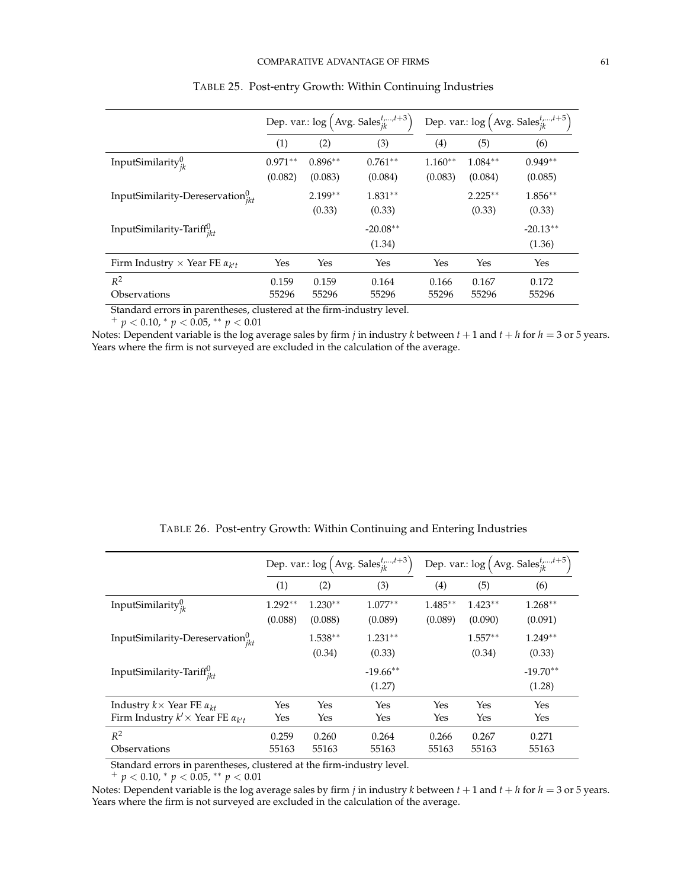<span id="page-61-0"></span>

|                                               | Dep. var.: $\log (\text{Avg. Sales}_{ik}^{t,,t+3})$ |           |            | Dep. var.: $\log (\text{Avg. Sales}_{ik}^{t,,t+5})$ |           |            |
|-----------------------------------------------|-----------------------------------------------------|-----------|------------|-----------------------------------------------------|-----------|------------|
|                                               | (1)                                                 | (2)       | (3)        | (4)                                                 | (5)       | (6)        |
| InputSimilarity $v_{ik}^0$                    | $0.971**$                                           | $0.896**$ | $0.761**$  | $1.160**$                                           | $1.084**$ | $0.949**$  |
|                                               | (0.082)                                             | (0.083)   | (0.084)    | (0.083)                                             | (0.084)   | (0.085)    |
| InputSimilarity-Dereservation $v_{ikt}^0$     |                                                     | $2.199**$ | $1.831**$  |                                                     | $2.225**$ | $1.856**$  |
|                                               |                                                     | (0.33)    | (0.33)     |                                                     | (0.33)    | (0.33)     |
| InputSimilarity-Tariff $u_{ikt}$              |                                                     |           | $-20.08**$ |                                                     |           | $-20.13**$ |
|                                               |                                                     |           | (1.34)     |                                                     |           | (1.36)     |
| Firm Industry $\times$ Year FE $\alpha_{k'l}$ | Yes                                                 | Yes       | Yes        | Yes                                                 | Yes       | Yes        |
| $R^2$                                         | 0.159                                               | 0.159     | 0.164      | 0.166                                               | 0.167     | 0.172      |
| Observations                                  | 55296                                               | 55296     | 55296      | 55296                                               | 55296     | 55296      |

|  |  | TABLE 25. Post-entry Growth: Within Continuing Industries |  |
|--|--|-----------------------------------------------------------|--|
|  |  |                                                           |  |

Standard errors in parentheses, clustered at the firm-industry level.

<sup>+</sup> *p* < 0.10, <sup>∗</sup> *p* < 0.05, ∗∗ *p* < 0.01

Notes: Dependent variable is the log average sales by firm *j* in industry *k* between  $t + 1$  and  $t + h$  for  $h = 3$  or 5 years. Years where the firm is not surveyed are excluded in the calculation of the average.

|  |  | TABLE 26. Post-entry Growth: Within Continuing and Entering Industries |  |
|--|--|------------------------------------------------------------------------|--|
|  |  |                                                                        |  |

<span id="page-61-1"></span>

|                                                                                               | Dep. var.: $\log (\text{Avg. Sales}_{ik}^{t,,t+3})$ |                      |                       | Dep. var.: $\log (\text{Avg. Sales}_{ik}^{t,,t+5})$ |                      |                      |
|-----------------------------------------------------------------------------------------------|-----------------------------------------------------|----------------------|-----------------------|-----------------------------------------------------|----------------------|----------------------|
|                                                                                               | (1)                                                 | (2)                  | (3)                   | $\left( 4\right)$                                   | (5)                  | (6)                  |
| InputSimilarity $_{ik}^0$                                                                     | $1.292**$<br>(0.088)                                | $1.230**$<br>(0.088) | $1.077**$<br>(0.089)  | $1.485***$<br>(0.089)                               | $1.423**$<br>(0.090) | $1.268**$<br>(0.091) |
| InputSimilarity-Dereservation $v_{ik}^0$                                                      |                                                     | $1.538**$<br>(0.34)  | $1.231**$<br>(0.33)   |                                                     | $1.557**$<br>(0.34)  | $1.249**$<br>(0.33)  |
| InputSimilarity-Tariff <sup>0</sup>                                                           |                                                     |                      | $-19.66$ **<br>(1.27) |                                                     |                      | $-19.70**$<br>(1.28) |
| Industry $k \times$ Year FE $\alpha_{kt}$<br>Firm Industry $k' \times$ Year FE $\alpha_{k't}$ | Yes<br>Yes                                          | Yes<br>Yes           | Yes<br>Yes            | Yes<br>Yes                                          | Yes<br>Yes           | Yes<br>Yes           |
| $R^2$<br>Observations                                                                         | 0.259<br>55163                                      | 0.260<br>55163       | 0.264<br>55163        | 0.266<br>55163                                      | 0.267<br>55163       | 0.271<br>55163       |

Standard errors in parentheses, clustered at the firm-industry level.

<sup>+</sup> *p* < 0.10, <sup>∗</sup> *p* < 0.05, ∗∗ *p* < 0.01

Notes: Dependent variable is the log average sales by firm *j* in industry *k* between  $t + 1$  and  $t + h$  for  $h = 3$  or 5 years. Years where the firm is not surveyed are excluded in the calculation of the average.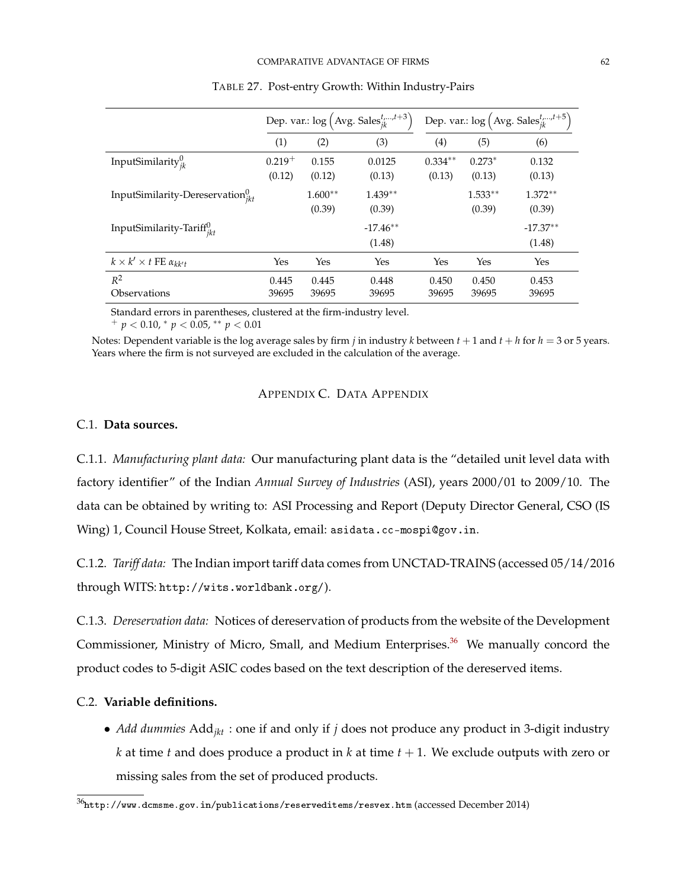<span id="page-62-0"></span>

|                                           | Dep. var.: $\log (\text{Avg. Sales}_{ik}^{t,,t+3})$ |                     |                      | Dep. var.: $\log (\text{Avg. Sales}_{ik}^{t,,t+5})$ |                     |                      |
|-------------------------------------------|-----------------------------------------------------|---------------------|----------------------|-----------------------------------------------------|---------------------|----------------------|
|                                           | (1)                                                 | (2)                 | (3)                  | (4)                                                 | (5)                 | (6)                  |
| InputSimilarity $v_{ik}^0$                | $0.219^{+}$<br>(0.12)                               | 0.155<br>(0.12)     | 0.0125<br>(0.13)     | $0.334**$<br>(0.13)                                 | $0.273*$<br>(0.13)  | 0.132<br>(0.13)      |
| InputSimilarity-Dereservation $v_{ikt}^0$ |                                                     | $1.600**$<br>(0.39) | $1.439**$<br>(0.39)  |                                                     | $1.533**$<br>(0.39) | $1.372**$<br>(0.39)  |
| InputSimilarity-Tariff <sup>U</sup>       |                                                     |                     | $-17.46**$<br>(1.48) |                                                     |                     | $-17.37**$<br>(1.48) |
| $k \times k' \times t$ FE $\alpha_{kk't}$ | Yes                                                 | Yes                 | Yes                  | Yes                                                 | Yes                 | Yes                  |
| $R^2$<br>Observations                     | 0.445<br>39695                                      | 0.445<br>39695      | 0.448<br>39695       | 0.450<br>39695                                      | 0.450<br>39695      | 0.453<br>39695       |

TABLE 27. Post-entry Growth: Within Industry-Pairs

Standard errors in parentheses, clustered at the firm-industry level.

<sup>+</sup> *p* < 0.10, <sup>∗</sup> *p* < 0.05, ∗∗ *p* < 0.01

Notes: Dependent variable is the log average sales by firm *j* in industry *k* between  $t + 1$  and  $t + h$  for  $h = 3$  or 5 years. Years where the firm is not surveyed are excluded in the calculation of the average.

## APPENDIX C. DATA APPENDIX

# C.1. **Data sources.**

C.1.1. *Manufacturing plant data:* Our manufacturing plant data is the "detailed unit level data with factory identifier" of the Indian *Annual Survey of Industries* (ASI), years 2000/01 to 2009/10. The data can be obtained by writing to: ASI Processing and Report (Deputy Director General, CSO (IS Wing) 1, Council House Street, Kolkata, email: asidata.cc-mospi@gov.in.

C.1.2. *Tariff data:* The Indian import tariff data comes from UNCTAD-TRAINS (accessed 05/14/2016 through WITS: http://wits.worldbank.org/).

C.1.3. *Dereservation data:* Notices of dereservation of products from the website of the Development Commissioner, Ministry of Micro, Small, and Medium Enterprises.<sup>[36](#page-0-0)</sup> We manually concord the product codes to 5-digit ASIC codes based on the text description of the dereserved items.

## C.2. **Variable definitions.**

• *Add dummies* Add*jkt* : one if and only if *j* does not produce any product in 3-digit industry *k* at time *t* and does produce a product in *k* at time *t* + 1. We exclude outputs with zero or missing sales from the set of produced products.

 $36$ http://www.dcmsme.gov.in/publications/reserveditems/resvex.htm (accessed December 2014)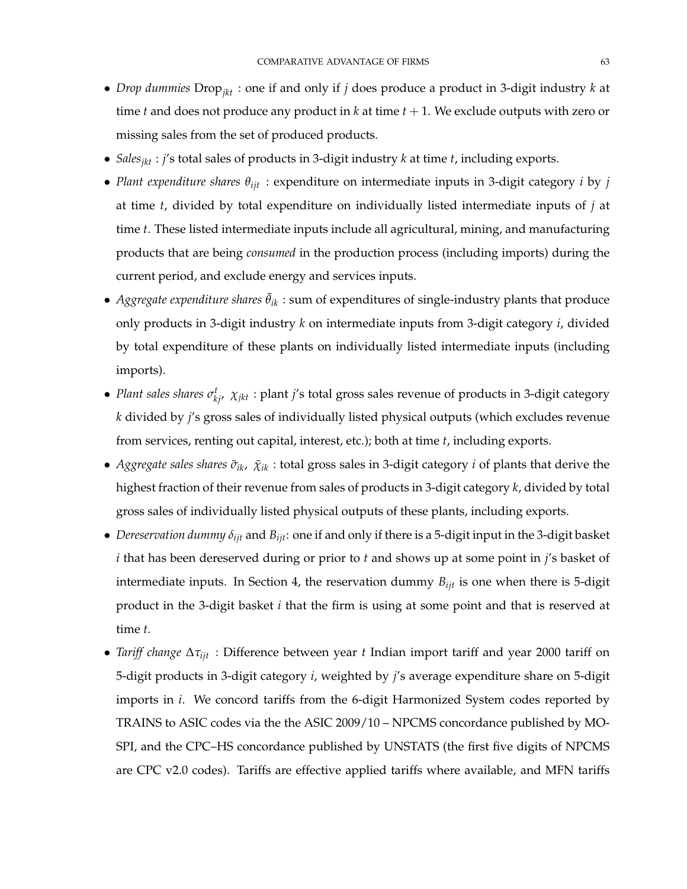- *Drop dummies* Drop*jkt* : one if and only if *j* does produce a product in 3-digit industry *k* at time *t* and does not produce any product in *k* at time *t* + 1. We exclude outputs with zero or missing sales from the set of produced products.
- *Salesjkt* : *j*'s total sales of products in 3-digit industry *k* at time *t*, including exports.
- *Plant expenditure shares θijt* : expenditure on intermediate inputs in 3-digit category *i* by *j* at time *t*, divided by total expenditure on individually listed intermediate inputs of *j* at time *t*. These listed intermediate inputs include all agricultural, mining, and manufacturing products that are being *consumed* in the production process (including imports) during the current period, and exclude energy and services inputs.
- *Aggregate expenditure shares*  $\bar{\theta}_{ik}$ : sum of expenditures of single-industry plants that produce only products in 3-digit industry *k* on intermediate inputs from 3-digit category *i*, divided by total expenditure of these plants on individually listed intermediate inputs (including imports).
- *Plant sales shares*  $\sigma_{kj}^t$ ,  $\chi_{jkt}$  : plant *j'*s total gross sales revenue of products in 3-digit category *k* divided by *j*'s gross sales of individually listed physical outputs (which excludes revenue from services, renting out capital, interest, etc.); both at time *t*, including exports.
- *Aggregate sales shares*  $\bar{\sigma}_{ik}$ ,  $\bar{\chi}_{ik}$  : total gross sales in 3-digit category *i* of plants that derive the highest fraction of their revenue from sales of products in 3-digit category *k*, divided by total gross sales of individually listed physical outputs of these plants, including exports.
- *Dereservation dummy δijt* and *Bijt*: one if and only if there is a 5-digit input in the 3-digit basket *i* that has been dereserved during or prior to *t* and shows up at some point in *j*'s basket of intermediate inputs. In Section 4, the reservation dummy *Bijt* is one when there is 5-digit product in the 3-digit basket *i* that the firm is using at some point and that is reserved at time *t*.
- *Tariff change* ∆*τijt* : Difference between year *t* Indian import tariff and year 2000 tariff on 5-digit products in 3-digit category *i*, weighted by *j*'s average expenditure share on 5-digit imports in *i*. We concord tariffs from the 6-digit Harmonized System codes reported by TRAINS to ASIC codes via the the ASIC 2009/10 – NPCMS concordance published by MO-SPI, and the CPC–HS concordance published by UNSTATS (the first five digits of NPCMS are CPC v2.0 codes). Tariffs are effective applied tariffs where available, and MFN tariffs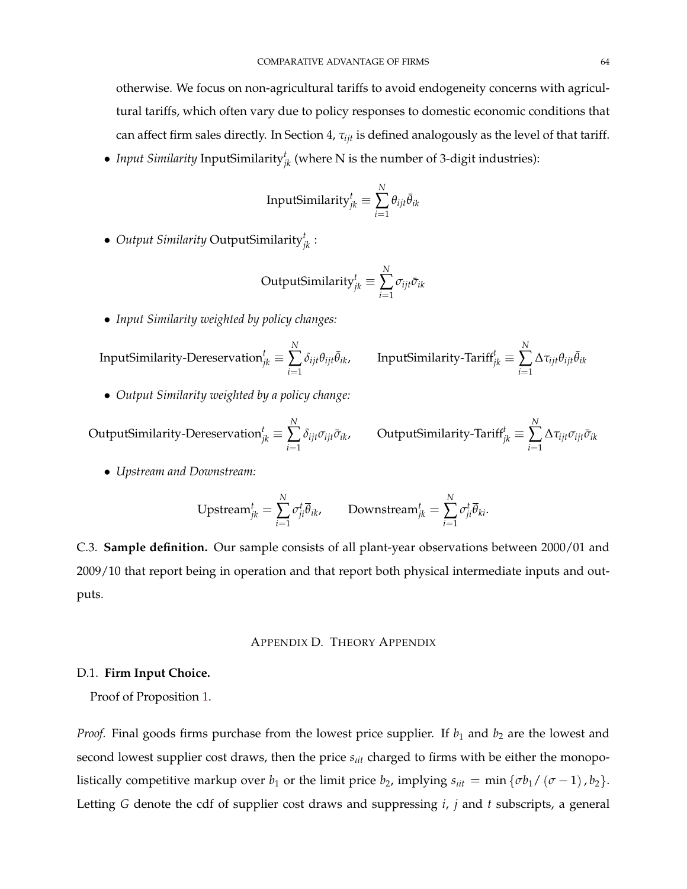otherwise. We focus on non-agricultural tariffs to avoid endogeneity concerns with agricultural tariffs, which often vary due to policy responses to domestic economic conditions that can affect firm sales directly. In Section 4, *τijt* is defined analogously as the level of that tariff.

• *Input Similarity* InputSimilarity*<sup>t</sup> jk* (where N is the number of 3-digit industries):

InputSimilarly 
$$
_{jk}^{t} \equiv \sum_{i=1}^{N} \theta_{ijt} \bar{\theta}_{ik}
$$

• *Output Similarity* OutputSimilarity*<sup>t</sup> jk* :

$$
OutputSimilarly_{jk}^{t} \equiv \sum_{i=1}^{N} \sigma_{ijt} \bar{\sigma}_{ik}
$$

• *Input Similarity weighted by policy changes:*

InputSimilarity-Dereservation $^t_{jk}$   $\equiv$ *N* ∑ *i*=1  $\delta_{ijt}\theta_{ijt}\bar{\theta}_{ik}$ , InputSimilarity-Tariff<sup>t</sup><sub>jk</sub> ≡ *N* ∑ *i*=1  $\Delta \tau_{ijt} \theta_{ijt} \bar{\theta}_{ik}$ 

• *Output Similarity weighted by a policy change:*

$$
\text{OutputSimilarity-Dereservation}_{jk}^t \equiv \sum_{i=1}^N \delta_{ijt} \sigma_{ijt} \bar{\sigma}_{ik}, \qquad \text{OutputSimilarity-Tariff}_{jk}^t \equiv \sum_{i=1}^N \Delta \tau_{ijt} \sigma_{ijt} \bar{\sigma}_{ik}
$$

• *Upstream and Downstream:*

$$
\text{Upstream}_{jk}^t = \sum_{i=1}^N \sigma_{ji}^t \overline{\theta}_{ik}, \qquad \text{Downstream}_{jk}^t = \sum_{i=1}^N \sigma_{ji}^t \overline{\theta}_{ki}.
$$

C.3. **Sample definition.** Our sample consists of all plant-year observations between 2000/01 and 2009/10 that report being in operation and that report both physical intermediate inputs and outputs.

## APPENDIX D. THEORY APPENDIX

## D.1. **Firm Input Choice.**

Proof of Proposition [1.](#page-28-0)

*Proof.* Final goods firms purchase from the lowest price supplier. If  $b_1$  and  $b_2$  are the lowest and second lowest supplier cost draws, then the price  $s_{\text{lit}}$  charged to firms with be either the monopolistically competitive markup over *b*<sub>1</sub> or the limit price *b*<sub>2</sub>, implying  $s_{i t t} = \min \{ \sigma b_1 / (\sigma - 1), b_2 \}.$ Letting *G* denote the cdf of supplier cost draws and suppressing *i*, *j* and *t* subscripts, a general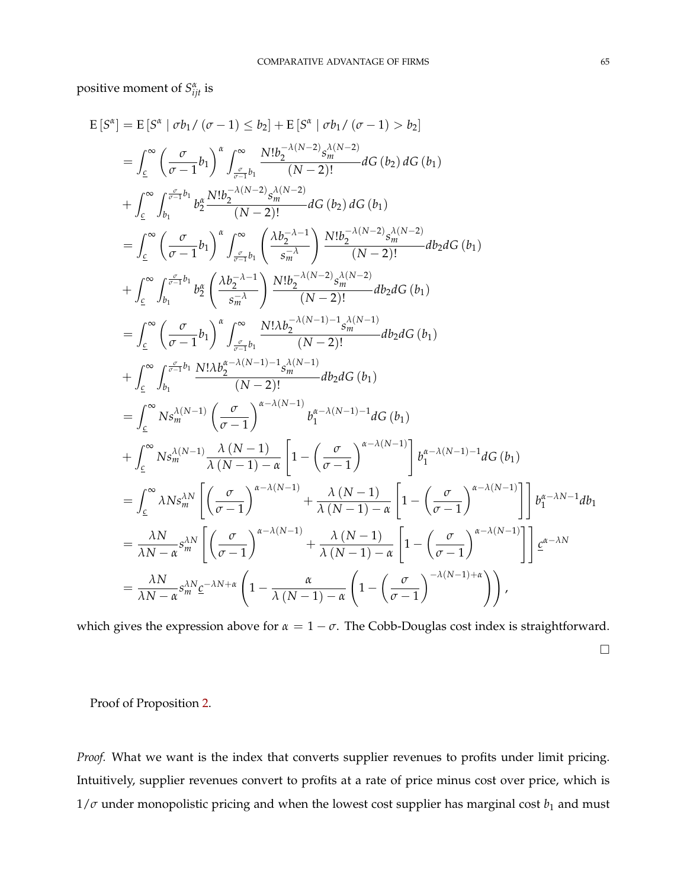positive moment of  $S^{\alpha}_{ijt}$  is

$$
E\left[S^{\alpha}\right] = E\left[S^{\alpha} \mid \sigma b_{1} / (\sigma - 1) \leq b_{2}\right] + E\left[S^{\alpha} \mid \sigma b_{1} / (\sigma - 1) > b_{2}\right]
$$
\n
$$
= \int_{c}^{\infty} \left(\frac{\sigma}{\sigma - 1} b_{1}\right)^{\alpha} \int_{\frac{\sigma}{\sigma - 1} b_{1}}^{\infty} \frac{N! b_{2}^{-\lambda (N - 2)} s_{m}^{\lambda (N - 2)}}{(N - 2)!} dG\left(b_{2}\right) dG\left(b_{1}\right)
$$
\n
$$
+ \int_{c}^{\infty} \int_{b_{1}}^{\frac{\sigma}{\sigma - 1} b_{1}} b_{2}^{\alpha} \frac{N! b_{2}^{-\lambda (N - 2)} s_{m}^{\lambda (N - 2)}}{(N - 2)!} dG\left(b_{2}\right) dG\left(b_{1}\right)
$$
\n
$$
= \int_{c}^{\infty} \left(\frac{\sigma}{\sigma - 1} b_{1}\right)^{\alpha} \int_{\frac{\sigma}{\sigma - 1} b_{1}}^{\infty} \left(\frac{\lambda b_{2}^{-\lambda - 1}}{s_{m}^{-\lambda}}\right) \frac{N! b_{2}^{-\lambda (N - 2)} s_{m}^{\lambda (N - 2)}}{(N - 2)!} d b_{2} dG\left(b_{1}\right)
$$
\n
$$
+ \int_{c}^{\infty} \int_{b_{1}}^{\frac{\sigma}{\sigma - 1} b_{1}} b_{2}^{\alpha} \left(\frac{\lambda b_{2}^{-\lambda - 1}}{s_{m}^{-\lambda}}\right) \frac{N! b_{2}^{-\lambda (N - 2)} s_{m}^{\lambda (N - 2)}}{(N - 2)!} d b_{2} dG\left(b_{1}\right)
$$
\n
$$
+ \int_{c}^{\infty} \left(\frac{\sigma}{\sigma - 1} b_{1}\right)^{\alpha} \int_{\frac{\sigma}{\sigma - 1} b_{1}}^{\infty} \frac{N! \lambda b_{2}^{-\lambda (N - 1) - 1} s_{m}^{\lambda (N - 1)}}{(N - 2)!} d b_{2} dG\left(b_{1}\right)
$$
\n
$$
+ \int_{c}^{\infty} b_{1} s_{m}^{\lambda (N - 1)} \left(\frac{\sigma}{\sigma - 1
$$

which gives the expression above for  $\alpha = 1 - \sigma$ . The Cobb-Douglas cost index is straightforward.

 $\Box$ 

Proof of Proposition [2.](#page-29-0)

*Proof.* What we want is the index that converts supplier revenues to profits under limit pricing. Intuitively, supplier revenues convert to profits at a rate of price minus cost over price, which is  $1/\sigma$  under monopolistic pricing and when the lowest cost supplier has marginal cost  $b_1$  and must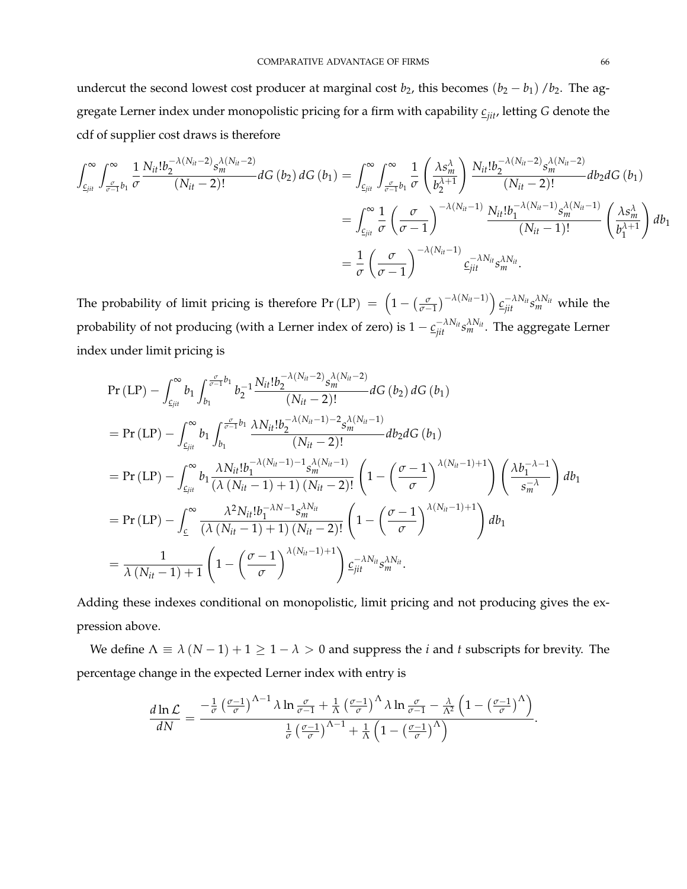undercut the second lowest cost producer at marginal cost  $b_2$ , this becomes  $(b_2 - b_1) / b_2$ . The aggregate Lerner index under monopolistic pricing for a firm with capability *cjit*, letting *G* denote the cdf of supplier cost draws is therefore

$$
\int_{c_{jit}}^{\infty} \int_{\frac{\sigma}{\sigma-1}b_1}^{\infty} \frac{1}{\sigma} \frac{N_{it}!b_2^{-\lambda(N_{it}-2)}s_m^{\lambda(N_{it}-2)}}{(N_{it}-2)!} dG(b_2) dG(b_1) = \int_{c_{jit}}^{\infty} \int_{\frac{\sigma}{\sigma-1}b_1}^{\infty} \frac{1}{\sigma} \left(\frac{\lambda s_m^{\lambda}}{b_2^{\lambda+1}}\right) \frac{N_{it}!b_2^{-\lambda(N_{it}-2)}s_m^{\lambda(N_{it}-2)}}{(N_{it}-2)!} db_2 dG(b_1) \n= \int_{c_{jit}}^{\infty} \frac{1}{\sigma} \left(\frac{\sigma}{\sigma-1}\right)^{-\lambda(N_{it}-1)} \frac{N_{it}!b_1^{-\lambda(N_{it}-1)}s_m^{\lambda(N_{it}-1)}}{(N_{it}-1)!} \left(\frac{\lambda s_m^{\lambda}}{b_1^{\lambda+1}}\right) db_1 \n= \frac{1}{\sigma} \left(\frac{\sigma}{\sigma-1}\right)^{-\lambda(N_{it}-1)} c_{jit}^{-\lambda N_{it}} s_m^{\lambda N_{it}}.
$$

The probability of limit pricing is therefore Pr (LP) =  $\left(1 - \left(\frac{\sigma}{\sigma - 1}\right)^{-\lambda(N_{it}-1)}\right) \underline{c_{jit}}^{-\lambda N_{it}} s_m^{\lambda N_{it}}$  while the probability of not producing (with a Lerner index of zero) is  $1-\frac{c^{-\lambda N_H}_{jit}s^{N_H}_{m}}{s^{N_H}_{m}}.$  The aggregate Lerner index under limit pricing is

$$
Pr (LP) - \int_{\mathcal{L}_{jit}}^{\infty} b_1 \int_{b_1}^{\frac{\sigma}{\sigma-1}b_1} b_2^{-1} \frac{N_{it}! b_2^{-\lambda(N_{it}-2)} s_m^{\lambda(N_{it}-2)}}{(N_{it}-2)!} dG (b_2) dG (b_1)
$$
  
\n
$$
= Pr (LP) - \int_{\mathcal{L}_{jit}}^{\infty} b_1 \int_{b_1}^{\frac{\sigma}{\sigma-1}b_1} \frac{\lambda N_{it}! b_2^{-\lambda(N_{it}-1)-2} s_m^{\lambda(N_{it}-1)}}{(N_{it}-2)!} db_2 dG (b_1)
$$
  
\n
$$
= Pr (LP) - \int_{\mathcal{L}_{jit}}^{\infty} b_1 \frac{\lambda N_{it}! b_1^{-\lambda(N_{it}-1)-1} s_m^{\lambda(N_{it}-1)}}{(\lambda(N_{it}-1)+1) (N_{it}-2)!} \left(1 - \left(\frac{\sigma-1}{\sigma}\right)^{\lambda(N_{it}-1)+1}\right) \left(\frac{\lambda b_1^{-\lambda-1}}{s_m^{-\lambda}}\right) db_1
$$
  
\n
$$
= Pr (LP) - \int_{\mathcal{L}}^{\infty} \frac{\lambda^2 N_{it}! b_1^{-\lambda N-1} s_m^{ \lambda N_{it}}}{(\lambda(N_{it}-1)+1) (N_{it}-2)!} \left(1 - \left(\frac{\sigma-1}{\sigma}\right)^{\lambda(N_{it}-1)+1}\right) db_1
$$
  
\n
$$
= \frac{1}{\lambda(N_{it}-1)+1} \left(1 - \left(\frac{\sigma-1}{\sigma}\right)^{\lambda(N_{it}-1)+1}\right) \mathcal{L}_{jit}^{-\lambda N_{it}} s_m^{ \lambda N_{it}}.
$$

Adding these indexes conditional on monopolistic, limit pricing and not producing gives the expression above.

We define  $\Lambda \equiv \lambda (N - 1) + 1 \geq 1 - \lambda > 0$  and suppress the *i* and *t* subscripts for brevity. The percentage change in the expected Lerner index with entry is

$$
\frac{d\ln\mathcal{L}}{dN}=\frac{-\frac{1}{\sigma}\left(\frac{\sigma-1}{\sigma}\right)^{\Lambda-1}\lambda\ln\frac{\sigma}{\sigma-1}+\frac{1}{\Lambda}\left(\frac{\sigma-1}{\sigma}\right)^{\Lambda}\lambda\ln\frac{\sigma}{\sigma-1}-\frac{\lambda}{\Lambda^2}\left(1-\left(\frac{\sigma-1}{\sigma}\right)^{\Lambda}\right)}{\frac{1}{\sigma}\left(\frac{\sigma-1}{\sigma}\right)^{\Lambda-1}+\frac{1}{\Lambda}\left(1-\left(\frac{\sigma-1}{\sigma}\right)^{\Lambda}\right)}.
$$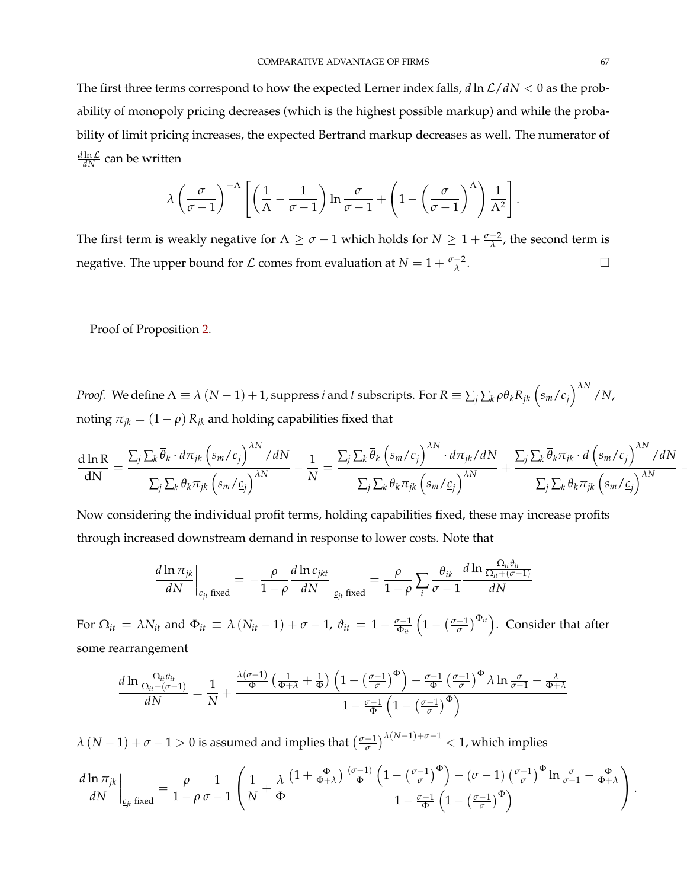The first three terms correspond to how the expected Lerner index falls,  $d \ln \mathcal{L}/dN < 0$  as the probability of monopoly pricing decreases (which is the highest possible markup) and while the probability of limit pricing increases, the expected Bertrand markup decreases as well. The numerator of  $\frac{d \ln \mathcal{L}}{d N}$  can be written

$$
\lambda \left(\frac{\sigma}{\sigma - 1}\right)^{-\Lambda} \left[ \left(\frac{1}{\Lambda} - \frac{1}{\sigma - 1}\right) \ln \frac{\sigma}{\sigma - 1} + \left(1 - \left(\frac{\sigma}{\sigma - 1}\right)^{\Lambda}\right) \frac{1}{\Lambda^2}\right].
$$

The first term is weakly negative for  $\Lambda \ge \sigma - 1$  which holds for  $N \ge 1 + \frac{\sigma - 2}{\lambda}$ , the second term is negative. The upper bound for  $\mathcal L$  comes from evaluation at  $N = 1 + \frac{\sigma - 2}{\lambda}$ .

Proof of Proposition [2.](#page-29-0)

*Proof.* We define  $\Lambda\equiv\lambda$   $(N-1)+1$ , suppress  $i$  and  $t$  subscripts. For  $\overline{R}\equiv\sum_j\sum_k\rho\overline{\theta}_kR_{jk}\left(s_m/\underline{c}_j\right)^{\lambda N}/N$ , noting  $\pi_{jk} = (1 - \rho) R_{jk}$  and holding capabilities fixed that

$$
\frac{d\ln\overline{R}}{dN} = \frac{\sum_{j}\sum_{k}\overline{\theta}_{k} \cdot d\pi_{jk}\left(s_{m}/\underline{c}_{j}\right)^{\lambda N}/dN}{\sum_{j}\sum_{k}\overline{\theta}_{k}\pi_{jk}\left(s_{m}/\underline{c}_{j}\right)^{\lambda N}} - \frac{1}{N} = \frac{\sum_{j}\sum_{k}\overline{\theta}_{k}\left(s_{m}/\underline{c}_{j}\right)^{\lambda N} \cdot d\pi_{jk}/dN}{\sum_{j}\sum_{k}\overline{\theta}_{k}\pi_{jk}\left(s_{m}/\underline{c}_{j}\right)^{\lambda N}} + \frac{\sum_{j}\sum_{k}\overline{\theta}_{k}\pi_{jk} \cdot d\left(s_{m}/\underline{c}_{j}\right)^{\lambda N}/dN}{\sum_{j}\sum_{k}\overline{\theta}_{k}\pi_{jk}\left(s_{m}/\underline{c}_{j}\right)^{\lambda N}}
$$

Now considering the individual profit terms, holding capabilities fixed, these may increase profits through increased downstream demand in response to lower costs. Note that

$$
\left. \frac{d \ln \pi_{jk}}{dN} \right|_{\mathcal{L}_{jt} \text{ fixed}} = -\frac{\rho}{1-\rho} \frac{d \ln c_{jkt}}{dN} \right|_{\mathcal{L}_{jt} \text{ fixed}} = \frac{\rho}{1-\rho} \sum_{i} \frac{\overline{\theta}_{ik}}{\sigma - 1} \frac{d \ln \frac{\Omega_{it} \vartheta_{it}}{\Omega_{it} + (\sigma - 1)}}{dN}
$$

For  $\Omega_{it} = \lambda N_{it}$  and  $\Phi_{it} \equiv \lambda (N_{it} - 1) + \sigma - 1$ ,  $\vartheta_{it} = 1 - \frac{\sigma - 1}{\Phi_{it}} \left( 1 - (\frac{\sigma - 1}{\sigma}) \right)$  $\left(\frac{-1}{\sigma}\right)^{\Phi_{it}}$ ). Consider that after some rearrangement

$$
\frac{d \ln \frac{\Omega_{it} \theta_{it}}{\Omega_{it} + (\sigma - 1)}}{dN} = \frac{1}{N} + \frac{\frac{\lambda (\sigma - 1)}{\Phi} \left(\frac{1}{\Phi + \lambda} + \frac{1}{\Phi}\right) \left(1 - \left(\frac{\sigma - 1}{\sigma}\right)^{\Phi}\right) - \frac{\sigma - 1}{\Phi} \left(\frac{\sigma - 1}{\sigma}\right)^{\Phi} \lambda \ln \frac{\sigma}{\sigma - 1} - \frac{\lambda}{\Phi + \lambda}}{1 - \frac{\sigma - 1}{\Phi} \left(1 - \left(\frac{\sigma - 1}{\sigma}\right)^{\Phi}\right)}
$$

 $\lambda (N-1) + \sigma - 1 > 0$  is assumed and implies that  $\left(\frac{\sigma - 1}{\sigma}\right)$  $\left(\frac{-1}{\sigma}\right)^{\lambda(N-1)+\sigma-1}$  < 1, which implies

$$
\frac{d\ln\pi_{jk}}{dN}\bigg|_{\underline{c}_{jt}\text{ fixed}} = \frac{\rho}{1-\rho}\frac{1}{\sigma-1}\left(\frac{1}{N}+\frac{\lambda}{\Phi}\frac{\left(1+\frac{\Phi}{\Phi+\lambda}\right)\frac{(\sigma-1)}{\Phi}\left(1-\left(\frac{\sigma-1}{\sigma}\right)^{\Phi}\right)-(\sigma-1)\left(\frac{\sigma-1}{\sigma}\right)^{\Phi}\ln\frac{\sigma}{\sigma-1}-\frac{\Phi}{\Phi+\lambda}}{1-\frac{\sigma-1}{\Phi}\left(1-\left(\frac{\sigma-1}{\sigma}\right)^{\Phi}\right)}\right).
$$

−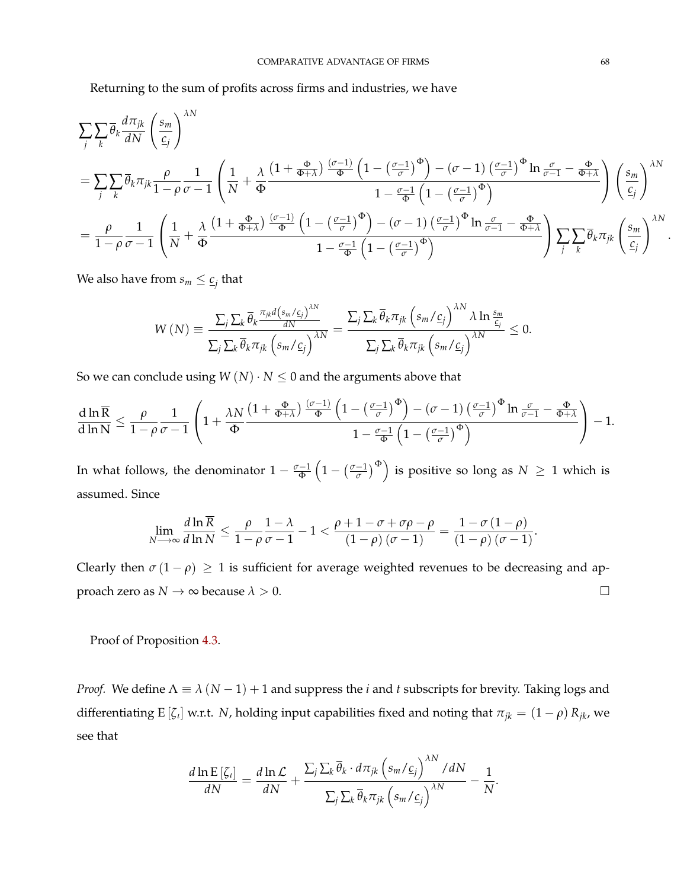Returning to the sum of profits across firms and industries, we have

$$
\sum_{j} \sum_{k} \overline{\theta}_{k} \frac{d\pi_{jk}}{dN} \left( \frac{s_{m}}{\underline{c}_{j}} \right)^{\lambda N}
$$
\n
$$
= \sum_{j} \sum_{k} \overline{\theta}_{k} \pi_{jk} \frac{\rho}{1 - \rho} \frac{1}{\sigma - 1} \left( \frac{1}{N} + \frac{\lambda}{\Phi} \frac{\left( 1 + \frac{\Phi}{\Phi + \lambda} \right) \frac{(\sigma - 1)}{\Phi} \left( 1 - \left( \frac{\sigma - 1}{\sigma} \right)^{\Phi} \right) - (\sigma - 1) \left( \frac{\sigma - 1}{\sigma} \right)^{\Phi} \ln \frac{\sigma}{\sigma - 1} - \frac{\Phi}{\Phi + \lambda}}{1 - \frac{\sigma - 1}{\Phi} \left( 1 - \left( \frac{\sigma - 1}{\sigma} \right)^{\Phi} \right)} \right) \left( \frac{s_{m}}{\underline{c}_{j}} \right)^{\lambda N}
$$
\n
$$
= \frac{\rho}{1 - \rho} \frac{1}{\sigma - 1} \left( \frac{1}{N} + \frac{\lambda}{\Phi} \frac{\left( 1 + \frac{\Phi}{\Phi + \lambda} \right) \frac{(\sigma - 1)}{\Phi} \left( 1 - \left( \frac{\sigma - 1}{\sigma} \right)^{\Phi} \right) - (\sigma - 1) \left( \frac{\sigma - 1}{\sigma} \right)^{\Phi} \ln \frac{\sigma}{\sigma - 1} - \frac{\Phi}{\Phi + \lambda}}{1 - \frac{\sigma - 1}{\Phi} \left( 1 - \left( \frac{\sigma - 1}{\sigma} \right)^{\Phi} \right)} \right) \sum_{j} \sum_{k} \overline{\theta}_{k} \pi_{jk} \left( \frac{s_{m}}{\underline{c}_{j}} \right)^{\lambda N}
$$

We also have from  $s_m \leq \underline{c}_j$  that

$$
W(N) = \frac{\sum_{j} \sum_{k} \overline{\theta}_{k} \frac{\pi_{jk} d\left(s_{m}/c_{j}\right)^{MN}}{dN}}{\sum_{j} \sum_{k} \overline{\theta}_{k} \pi_{jk} \left(s_{m}/c_{j}\right)^{MN}} = \frac{\sum_{j} \sum_{k} \overline{\theta}_{k} \pi_{jk} \left(s_{m}/c_{j}\right)^{MN} \lambda \ln \frac{s_{m}}{c_{j}}}{\sum_{j} \sum_{k} \overline{\theta}_{k} \pi_{jk} \left(s_{m}/c_{j}\right)^{MN}} \leq 0.
$$

So we can conclude using  $W(N) \cdot N \leq 0$  and the arguments above that

$$
\frac{d\ln\overline{R}}{d\ln N}\leq\frac{\rho}{1-\rho}\frac{1}{\sigma-1}\left(1+\frac{\lambda N}{\Phi}\frac{\left(1+\frac{\Phi}{\Phi+\lambda}\right)\frac{(\sigma-1)}{\Phi}\left(1-\left(\frac{\sigma-1}{\sigma}\right)^{\Phi}\right)-(\sigma-1)\left(\frac{\sigma-1}{\sigma}\right)^{\Phi}\ln\frac{\sigma}{\sigma-1}-\frac{\Phi}{\Phi+\lambda}}{1-\frac{\sigma-1}{\Phi}\left(1-\left(\frac{\sigma-1}{\sigma}\right)^{\Phi}\right)}\right)-1.
$$

In what follows, the denominator  $1-\frac{\sigma-1}{\Phi}\left(1-(\frac{\sigma-1}{\sigma})\right)$  $\left(\frac{-1}{\sigma}\right)^{\Phi}$ ) is positive so long as  $N\,\geq\,1$  which is assumed. Since

$$
\lim_{N \to \infty} \frac{d \ln \overline{R}}{d \ln N} \leq \frac{\rho}{1-\rho} \frac{1-\lambda}{\sigma-1} - 1 < \frac{\rho+1-\sigma+\sigma\rho-\rho}{(1-\rho)(\sigma-1)} = \frac{1-\sigma(1-\rho)}{(1-\rho)(\sigma-1)}.
$$

Clearly then  $\sigma(1-\rho) \geq 1$  is sufficient for average weighted revenues to be decreasing and approach zero as  $N \to \infty$  because  $\lambda > 0$ .

Proof of Proposition [4.3.](#page-29-1)

*Proof.* We define  $\Lambda \equiv \lambda (N - 1) + 1$  and suppress the *i* and *t* subscripts for brevity. Taking logs and differentiating E [ $\zeta$ <sup>*l*</sup>] w.r.t. *N*, holding input capabilities fixed and noting that  $\pi_{jk} = (1 - \rho) R_{jk}$ , we see that

$$
\frac{d \ln \mathrm{E} \left[\zeta_i\right]}{dN} = \frac{d \ln \mathcal{L}}{dN} + \frac{\sum_j \sum_k \overline{\theta}_k \cdot d\pi_{jk} \left(s_m / c_j\right)^{\lambda N} / dN}{\sum_j \sum_k \overline{\theta}_k \pi_{jk} \left(s_m / c_j\right)^{\lambda N}} - \frac{1}{N}.
$$

.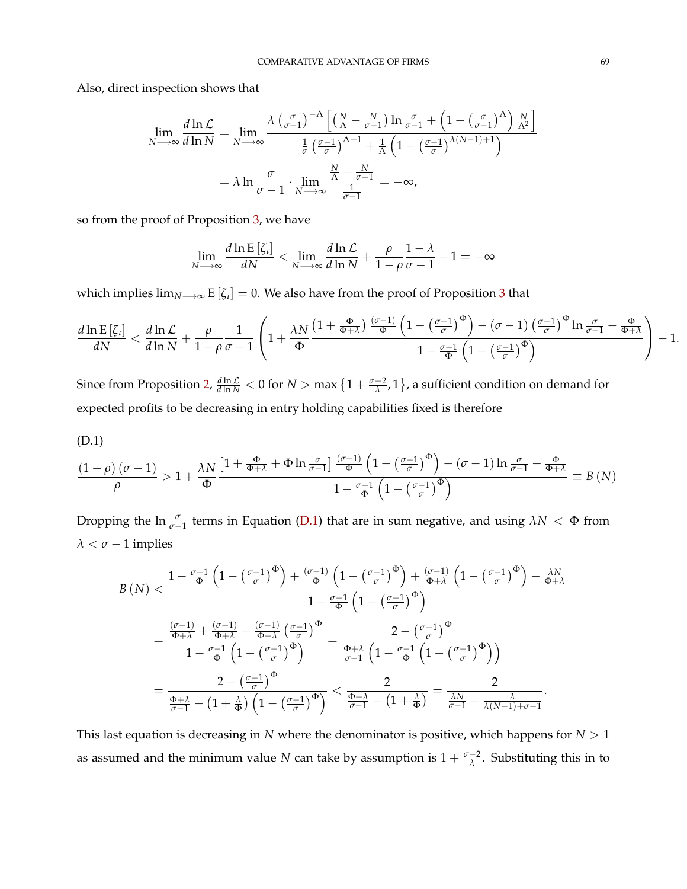Also, direct inspection shows that

$$
\lim_{N \to \infty} \frac{d \ln \mathcal{L}}{d \ln N} = \lim_{N \to \infty} \frac{\lambda \left(\frac{\sigma}{\sigma - 1}\right)^{-\Lambda} \left[ \left(\frac{N}{\Lambda} - \frac{N}{\sigma - 1}\right) \ln \frac{\sigma}{\sigma - 1} + \left(1 - \left(\frac{\sigma}{\sigma - 1}\right)^{\Lambda}\right) \frac{N}{\Lambda^2} \right]}{\frac{1}{\sigma} \left(\frac{\sigma - 1}{\sigma}\right)^{\Lambda - 1} + \frac{1}{\Lambda} \left(1 - \left(\frac{\sigma - 1}{\sigma}\right)^{\lambda(N - 1) + 1}\right)}
$$

$$
= \lambda \ln \frac{\sigma}{\sigma - 1} \cdot \lim_{N \to \infty} \frac{\frac{N}{\Lambda} - \frac{N}{\sigma - 1}}{\frac{1}{\sigma - 1}} = -\infty,
$$

so from the proof of Proposition [3,](#page-30-0) we have

$$
\lim_{N \to \infty} \frac{d \ln \mathrm{E} \left[ \zeta_{\iota} \right]}{dN} < \lim_{N \to \infty} \frac{d \ln \mathcal{L}}{d \ln N} + \frac{\rho}{1 - \rho} \frac{1 - \lambda}{\sigma - 1} - 1 = -\infty
$$

which implies lim*N*−→<sup>∞</sup> E [*ζι*] = 0. We also have from the proof of Proposition [3](#page-30-0) that

$$
\frac{d\ln\mathrm{E}\left[\zeta_{\iota}\right]}{dN} < \frac{d\ln\mathcal{L}}{d\ln N} + \frac{\rho}{1-\rho}\frac{1}{\sigma-1}\left(1 + \frac{\lambda N}{\Phi}\frac{\left(1+\frac{\Phi}{\Phi+\lambda}\right)\frac{(\sigma-1)}{\Phi}\left(1-\left(\frac{\sigma-1}{\sigma}\right)^{\Phi}\right)-(\sigma-1)\left(\frac{\sigma-1}{\sigma}\right)^{\Phi}\ln\frac{\sigma}{\sigma-1}-\frac{\Phi}{\Phi+\lambda}}{1-\frac{\sigma-1}{\Phi}\left(1-\left(\frac{\sigma-1}{\sigma}\right)^{\Phi}\right)}\right) - 1.
$$

Since from Proposition [2,](#page-29-0)  $\frac{d \ln \mathcal{L}}{d \ln N}$  < 0 for  $N > \max\left\{1 + \frac{\sigma - 2}{\lambda}, 1\right\}$ , a sufficient condition on demand for expected profits to be decreasing in entry holding capabilities fixed is therefore

<span id="page-69-0"></span>
$$
(D.1)
$$

$$
\frac{\left(1-\rho\right)\left(\sigma-1\right)}{\rho} > 1 + \frac{\lambda N}{\Phi} \frac{\left[1+\frac{\Phi}{\Phi+\lambda}+\Phi\ln\frac{\sigma}{\sigma-1}\right]\frac{\left(\sigma-1\right)}{\Phi}\left(1-\left(\frac{\sigma-1}{\sigma}\right)^{\Phi}\right)-\left(\sigma-1\right)\ln\frac{\sigma}{\sigma-1}-\frac{\Phi}{\Phi+\lambda}}{1-\frac{\sigma-1}{\Phi}\left(1-\left(\frac{\sigma-1}{\sigma}\right)^{\Phi}\right)} \equiv B\left(N\right)
$$

Dropping the  $\ln \frac{\sigma}{\sigma-1}$  terms in Equation [\(D.1\)](#page-69-0) that are in sum negative, and using  $\lambda N < \Phi$  from  $\lambda < \sigma - 1$  implies

$$
B\left(N\right) < \frac{1 - \frac{\sigma - 1}{\Phi}\left(1 - \left(\frac{\sigma - 1}{\sigma}\right)^{\Phi}\right) + \frac{(\sigma - 1)}{\Phi}\left(1 - \left(\frac{\sigma - 1}{\sigma}\right)^{\Phi}\right) + \frac{(\sigma - 1)}{\Phi + \lambda}\left(1 - \left(\frac{\sigma - 1}{\sigma}\right)^{\Phi}\right) - \frac{\lambda N}{\Phi + \lambda}}{1 - \frac{\sigma - 1}{\Phi}\left(1 - \left(\frac{\sigma - 1}{\sigma}\right)^{\Phi}\right)}
$$
\n
$$
= \frac{\frac{(\sigma - 1)}{\Phi + \lambda} + \frac{(\sigma - 1)}{\Phi + \lambda} - \frac{(\sigma - 1)}{\Phi + \lambda}\left(\frac{\sigma - 1}{\sigma}\right)^{\Phi}}{1 - \frac{\sigma - 1}{\Phi}\left(1 - \left(\frac{\sigma - 1}{\sigma}\right)^{\Phi}\right)} = \frac{2 - \left(\frac{\sigma - 1}{\sigma}\right)^{\Phi}}{\frac{\Phi + \lambda}{\sigma - 1}\left(1 - \frac{\sigma - 1}{\Phi}\left(1 - \left(\frac{\sigma - 1}{\sigma}\right)^{\Phi}\right)\right)}
$$
\n
$$
= \frac{2 - \left(\frac{\sigma - 1}{\sigma}\right)^{\Phi}}{\frac{\Phi + \lambda}{\sigma - 1} - \left(1 + \frac{\lambda}{\Phi}\right)\left(1 - \left(\frac{\sigma - 1}{\sigma}\right)^{\Phi}\right)} < \frac{2}{\frac{\Phi + \lambda}{\sigma - 1} - \left(1 + \frac{\lambda}{\Phi}\right)} = \frac{2}{\frac{\lambda N}{\sigma - 1} - \frac{\lambda}{\lambda(N - 1) + \sigma - 1}}.
$$

This last equation is decreasing in *N* where the denominator is positive, which happens for  $N > 1$ as assumed and the minimum value *N* can take by assumption is  $1 + \frac{\sigma - 2}{\lambda}$ . Substituting this in to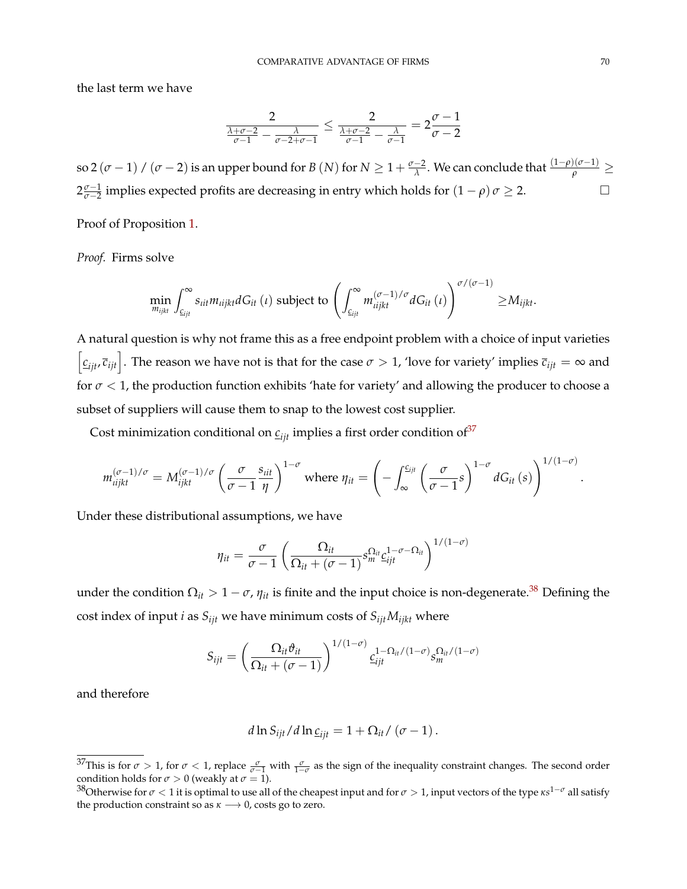the last term we have

$$
\frac{2}{\frac{\lambda+\sigma-2}{\sigma-1}-\frac{\lambda}{\sigma-2+\sigma-1}}\leq\frac{2}{\frac{\lambda+\sigma-2}{\sigma-1}-\frac{\lambda}{\sigma-1}}=2\frac{\sigma-1}{\sigma-2}
$$

so 2  $(\sigma-1)$  /  $(\sigma-2)$  is an upper bound for *B*  $(N)$  for  $N\geq1+\frac{\sigma-2}{\lambda}$ . We can conclude that  $\frac{(1-\rho)(\sigma-1)}{\rho}\geq$  $2\frac{\sigma-1}{\sigma-2}$ *σ*<sup>−1</sup></sup> implies expected profits are decreasing in entry which holds for  $(1 - \rho) \sigma \ge 2$ .

Proof of Proposition [1.](#page-28-0)

*Proof.* Firms solve

$$
\min_{m_{ijkt}} \int_{c_{ijt}}^{\infty} s_{iit} m_{iijkt} dG_{it}(\iota) \text{ subject to } \left( \int_{c_{ijt}}^{\infty} m_{iijkt}^{(\sigma-1)/\sigma} dG_{it}(\iota) \right)^{\sigma/(\sigma-1)} \geq M_{ijkt}.
$$

A natural question is why not frame this as a free endpoint problem with a choice of input varieties  $\left[\frac{c_{ijt}}{c_{ijt}}\right]$ . The reason we have not is that for the case  $\sigma > 1$ , 'love for variety' implies  $\overline{c}_{ijt} = \infty$  and for  $\sigma$  < 1, the production function exhibits 'hate for variety' and allowing the producer to choose a subset of suppliers will cause them to snap to the lowest cost supplier.

Cost minimization conditional on  $c_{ijt}$  implies a first order condition of<sup>[37](#page-0-0)</sup>

$$
m_{i\bar{i}jkt}^{(\sigma-1)/\sigma}=M_{i\bar{j}kt}^{(\sigma-1)/\sigma}\left(\frac{\sigma}{\sigma-1}\frac{s_{i\bar{i}t}}{\eta}\right)^{1-\sigma}\text{ where }\eta_{it}=\left(-\int_{\infty}^{\underline{c}_{i\bar{j}t}}\left(\frac{\sigma}{\sigma-1}s\right)^{1-\sigma}dG_{it}(s)\right)^{1/(1-\sigma)}.
$$

Under these distributional assumptions, we have

$$
\eta_{it} = \frac{\sigma}{\sigma - 1} \left( \frac{\Omega_{it}}{\Omega_{it} + (\sigma - 1)} s_m^{\Omega_{it}} c_{ijt}^{1 - \sigma - \Omega_{it}} \right)^{1/(1 - \sigma)}
$$

under the condition  $\Omega_{it} > 1 - \sigma$ ,  $\eta_{it}$  is finite and the input choice is non-degenerate.<sup>[38](#page-0-0)</sup> Defining the cost index of input *i* as  $S_{ijt}$  we have minimum costs of  $S_{ijt}M_{ijkt}$  where

$$
S_{ijt} = \left(\frac{\Omega_{it} \vartheta_{it}}{\Omega_{it} + (\sigma - 1)}\right)^{1/(1-\sigma)} \underline{c}_{ijt}^{1-\Omega_{it}/(1-\sigma)} s_m^{\Omega_{it}/(1-\sigma)}
$$

and therefore

$$
d \ln S_{ijt} / d \ln \underline{c}_{ijt} = 1 + \Omega_{it} / (\sigma - 1).
$$

<sup>&</sup>lt;sup>37</sup>This is for  $\sigma > 1$ , for  $\sigma < 1$ , replace  $\frac{\sigma}{\sigma-1}$  with  $\frac{\sigma}{1-\sigma}$  as the sign of the inequality constraint changes. The second order condition holds for  $\sigma > 0$  (weakly at  $\sigma = 1$ ).

<sup>38</sup>Otherwise for *σ* < 1 it is optimal to use all of the cheapest input and for *σ* > 1, input vectors of the type *κs* <sup>1</sup>−*<sup>σ</sup>* all satisfy the production constraint so as  $\kappa \longrightarrow 0$ , costs go to zero.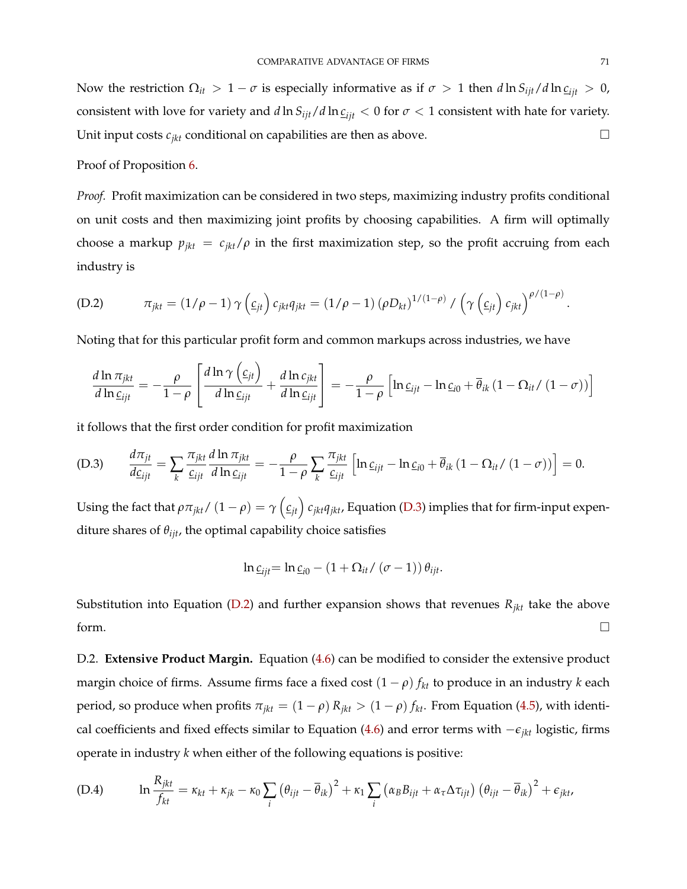Now the restriction  $\Omega_{it} > 1 - \sigma$  is especially informative as if  $\sigma > 1$  then  $d \ln S_{ijt}/d \ln \rho_{ijt} > 0$ , consistent with love for variety and  $d \ln S_{ijt}/d \ln \rho_{ijt}$  < 0 for  $\sigma$  < 1 consistent with hate for variety. Unit input costs  $c_{jkt}$  conditional on capabilities are then as above.

Proof of Proposition [6.](#page-32-0)

*Proof.* Profit maximization can be considered in two steps, maximizing industry profits conditional on unit costs and then maximizing joint profits by choosing capabilities. A firm will optimally choose a markup  $p_{jkt} = c_{jkt}/\rho$  in the first maximization step, so the profit accruing from each industry is

<span id="page-71-1"></span>(D.2) 
$$
\pi_{jkt} = (1/\rho - 1) \gamma \left(\underline{c}_{jt}\right) c_{jkt} q_{jkt} = (1/\rho - 1) (\rho D_{kt})^{1/(1-\rho)} / \left(\gamma \left(\underline{c}_{jt}\right) c_{jkt}\right)^{\rho/(1-\rho)}.
$$

Noting that for this particular profit form and common markups across industries, we have

$$
\frac{d \ln \pi_{jkt}}{d \ln \underline{c}_{ijt}} = -\frac{\rho}{1-\rho} \left[ \frac{d \ln \gamma (\underline{c}_{jt})}{d \ln \underline{c}_{ijt}} + \frac{d \ln c_{jkt}}{d \ln \underline{c}_{ijt}} \right] = -\frac{\rho}{1-\rho} \left[ \ln \underline{c}_{ijt} - \ln \underline{c}_{i0} + \overline{\theta}_{ik} (1 - \Omega_{it} / (1-\sigma)) \right]
$$

it follows that the first order condition for profit maximization

<span id="page-71-0"></span>(D.3) 
$$
\frac{d\pi_{jt}}{d\underline{c}_{ijt}} = \sum_{k} \frac{\pi_{jkt}}{c_{ijt}} \frac{d\ln \pi_{jkt}}{d\ln \underline{c}_{ijt}} = -\frac{\rho}{1-\rho} \sum_{k} \frac{\pi_{jkt}}{c_{ijt}} \left[ \ln \underline{c}_{ijt} - \ln \underline{c}_{i0} + \overline{\theta}_{ik} \left( 1 - \Omega_{it} / (1-\sigma) \right) \right] = 0.
$$

Using the fact that  $\rho\pi_{jkt}/\left(1-\rho\right)=\gamma\left(\underline{c}_{jt}\right)c_{jkt}q_{jkt}$ , Equation [\(D.3\)](#page-71-0) implies that for firm-input expenditure shares of *θijt*, the optimal capability choice satisfies

$$
\ln \underline{c}_{ijt} = \ln \underline{c}_{i0} - (1 + \Omega_{it} / (\sigma - 1)) \theta_{ijt}.
$$

Substitution into Equation [\(D.2\)](#page-71-1) and further expansion shows that revenues  $R_{jkt}$  take the above form.  $\Box$ 

D.2. **Extensive Product Margin.** Equation [\(4.6\)](#page-35-0) can be modified to consider the extensive product margin choice of firms. Assume firms face a fixed cost  $(1 - \rho) f_{kt}$  to produce in an industry *k* each period, so produce when profits  $\pi_{jkt} = (1 - \rho) R_{jkt} > (1 - \rho) f_{kt}$ . From Equation [\(4.5\)](#page-34-1), with identical coefficients and fixed effects similar to Equation [\(4.6\)](#page-35-0) and error terms with −*ejkt* logistic, firms operate in industry *k* when either of the following equations is positive:

(D.4) 
$$
\ln \frac{R_{jkt}}{f_{kt}} = \kappa_{kt} + \kappa_{jk} - \kappa_0 \sum_i \left(\theta_{ijt} - \overline{\theta}_{ik}\right)^2 + \kappa_1 \sum_i \left(\alpha_B B_{ijt} + \alpha_\tau \Delta \tau_{ijt}\right) \left(\theta_{ijt} - \overline{\theta}_{ik}\right)^2 + \epsilon_{jkt},
$$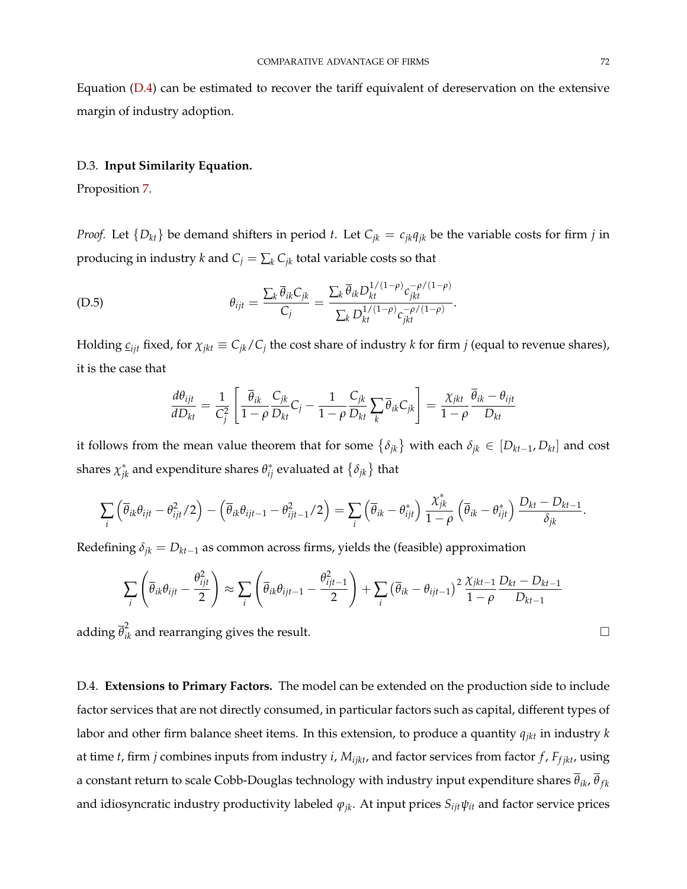Equation [\(D.4\)](#page-71-0) can be estimated to recover the tariff equivalent of dereservation on the extensive margin of industry adoption.

### D.3. **Input Similarity Equation.**

Proposition [7.](#page-34-0)

*Proof.* Let  $\{D_{kt}\}$  be demand shifters in period *t*. Let  $C_{jk} = c_{jk}q_{jk}$  be the variable costs for firm *j* in producing in industry *k* and  $C_j = \sum_k C_{jk}$  total variable costs so that

$$
\theta_{ijt} = \frac{\sum_{k} \overline{\theta}_{ik} C_{jk}}{C_j} = \frac{\sum_{k} \overline{\theta}_{ik} D_{kt}^{1/(1-\rho)} c_{jkt}^{-\rho/(1-\rho)}}{\sum_{k} D_{kt}^{1/(1-\rho)} c_{jkt}^{-\rho/(1-\rho)}}.
$$

Holding  $c_{ijk}$  fixed, for  $\chi_{jkt} \equiv C_{jk}/C_j$  the cost share of industry *k* for firm *j* (equal to revenue shares), it is the case that

$$
\frac{d\theta_{ijt}}{dD_{kt}} = \frac{1}{C_j^2} \left[ \frac{\overline{\theta}_{ik}}{1-\rho} \frac{C_{jk}}{D_{kt}} C_j - \frac{1}{1-\rho} \frac{C_{jk}}{D_{kt}} \sum_k \overline{\theta}_{ik} C_{jk} \right] = \frac{\chi_{jkt}}{1-\rho} \frac{\overline{\theta}_{ik} - \theta_{ijt}}{D_{kt}}
$$

it follows from the mean value theorem that for some  $\{\delta_{jk}\}$  with each  $\delta_{jk}\in[D_{kt-1},D_{kt}]$  and cost shares  $\chi^*_{jk}$  and expenditure shares  $\theta^*_{ij}$  evaluated at  $\{\delta_{jk}\}$  that

$$
\sum_i \left( \overline{\theta}_{ik} \theta_{ijt} - \theta_{ijt}^2 / 2 \right) - \left( \overline{\theta}_{ik} \theta_{ijt-1} - \theta_{ijt-1}^2 / 2 \right) = \sum_i \left( \overline{\theta}_{ik} - \theta_{ijt}^* \right) \frac{\chi_{jk}^*}{1 - \rho} \left( \overline{\theta}_{ik} - \theta_{ijt}^* \right) \frac{D_{kt} - D_{kt-1}}{\delta_{jk}}.
$$

Redefining  $\delta_{jk} = D_{kt-1}$  as common across firms, yields the (feasible) approximation

$$
\sum_{i} \left( \overline{\theta}_{ik} \theta_{ijt} - \frac{\theta_{ijt}^2}{2} \right) \approx \sum_{i} \left( \overline{\theta}_{ik} \theta_{ijt-1} - \frac{\theta_{ijt-1}^2}{2} \right) + \sum_{i} \left( \overline{\theta}_{ik} - \theta_{ijt-1} \right)^2 \frac{\chi_{jkt-1}}{1 - \rho} \frac{D_{kt} - D_{kt-1}}{D_{kt-1}}
$$

adding  $\overline{\theta}_{ik}^2$  and rearranging gives the result.  $\hfill \Box$ 

D.4. **Extensions to Primary Factors.** The model can be extended on the production side to include factor services that are not directly consumed, in particular factors such as capital, different types of labor and other firm balance sheet items. In this extension, to produce a quantity *qjkt* in industry *k* at time *t*, firm *j* combines inputs from industry *i*, *Mijkt*, and factor services from factor *f* , *Ff jkt*, using a constant return to scale Cobb-Douglas technology with industry input expenditure shares  $\bar{\theta}_{ik}$ ,  $\bar{\theta}_{fk}$ and idiosyncratic industry productivity labeled  $\varphi_{jk}$ . At input prices  $S_{ijt}\psi_{it}$  and factor service prices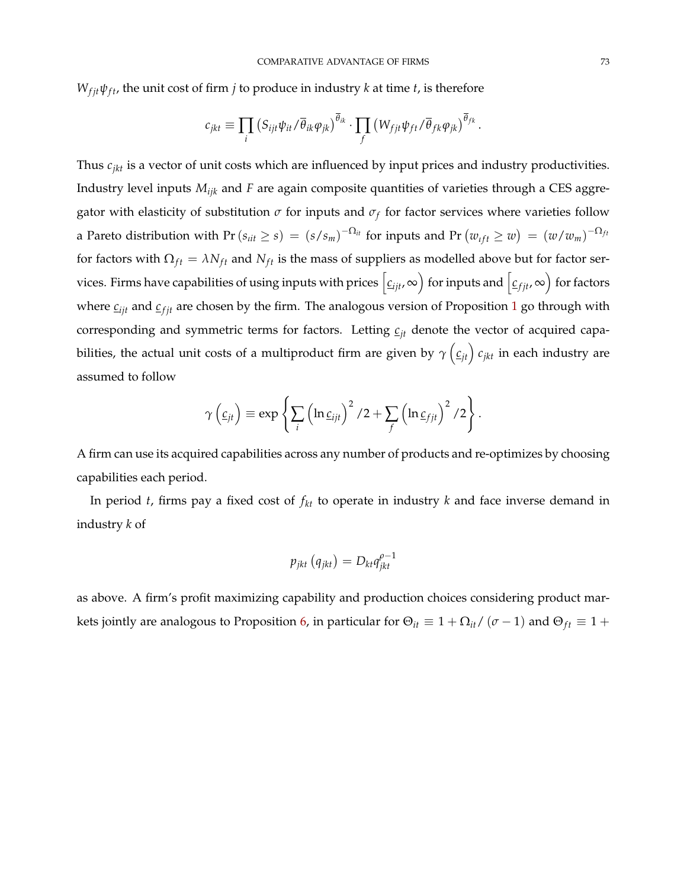$W_{fit}\psi_{ft}$ , the unit cost of firm *j* to produce in industry *k* at time *t*, is therefore

$$
c_{jkt} \equiv \prod_i \left( S_{ijt} \psi_{it} / \overline{\theta}_{ik} \varphi_{jk} \right)^{\overline{\theta}_{ik}} \cdot \prod_f \left( W_{fjt} \psi_{ft} / \overline{\theta}_{fk} \varphi_{jk} \right)^{\overline{\theta}_{fk}}.
$$

Thus *cjkt* is a vector of unit costs which are influenced by input prices and industry productivities. Industry level inputs *Mijk* and *F* are again composite quantities of varieties through a CES aggregator with elasticity of substitution  $\sigma$  for inputs and  $\sigma_f$  for factor services where varieties follow a Pareto distribution with Pr ( $s_{itt} \geq s$ ) =  $(s/s_m)^{-\Omega_{it}}$  for inputs and Pr  $(w_{ift} \geq w) = (w/w_m)^{-\Omega_{ft}}$ for factors with  $\Omega_{ft} = \lambda N_{ft}$  and  $N_{ft}$  is the mass of suppliers as modelled above but for factor services. Firms have capabilities of using inputs with prices  $\bigl[\underline{c}_{ijt},\infty\bigr)$  for inputs and  $\bigl[\underline{c}_{fjt},\infty\bigr)$  for factors where  $c_{ijt}$  and  $c_{fjt}$  are chosen by the firm. The analogous version of Proposition [1](#page-28-0) go through with corresponding and symmetric terms for factors. Letting  $c_{it}$  denote the vector of acquired capabilities, the actual unit costs of a multiproduct firm are given by  $\gamma\left(\underline{c}_{jt}\right)c_{jkt}$  in each industry are assumed to follow

$$
\gamma\left(\underline{c}_{jt}\right) \equiv \exp\left\{\sum_i \left(\ln \underline{c}_{ijt}\right)^2/2 + \sum_f \left(\ln \underline{c}_{fjt}\right)^2/2\right\}.
$$

A firm can use its acquired capabilities across any number of products and re-optimizes by choosing capabilities each period.

In period *t*, firms pay a fixed cost of  $f_{kt}$  to operate in industry  $k$  and face inverse demand in industry *k* of

$$
p_{jkt}\left(q_{jkt}\right) = D_{kt}q_{jkt}^{\rho-1}
$$

as above. A firm's profit maximizing capability and production choices considering product mar-kets jointly are analogous to Proposition [6,](#page-32-0) in particular for  $\Theta_{it} \equiv 1 + \Omega_{it}/(\sigma - 1)$  and  $\Theta_{ft} \equiv 1 +$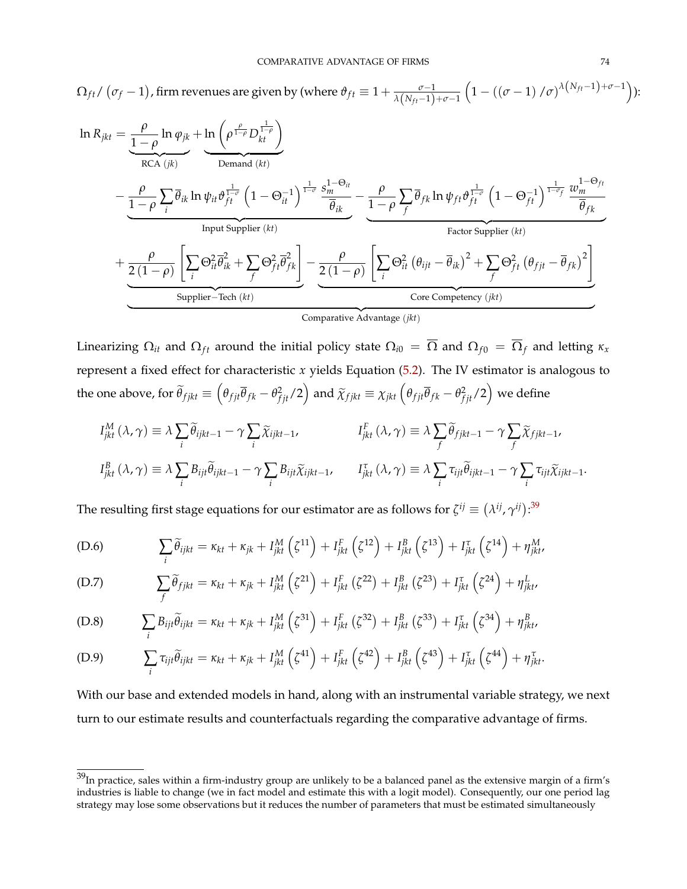$$
\Omega_{ft} / (\sigma_f - 1), \text{ firm revenues are given by (where } \theta_{ft} \equiv 1 + \frac{\sigma}{\lambda (N_{ft} - 1) + \sigma - 1} \left( 1 - ((\sigma - 1) / \sigma)^{\lambda (N_{ft} - 1) + \sigma - 1} \right)):
$$
\n
$$
\ln R_{jkt} = \underbrace{\frac{\rho}{1 - \rho} \ln \varphi_{jk}}_{\text{RCA } (jk)} + \underbrace{\ln \left( \rho^{\frac{\rho}{1 - \rho}} D_{kt}^{\frac{1}{1 - \rho}} \right)}_{\text{Denand } (kt)}
$$
\n
$$
- \underbrace{\frac{\rho}{1 - \rho} \sum_{i} \overline{\theta}_{ik} \ln \psi_{it} \vartheta_{ft}^{\frac{1}{1 - \sigma}} \left( 1 - \Theta_{it}^{-1} \right)^{\frac{1}{1 - \sigma} \frac{1}{\sigma}} \frac{s_m^{1 - \Theta_{it}}}{\overline{\theta}_{ik}}}_{\text{Input Supplementary (k)}
$$
\n
$$
+ \underbrace{\frac{\rho}{2 (1 - \rho)} \left[ \sum_{i} \Theta_{it}^2 \overline{\theta}_{ik}^2 + \sum_{f} \Theta_{ft}^2 \overline{\theta}_{fk}^2 \right]}_{\text{Supplier (kt)}} - \underbrace{\frac{\rho}{2 (1 - \rho)} \left[ \sum_{i} \Theta_{it}^2 (\theta_{ijt} - \overline{\theta}_{ik})^2 + \sum_{f} \Theta_{ft}^2 (\theta_{fjt} - \overline{\theta}_{fk})^2 \right]}_{\text{Core Competency } (jkt)}
$$
\n
$$
= \underbrace{\frac{\rho}{2 (1 - \rho)} \left[ \sum_{i} \Theta_{it}^2 \overline{\theta}_{ik}^2 + \sum_{f} \Theta_{ft}^2 \overline{\theta}_{fk}^2 \right]}_{\text{Compartative Advantage } (jkt)}
$$

Linearizing  $\Omega_{it}$  and  $\Omega_{ft}$  around the initial policy state  $\Omega_{i0} = \overline{\Omega}$  and  $\Omega_{f0} = \overline{\Omega}_f$  and letting  $\kappa_x$ represent a fixed effect for characteristic *x* yields Equation [\(5.2\)](#page-44-0). The IV estimator is analogous to the one above, for  $\widetilde{\theta}_{fjkt} \equiv \left(\theta_{fjt}\overline{\theta}_{fk} - \theta_{fjt}^2/2\right)$  and  $\widetilde{\chi}_{fjkt} \equiv \chi_{jkt} \left(\theta_{fjt}\overline{\theta}_{fk} - \theta_{fjt}^2/2\right)$  we define

$$
I_{jkt}^{M}(\lambda, \gamma) \equiv \lambda \sum_{i} \widetilde{\theta}_{ijkt-1} - \gamma \sum_{i} \widetilde{\chi}_{ijkt-1}, \qquad I_{jkt}^{F}(\lambda, \gamma) \equiv \lambda \sum_{f} \widetilde{\theta}_{fjkt-1} - \gamma \sum_{f} \widetilde{\chi}_{fjkt-1},
$$
  

$$
I_{jkt}^{B}(\lambda, \gamma) \equiv \lambda \sum_{i} B_{ijt} \widetilde{\theta}_{ijkt-1} - \gamma \sum_{i} B_{ijt} \widetilde{\chi}_{ijkt-1}, \qquad I_{jkt}^{T}(\lambda, \gamma) \equiv \lambda \sum_{i} \tau_{ijt} \widetilde{\theta}_{ijkt-1} - \gamma \sum_{i} \tau_{ijt} \widetilde{\chi}_{ijkt-1}.
$$

The resulting first stage equations for our estimator are as follows for  $\zeta^{ij}\equiv(\lambda^{ij},\gamma^{ij})^{.39}$  $\zeta^{ij}\equiv(\lambda^{ij},\gamma^{ij})^{.39}$  $\zeta^{ij}\equiv(\lambda^{ij},\gamma^{ij})^{.39}$ 

(D.6) 
$$
\sum_{i} \widetilde{\theta}_{ijkt} = \kappa_{kt} + \kappa_{jk} + I_{jkt}^{M} (\zeta^{11}) + I_{jkt}^{F} (\zeta^{12}) + I_{jkt}^{B} (\zeta^{13}) + I_{jkt}^{T} (\zeta^{14}) + \eta_{jkt}^{M}
$$

(D.7) 
$$
\sum_{f} \widetilde{\theta}_{fjkt} = \kappa_{kt} + \kappa_{jk} + I_{jkt}^M \left( \zeta^{21} \right) + I_{jkt}^F \left( \zeta^{22} \right) + I_{jkt}^B \left( \zeta^{23} \right) + I_{jkt}^{\tau} \left( \zeta^{24} \right) + \eta_{jkt}^L,
$$

(D.8) 
$$
\sum_{i} B_{ijt} \widetilde{\theta}_{ijkt} = \kappa_{kt} + \kappa_{jk} + I_{jkt}^{M} (\zeta^{31}) + I_{jkt}^{F} (\zeta^{32}) + I_{jkt}^{B} (\zeta^{33}) + I_{jkt}^{T} (\zeta^{34}) + \eta_{jkt}^{B},
$$

(D.9) 
$$
\sum_i \tau_{ijt} \widetilde{\theta}_{ijkt} = \kappa_{kt} + \kappa_{jk} + I_{jkt}^M \left( \zeta^{41} \right) + I_{jkt}^F \left( \zeta^{42} \right) + I_{jkt}^B \left( \zeta^{43} \right) + I_{jkt}^{\tau} \left( \zeta^{44} \right) + \eta_{jkt}^{\tau}.
$$

With our base and extended models in hand, along with an instrumental variable strategy, we next turn to our estimate results and counterfactuals regarding the comparative advantage of firms.

 $39$ In practice, sales within a firm-industry group are unlikely to be a balanced panel as the extensive margin of a firm's industries is liable to change (we in fact model and estimate this with a logit model). Consequently, our one period lag strategy may lose some observations but it reduces the number of parameters that must be estimated simultaneously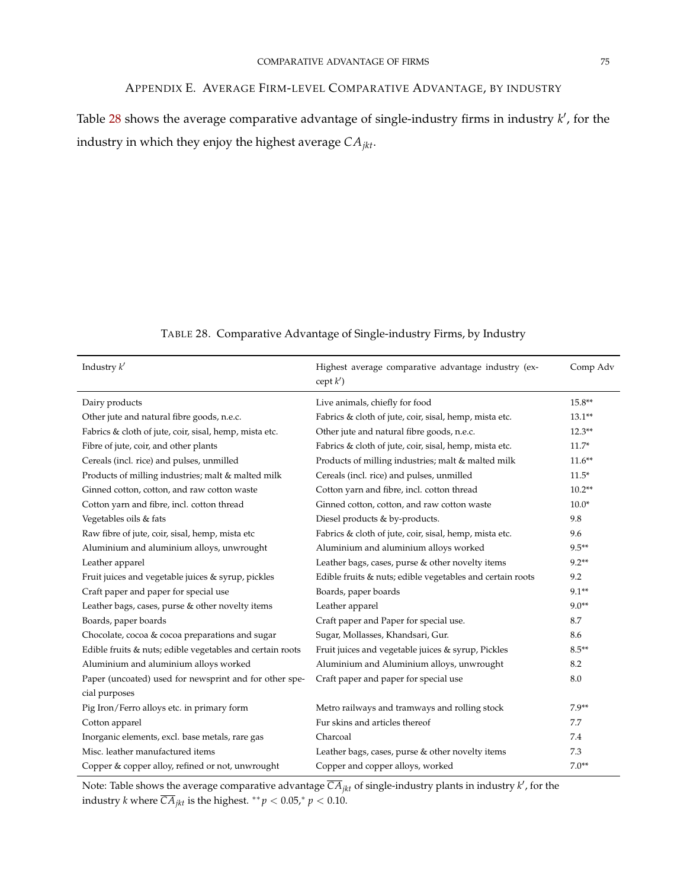# APPENDIX E. AVERAGE FIRM-LEVEL COMPARATIVE ADVANTAGE, BY INDUSTRY

Table  $28$  shows the average comparative advantage of single-industry firms in industry  $k'$ , for the industry in which they enjoy the highest average *CAjkt*.

| TABLE 28. Comparative Advantage of Single-industry Firms, by Industry |  |  |  |
|-----------------------------------------------------------------------|--|--|--|
|                                                                       |  |  |  |

<span id="page-75-0"></span>

| Industry $k'$                                             | Highest average comparative advantage industry (ex-<br>$\operatorname{cept}(k')$ | Comp Adv  |
|-----------------------------------------------------------|----------------------------------------------------------------------------------|-----------|
| Dairy products                                            | Live animals, chiefly for food                                                   | $15.8**$  |
| Other jute and natural fibre goods, n.e.c.                | Fabrics & cloth of jute, coir, sisal, hemp, mista etc.                           | $13.1**$  |
| Fabrics & cloth of jute, coir, sisal, hemp, mista etc.    | Other jute and natural fibre goods, n.e.c.                                       | $12.3**$  |
| Fibre of jute, coir, and other plants                     | Fabrics & cloth of jute, coir, sisal, hemp, mista etc.                           | $11.7*$   |
| Cereals (incl. rice) and pulses, unmilled                 | Products of milling industries; malt & malted milk                               | $11.6***$ |
| Products of milling industries; malt & malted milk        | Cereals (incl. rice) and pulses, unmilled                                        | $11.5*$   |
| Ginned cotton, cotton, and raw cotton waste               | Cotton yarn and fibre, incl. cotton thread                                       | $10.2**$  |
| Cotton yarn and fibre, incl. cotton thread                | Ginned cotton, cotton, and raw cotton waste                                      | $10.0*$   |
| Vegetables oils & fats                                    | Diesel products & by-products.                                                   | 9.8       |
| Raw fibre of jute, coir, sisal, hemp, mista etc           | Fabrics & cloth of jute, coir, sisal, hemp, mista etc.                           | 9.6       |
| Aluminium and aluminium alloys, unwrought                 | Aluminium and aluminium alloys worked                                            | $9.5**$   |
| Leather apparel                                           | Leather bags, cases, purse & other novelty items                                 | $9.2**$   |
| Fruit juices and vegetable juices & syrup, pickles        | Edible fruits & nuts; edible vegetables and certain roots                        | 9.2       |
| Craft paper and paper for special use                     | Boards, paper boards                                                             | $9.1**$   |
| Leather bags, cases, purse & other novelty items          | Leather apparel                                                                  | $9.0**$   |
| Boards, paper boards                                      | Craft paper and Paper for special use.                                           | 8.7       |
| Chocolate, cocoa & cocoa preparations and sugar           | Sugar, Mollasses, Khandsari, Gur.                                                | 8.6       |
| Edible fruits & nuts; edible vegetables and certain roots | Fruit juices and vegetable juices & syrup, Pickles                               | $8.5**$   |
| Aluminium and aluminium alloys worked                     | Aluminium and Aluminium alloys, unwrought                                        | 8.2       |
| Paper (uncoated) used for newsprint and for other spe-    | Craft paper and paper for special use                                            | 8.0       |
| cial purposes                                             |                                                                                  |           |
| Pig Iron/Ferro alloys etc. in primary form                | Metro railways and tramways and rolling stock                                    | $7.9**$   |
| Cotton apparel                                            | Fur skins and articles thereof                                                   | 7.7       |
| Inorganic elements, excl. base metals, rare gas           | Charcoal                                                                         | 7.4       |
| Misc. leather manufactured items                          | Leather bags, cases, purse & other novelty items                                 | 7.3       |
| Copper & copper alloy, refined or not, unwrought          | Copper and copper alloys, worked                                                 | $7.0**$   |

Note: Table shows the average comparative advantage  $\overline{CA}_{jkt}$  of single-industry plants in industry  $k'$ , for the industry *k* where  $\overline{CA}_{jkt}$  is the highest.  $^{**}p < 0.05$ , $^{*}p < 0.10$ .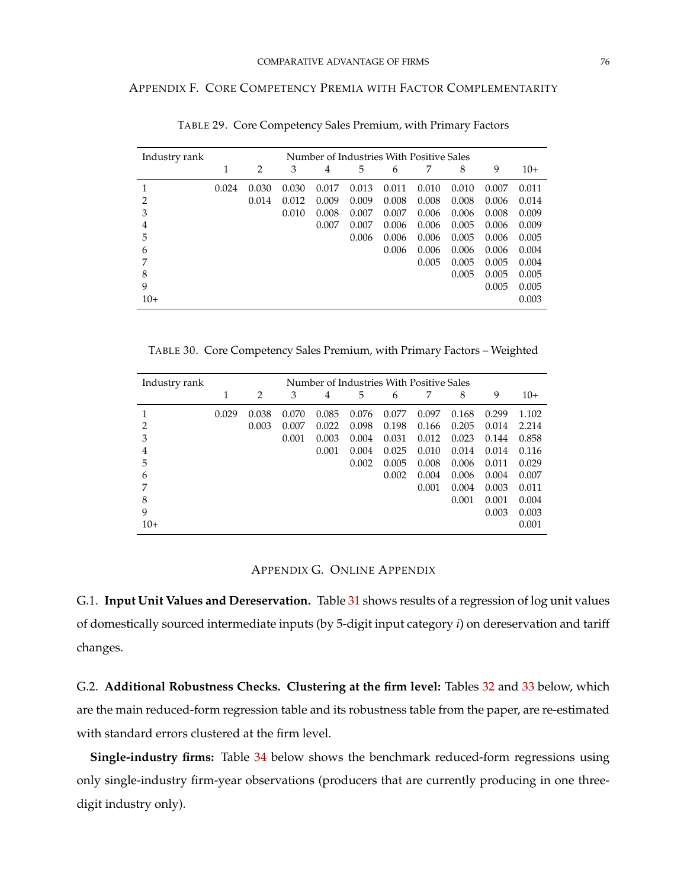## APPENDIX F. CORE COMPETENCY PREMIA WITH FACTOR COMPLEMENTARITY

| Industry rank |       | Number of Industries With Positive Sales |       |       |       |       |       |       |       |       |
|---------------|-------|------------------------------------------|-------|-------|-------|-------|-------|-------|-------|-------|
|               | 1     | $\overline{2}$                           | 3     | 4     | 5     | 6     |       | 8     | 9     | $10+$ |
|               | 0.024 | 0.030                                    | 0.030 | 0.017 | 0.013 | 0.011 | 0.010 | 0.010 | 0.007 | 0.011 |
| 2             |       | 0.014                                    | 0.012 | 0.009 | 0.009 | 0.008 | 0.008 | 0.008 | 0.006 | 0.014 |
| 3             |       |                                          | 0.010 | 0.008 | 0.007 | 0.007 | 0.006 | 0.006 | 0.008 | 0.009 |
| 4             |       |                                          |       | 0.007 | 0.007 | 0.006 | 0.006 | 0.005 | 0.006 | 0.009 |
| 5             |       |                                          |       |       | 0.006 | 0.006 | 0.006 | 0.005 | 0.006 | 0.005 |
| 6             |       |                                          |       |       |       | 0.006 | 0.006 | 0.006 | 0.006 | 0.004 |
| 7             |       |                                          |       |       |       |       | 0.005 | 0.005 | 0.005 | 0.004 |
| 8             |       |                                          |       |       |       |       |       | 0.005 | 0.005 | 0.005 |
| 9             |       |                                          |       |       |       |       |       |       | 0.005 | 0.005 |
| $10+$         |       |                                          |       |       |       |       |       |       |       | 0.003 |

TABLE 29. Core Competency Sales Premium, with Primary Factors

TABLE 30. Core Competency Sales Premium, with Primary Factors – Weighted

| Industry rank |       | Number of Industries With Positive Sales |       |       |       |       |       |       |       |       |
|---------------|-------|------------------------------------------|-------|-------|-------|-------|-------|-------|-------|-------|
|               | 1     | 2                                        | 3     | 4     | 5     | 6     | 7     | 8     | 9     | $10+$ |
|               | 0.029 | 0.038                                    | 0.070 | 0.085 | 0.076 | 0.077 | 0.097 | 0.168 | 0.299 | 1.102 |
| 2             |       | 0.003                                    | 0.007 | 0.022 | 0.098 | 0.198 | 0.166 | 0.205 | 0.014 | 2.214 |
| 3             |       |                                          | 0.001 | 0.003 | 0.004 | 0.031 | 0.012 | 0.023 | 0.144 | 0.858 |
| 4             |       |                                          |       | 0.001 | 0.004 | 0.025 | 0.010 | 0.014 | 0.014 | 0.116 |
| 5             |       |                                          |       |       | 0.002 | 0.005 | 0.008 | 0.006 | 0.011 | 0.029 |
| 6             |       |                                          |       |       |       | 0.002 | 0.004 | 0.006 | 0.004 | 0.007 |
| 7             |       |                                          |       |       |       |       | 0.001 | 0.004 | 0.003 | 0.011 |
| 8             |       |                                          |       |       |       |       |       | 0.001 | 0.001 | 0.004 |
| 9             |       |                                          |       |       |       |       |       |       | 0.003 | 0.003 |
| $10+$         |       |                                          |       |       |       |       |       |       |       | 0.001 |

## APPENDIX G. ONLINE APPENDIX

G.1. **Input Unit Values and Dereservation.** Table [31](#page-77-0) shows results of a regression of log unit values of domestically sourced intermediate inputs (by 5-digit input category *i*) on dereservation and tariff changes.

G.2. **Additional Robustness Checks. Clustering at the firm level:** Tables [32](#page-77-1) and [33](#page-78-0) below, which are the main reduced-form regression table and its robustness table from the paper, are re-estimated with standard errors clustered at the firm level.

**Single-industry firms:** Table [34](#page-79-0) below shows the benchmark reduced-form regressions using only single-industry firm-year observations (producers that are currently producing in one threedigit industry only).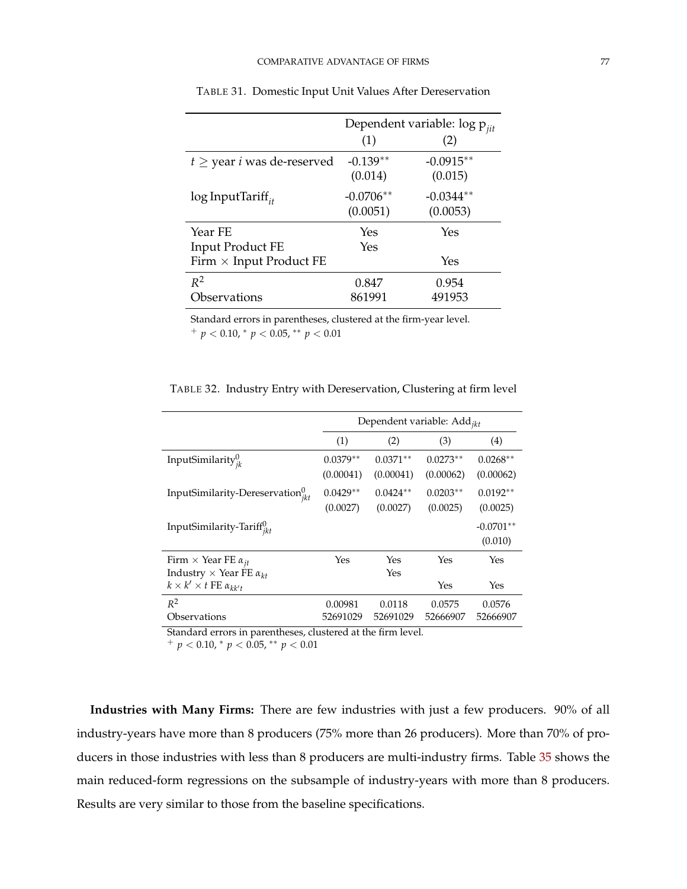<span id="page-77-0"></span>

|                                        | Dependent variable: $\log p_{ijt}$ |             |  |
|----------------------------------------|------------------------------------|-------------|--|
|                                        | (1)                                | (2)         |  |
| $t \geq$ year <i>i</i> was de-reserved | $-0.139**$                         | $-0.0915**$ |  |
|                                        | (0.014)                            | (0.015)     |  |
| $\log$ InputTariff <sub>it</sub>       | $-0.0706**$                        | $-0.0344**$ |  |
|                                        | (0.0051)                           | (0.0053)    |  |
| Year FE                                | Yes                                | Yes         |  |
| <b>Input Product FE</b>                | Yes                                |             |  |
| Firm $\times$ Input Product FE         |                                    | Yes         |  |
| $R^2$                                  | 0.847                              | 0.954       |  |
| Observations                           | 861991                             | 491953      |  |

TABLE 31. Domestic Input Unit Values After Dereservation

Standard errors in parentheses, clustered at the firm-year level.

<sup>+</sup> *p* < 0.10, <sup>∗</sup> *p* < 0.05, ∗∗ *p* < 0.01

<span id="page-77-1"></span>

|                                                                                | Dependent variable: Add <sub>ikt</sub> |                         |                         |                         |  |
|--------------------------------------------------------------------------------|----------------------------------------|-------------------------|-------------------------|-------------------------|--|
|                                                                                | (1)                                    | (2)                     | (3)                     | (4)                     |  |
| InputSimilarity $_{ik}^0$                                                      | $0.0379**$<br>(0.00041)                | $0.0371**$<br>(0.00041) | $0.0273**$<br>(0.00062) | $0.0268**$<br>(0.00062) |  |
| InputSimilarity-Dereservation $v_{jkt}^0$                                      | $0.0429**$<br>(0.0027)                 | $0.0424**$<br>(0.0027)  | $0.0203**$<br>(0.0025)  | $0.0192**$<br>(0.0025)  |  |
| InputSimilarity-Tariff $_{ikt}^{0}$                                            |                                        |                         |                         | $-0.0701**$<br>(0.010)  |  |
| Firm $\times$ Year FE $\alpha_{it}$<br>Industry $\times$ Year FE $\alpha_{kt}$ | Yes                                    | Yes<br>Yes              | Yes                     | Yes                     |  |
| $k \times k' \times t$ FE $\alpha_{kk't}$                                      |                                        |                         | Yes                     | Yes                     |  |
| $R^2$<br>Observations                                                          | 0.00981<br>52691029                    | 0.0118<br>52691029      | 0.0575<br>52666907      | 0.0576<br>52666907      |  |

TABLE 32. Industry Entry with Dereservation, Clustering at firm level

Standard errors in parentheses, clustered at the firm level.

 $^{+}$  *p* < 0.10,  $^{*}$  *p* < 0.05,  $^{**}$  *p* < 0.01

**Industries with Many Firms:** There are few industries with just a few producers. 90% of all industry-years have more than 8 producers (75% more than 26 producers). More than 70% of producers in those industries with less than 8 producers are multi-industry firms. Table [35](#page-79-1) shows the main reduced-form regressions on the subsample of industry-years with more than 8 producers. Results are very similar to those from the baseline specifications.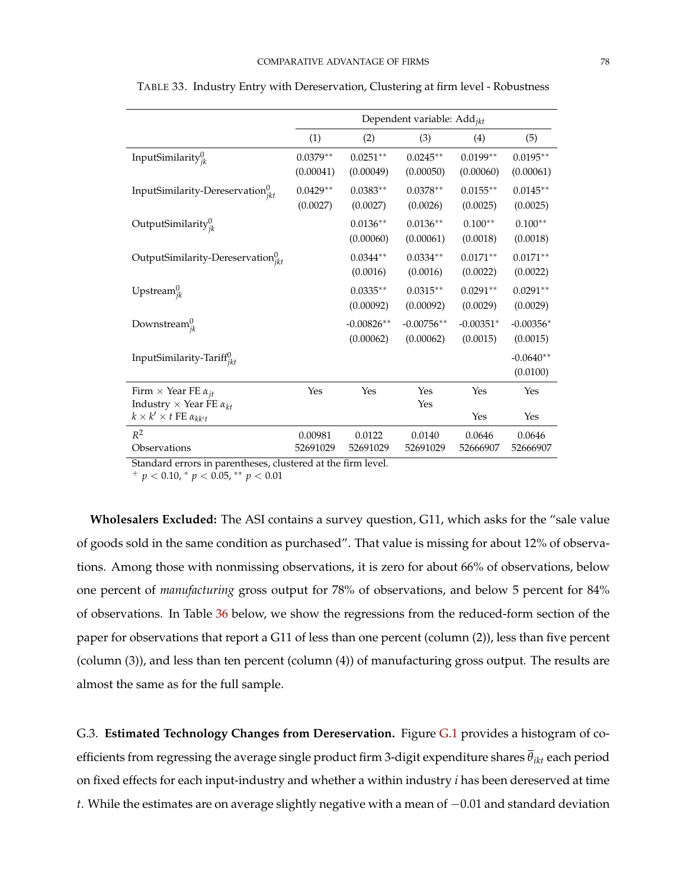|                                                                                      | Dependent variable: Add <sub>ikt</sub> |                           |                           |                         |                         |
|--------------------------------------------------------------------------------------|----------------------------------------|---------------------------|---------------------------|-------------------------|-------------------------|
|                                                                                      | (1)                                    | (2)                       | (3)                       | (4)                     | (5)                     |
| InputSimilarity $v_{ik}^0$                                                           | $0.0379**$<br>(0.00041)                | $0.0251**$<br>(0.00049)   | $0.0245**$<br>(0.00050)   | $0.0199**$<br>(0.00060) | $0.0195**$<br>(0.00061) |
| InputSimilarity-Dereservation $v_{ikt}^0$                                            | $0.0429**$<br>(0.0027)                 | $0.0383**$<br>(0.0027)    | $0.0378**$<br>(0.0026)    | $0.0155**$<br>(0.0025)  | $0.0145**$<br>(0.0025)  |
| OutputSimilarity $v_{ik}^0$                                                          |                                        | $0.0136**$<br>(0.00060)   | $0.0136**$<br>(0.00061)   | $0.100**$<br>(0.0018)   | $0.100**$<br>(0.0018)   |
| OutputSimilarity-Dereservation $v_{jkt}$                                             |                                        | $0.0344**$<br>(0.0016)    | $0.0334**$<br>(0.0016)    | $0.0171**$<br>(0.0022)  | $0.0171**$<br>(0.0022)  |
| Upstream $_{ik}^{0}$                                                                 |                                        | $0.0335**$<br>(0.00092)   | $0.0315**$<br>(0.00092)   | $0.0291**$<br>(0.0029)  | $0.0291**$<br>(0.0029)  |
| Downstream $_{ik}^{\upsilon}$                                                        |                                        | $-0.00826**$<br>(0.00062) | $-0.00756**$<br>(0.00062) | $-0.00351*$<br>(0.0015) | $-0.00356*$<br>(0.0015) |
| InputSimilarity-Tariff <sup>U</sup> ikt                                              |                                        |                           |                           |                         | $-0.0640**$<br>(0.0100) |
| Firm $\times$ Year FE $\alpha_{it}$                                                  | Yes                                    | Yes                       | Yes                       | Yes                     | Yes                     |
| Industry $\times$ Year FE $\alpha_{kt}$<br>$k \times k' \times t$ FE $\alpha_{kk't}$ |                                        |                           | Yes                       | Yes                     | Yes                     |
| $R^2$<br>Observations                                                                | 0.00981<br>52691029                    | 0.0122<br>52691029        | 0.0140<br>52691029        | 0.0646<br>52666907      | 0.0646<br>52666907      |

<span id="page-78-0"></span>TABLE 33. Industry Entry with Dereservation, Clustering at firm level - Robustness

Standard errors in parentheses, clustered at the firm level.

<sup>+</sup> *p* < 0.10, <sup>∗</sup> *p* < 0.05, ∗∗ *p* < 0.01

**Wholesalers Excluded:** The ASI contains a survey question, G11, which asks for the "sale value of goods sold in the same condition as purchased". That value is missing for about 12% of observations. Among those with nonmissing observations, it is zero for about 66% of observations, below one percent of *manufacturing* gross output for 78% of observations, and below 5 percent for 84% of observations. In Table [36](#page-80-0) below, we show the regressions from the reduced-form section of the paper for observations that report a G11 of less than one percent (column (2)), less than five percent (column (3)), and less than ten percent (column (4)) of manufacturing gross output. The results are almost the same as for the full sample.

G.3. **Estimated Technology Changes from Dereservation.** Figure [G.1](#page-80-1) provides a histogram of coefficients from regressing the average single product firm 3-digit expenditure shares *θikt* each period on fixed effects for each input-industry and whether a within industry *i* has been dereserved at time *t*. While the estimates are on average slightly negative with a mean of −0.01 and standard deviation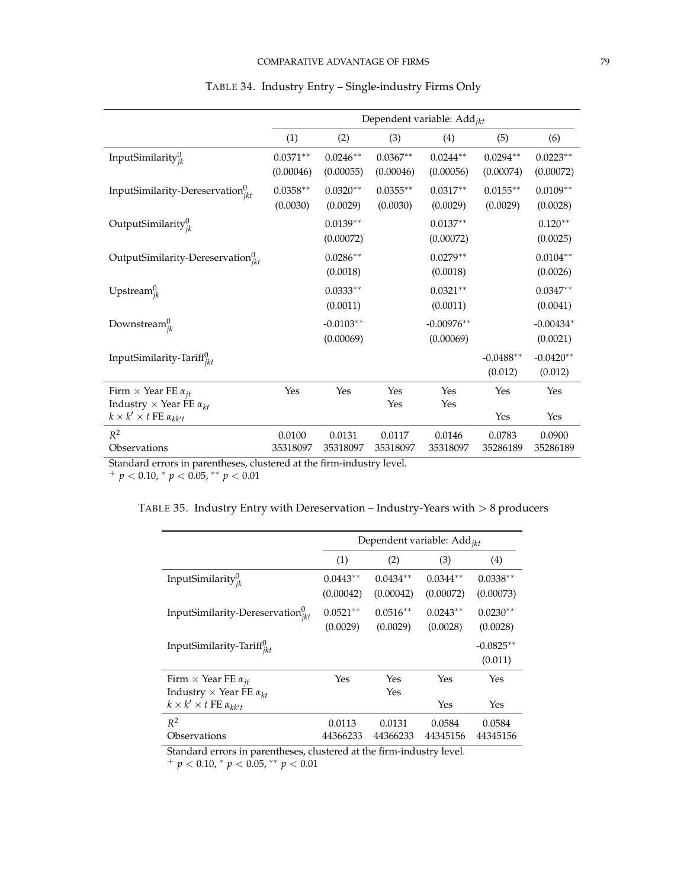<span id="page-79-0"></span>

|                                            |            |             |            | Dependent variable: Add <sub>ikt</sub> |             |             |
|--------------------------------------------|------------|-------------|------------|----------------------------------------|-------------|-------------|
|                                            |            |             |            |                                        |             |             |
|                                            | (1)        | (2)         | (3)        | (4)                                    | (5)         | (6)         |
| InputSimilarity $_{ik}^{0}$                | $0.0371**$ | $0.0246**$  | $0.0367**$ | $0.0244**$                             | $0.0294**$  | $0.0223**$  |
|                                            | (0.00046)  | (0.00055)   | (0.00046)  | (0.00056)                              | (0.00074)   | (0.00072)   |
| InputSimilarity-Dereservation $v_{ikt}^0$  | $0.0358**$ | $0.0320**$  | $0.0355**$ | $0.0317**$                             | $0.0155**$  | $0.0109**$  |
|                                            | (0.0030)   | (0.0029)    | (0.0030)   | (0.0029)                               | (0.0029)    | (0.0028)    |
| OutputSimilarity $v_{ik}^0$                |            | $0.0139**$  |            | $0.0137**$                             |             | $0.120**$   |
|                                            |            | (0.00072)   |            | (0.00072)                              |             | (0.0025)    |
| OutputSimilarity-Dereservation $v_{ikt}^0$ |            | $0.0286**$  |            | $0.0279**$                             |             | $0.0104**$  |
|                                            |            | (0.0018)    |            | (0.0018)                               |             | (0.0026)    |
| Upstream $_{ik}^0$                         |            | $0.0333**$  |            | $0.0321**$                             |             | $0.0347**$  |
|                                            |            | (0.0011)    |            | (0.0011)                               |             | (0.0041)    |
| Downstream $_{ik}^{0}$                     |            | $-0.0103**$ |            | $-0.00976**$                           |             | $-0.00434*$ |
|                                            |            | (0.00069)   |            | (0.00069)                              |             | (0.0021)    |
| InputSimilarity-Tariff <sup>0</sup>        |            |             |            |                                        | $-0.0488**$ | $-0.0420**$ |
|                                            |            |             |            |                                        | (0.012)     | (0.012)     |
| Firm $\times$ Year FE $\alpha_{it}$        | Yes        | Yes         | Yes        | Yes                                    | Yes         | Yes         |
| Industry $\times$ Year FE $\alpha_{kt}$    |            |             | Yes        | Yes                                    |             |             |
| $k \times k' \times t$ FE $\alpha_{kk't}$  |            |             |            |                                        | Yes         | Yes         |
| $R^2$                                      | 0.0100     | 0.0131      | 0.0117     | 0.0146                                 | 0.0783      | 0.0900      |
| Observations                               | 35318097   | 35318097    | 35318097   | 35318097                               | 35286189    | 35286189    |

# TABLE 34. Industry Entry – Single-industry Firms Only

Standard errors in parentheses, clustered at the firm-industry level.

<span id="page-79-1"></span><sup>+</sup> *p* < 0.10, <sup>∗</sup> *p* < 0.05, ∗∗ *p* < 0.01

|  | TABLE 35. Industry Entry with Dereservation - Industry-Years with $> 8$ producers |
|--|-----------------------------------------------------------------------------------|

|                                           | Dependent variable: $Add_{ikt}$ |                         |                         |                         |  |  |
|-------------------------------------------|---------------------------------|-------------------------|-------------------------|-------------------------|--|--|
|                                           | (1)                             | (2)                     | (3)                     | (4)                     |  |  |
| InputSimilarity $_{ik}^0$                 | $0.0443**$<br>(0.00042)         | $0.0434**$<br>(0.00042) | $0.0344**$<br>(0.00072) | $0.0338**$<br>(0.00073) |  |  |
| InputSimilarity-Dereservation $v_{ikt}^0$ | $0.0521**$<br>(0.0029)          | $0.0516**$<br>(0.0029)  | $0.0243**$<br>(0.0028)  | $0.0230**$<br>(0.0028)  |  |  |
| InputSimilarity-Tariff $u_{ikt}$          |                                 |                         |                         | $-0.0825**$<br>(0.011)  |  |  |
| Firm $\times$ Year FE $\alpha_{it}$       | Yes                             | Yes                     | Yes                     | Yes                     |  |  |
| Industry $\times$ Year FE $\alpha_{kt}$   |                                 | Yes                     |                         |                         |  |  |
| $k \times k' \times t$ FE $\alpha_{kk't}$ |                                 |                         | Yes                     | Yes                     |  |  |
| $R^2$                                     | 0.0113                          | 0.0131                  | 0.0584                  | 0.0584                  |  |  |
| Observations                              | 44366233                        | 44366233                | 44345156                | 44345156                |  |  |

Standard errors in parentheses, clustered at the firm-industry level.

<sup>+</sup> *p* < 0.10, <sup>∗</sup> *p* < 0.05, ∗∗ *p* < 0.01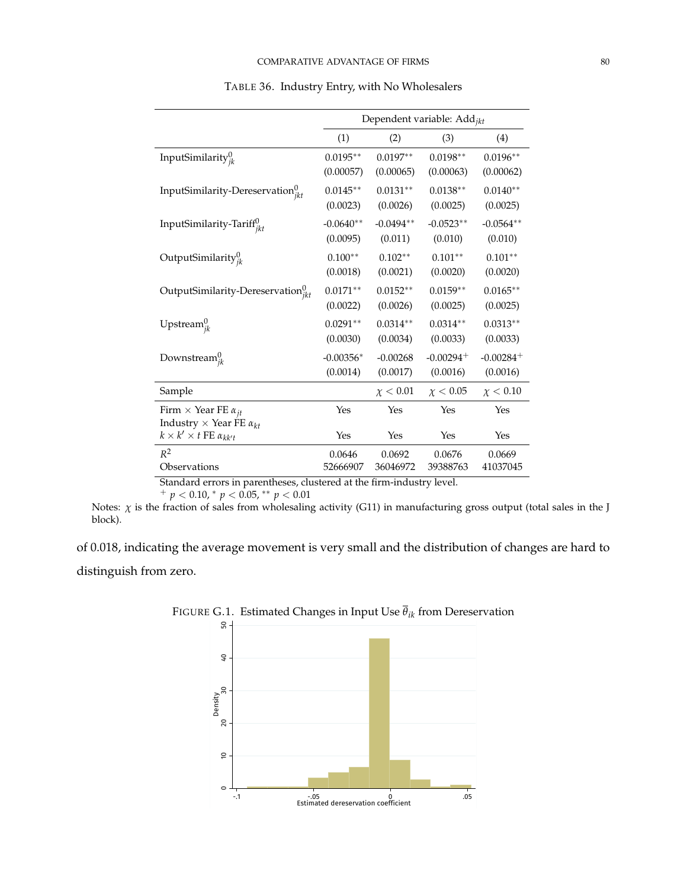<span id="page-80-0"></span>

|                                              | Dependent variable: Add <sub>ikt</sub> |               |                                  |               |  |
|----------------------------------------------|----------------------------------------|---------------|----------------------------------|---------------|--|
|                                              | (1)                                    | (2)           | (3)                              | (4)           |  |
| InputSimilarity $y_{jk}^0$                   | $0.0195**$                             | $0.0197**$    | $0.0198**$                       | $0.0196**$    |  |
|                                              | (0.00057)                              | (0.00065)     | (0.00063)                        | (0.00062)     |  |
| InputSimilarity-Dereservation $v_{jkt}^0$    | $0.0145**$                             | $0.0131**$    | $0.0138**$                       | $0.0140**$    |  |
|                                              | (0.0023)                               | (0.0026)      | (0.0025)                         | (0.0025)      |  |
| InputSimilarity-Tariff $_{ikt}^{0}$          | $-0.0640**$                            | $-0.0494**$   | $-0.0523**$                      | $-0.0564**$   |  |
|                                              | (0.0095)                               | (0.011)       | (0.010)                          | (0.010)       |  |
| OutputSimilarity $v_{ik}^0$                  | $0.100**$                              | $0.102**$     | $0.101**$                        | $0.101**$     |  |
|                                              | (0.0018)                               | (0.0021)      | (0.0020)                         | (0.0020)      |  |
| OutputSimilarity-Dereservation $v_{jkt}^0$   | $0.0171**$                             | $0.0152**$    | $0.0159**$                       | $0.0165**$    |  |
|                                              | (0.0022)                               | (0.0026)      | (0.0025)                         | (0.0025)      |  |
| Upstream ${}_{ik}^0$                         | $0.0291**$                             | $0.0314**$    | $0.0314**$                       | $0.0313**$    |  |
|                                              | (0.0030)                               | (0.0034)      | (0.0033)                         | (0.0033)      |  |
| Downstream $v_{jk}^{\text{U}}$               | $-0.00356*$                            | $-0.00268$    | $-0.00294 +$                     | $-0.00284 +$  |  |
|                                              | (0.0014)                               | (0.0017)      | (0.0016)                         | (0.0016)      |  |
| Sample                                       |                                        | $\chi < 0.01$ | $\chi < 0.05$                    | $\chi < 0.10$ |  |
| Firm $\times$ Year FE $\alpha_{it}$          | Yes                                    | Yes           | Yes                              | Yes           |  |
| Industry $\times$ Year FE $\alpha_{kt}$      |                                        |               |                                  |               |  |
| $k \times k' \times t$ FE $\alpha_{kk't}$    | Yes                                    | Yes           | Yes                              | Yes           |  |
| $R^2$                                        | 0.0646                                 | 0.0692        | 0.0676                           | 0.0669        |  |
| Observations<br>$\mathbf{1}$<br>$\mathbf{I}$ | 52666907                               | 36046972      | 39388763<br>$\mathbf{1}$ .<br>ı. | 41037045      |  |

TABLE 36. Industry Entry, with No Wholesalers

Standard errors in parentheses, clustered at the firm-industry level.

<sup>+</sup> *p* < 0.10, <sup>∗</sup> *p* < 0.05, ∗∗ *p* < 0.01

Notes: *χ* is the fraction of sales from wholesaling activity (G11) in manufacturing gross output (total sales in the J block).

<span id="page-80-1"></span>of 0.018, indicating the average movement is very small and the distribution of changes are hard to distinguish from zero.